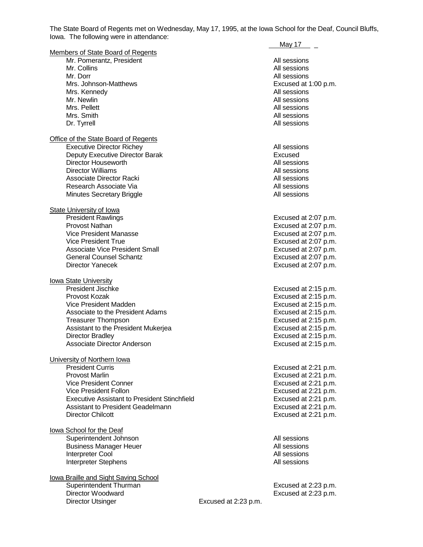The State Board of Regents met on Wednesday, May 17, 1995, at the Iowa School for the Deaf, Council Bluffs, Iowa. The following were in attendance:

|                                                     |                      | May 17               |
|-----------------------------------------------------|----------------------|----------------------|
| Members of State Board of Regents                   |                      |                      |
| Mr. Pomerantz, President                            |                      | All sessions         |
| Mr. Collins                                         |                      | All sessions         |
| Mr. Dorr                                            |                      | All sessions         |
| Mrs. Johnson-Matthews                               |                      | Excused at 1:00 p.m. |
| Mrs. Kennedy                                        |                      | All sessions         |
| Mr. Newlin                                          |                      | All sessions         |
| Mrs. Pellett                                        |                      | All sessions         |
| Mrs. Smith                                          |                      | All sessions         |
| Dr. Tyrrell                                         |                      | All sessions         |
| Office of the State Board of Regents                |                      |                      |
| <b>Executive Director Richey</b>                    |                      | All sessions         |
| Deputy Executive Director Barak                     |                      | Excused              |
| Director Houseworth                                 |                      | All sessions         |
| <b>Director Williams</b>                            |                      | All sessions         |
|                                                     |                      |                      |
| Associate Director Racki                            |                      | All sessions         |
| Research Associate Via                              |                      | All sessions         |
| <b>Minutes Secretary Briggle</b>                    |                      | All sessions         |
| <b>State University of lowa</b>                     |                      |                      |
| <b>President Rawlings</b>                           |                      | Excused at 2:07 p.m. |
| <b>Provost Nathan</b>                               |                      | Excused at 2:07 p.m. |
| Vice President Manasse                              |                      | Excused at 2:07 p.m. |
| <b>Vice President True</b>                          |                      | Excused at 2:07 p.m. |
| <b>Associate Vice President Small</b>               |                      | Excused at 2:07 p.m. |
| <b>General Counsel Schantz</b>                      |                      | Excused at 2:07 p.m. |
| <b>Director Yanecek</b>                             |                      | Excused at 2:07 p.m. |
|                                                     |                      |                      |
| <b>lowa State University</b>                        |                      |                      |
| <b>President Jischke</b>                            |                      | Excused at 2:15 p.m. |
| Provost Kozak                                       |                      | Excused at 2:15 p.m. |
| Vice President Madden                               |                      | Excused at 2:15 p.m. |
| Associate to the President Adams                    |                      | Excused at 2:15 p.m. |
| <b>Treasurer Thompson</b>                           |                      | Excused at 2:15 p.m. |
| Assistant to the President Mukerjea                 |                      | Excused at 2:15 p.m. |
| Director Bradley                                    |                      | Excused at 2:15 p.m. |
| Associate Director Anderson                         |                      | Excused at 2:15 p.m. |
|                                                     |                      |                      |
| University of Northern Iowa                         |                      |                      |
| <b>President Curris</b>                             |                      | Excused at 2:21 p.m. |
| <b>Provost Marlin</b>                               |                      | Excused at 2:21 p.m. |
| <b>Vice President Conner</b>                        |                      | Excused at 2:21 p.m. |
| Vice President Follon                               |                      | Excused at 2:21 p.m. |
| <b>Executive Assistant to President Stinchfield</b> |                      | Excused at 2:21 p.m. |
| Assistant to President Geadelmann                   |                      | Excused at 2:21 p.m. |
| <b>Director Chilcott</b>                            |                      | Excused at 2:21 p.m. |
|                                                     |                      |                      |
| lowa School for the Deaf                            |                      |                      |
| Superintendent Johnson                              |                      | All sessions         |
| <b>Business Manager Heuer</b>                       |                      | All sessions         |
| Interpreter Cool                                    |                      | All sessions         |
| Interpreter Stephens                                |                      | All sessions         |
| lowa Braille and Sight Saving School                |                      |                      |
| Superintendent Thurman                              |                      | Excused at 2:23 p.m. |
| Director Woodward                                   |                      | Excused at 2:23 p.m. |
| <b>Director Utsinger</b>                            | Excused at 2:23 p.m. |                      |
|                                                     |                      |                      |
|                                                     |                      |                      |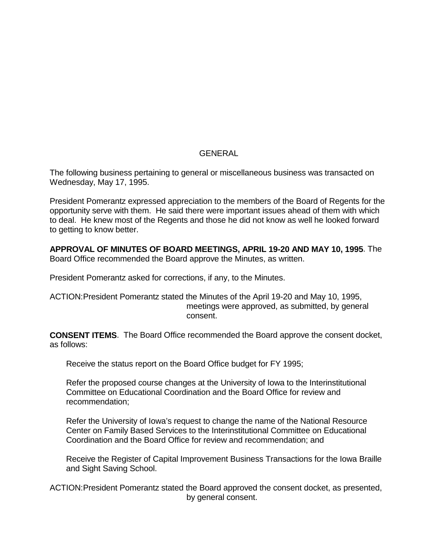# GENERAL

The following business pertaining to general or miscellaneous business was transacted on Wednesday, May 17, 1995.

President Pomerantz expressed appreciation to the members of the Board of Regents for the opportunity serve with them. He said there were important issues ahead of them with which to deal. He knew most of the Regents and those he did not know as well he looked forward to getting to know better.

**APPROVAL OF MINUTES OF BOARD MEETINGS, APRIL 19-20 AND MAY 10, 1995**. The Board Office recommended the Board approve the Minutes, as written.

President Pomerantz asked for corrections, if any, to the Minutes.

ACTION:President Pomerantz stated the Minutes of the April 19-20 and May 10, 1995, meetings were approved, as submitted, by general consent.

**CONSENT ITEMS**. The Board Office recommended the Board approve the consent docket, as follows:

Receive the status report on the Board Office budget for FY 1995;

Refer the proposed course changes at the University of Iowa to the Interinstitutional Committee on Educational Coordination and the Board Office for review and recommendation;

Refer the University of Iowa's request to change the name of the National Resource Center on Family Based Services to the Interinstitutional Committee on Educational Coordination and the Board Office for review and recommendation; and

Receive the Register of Capital Improvement Business Transactions for the Iowa Braille and Sight Saving School.

ACTION:President Pomerantz stated the Board approved the consent docket, as presented, by general consent.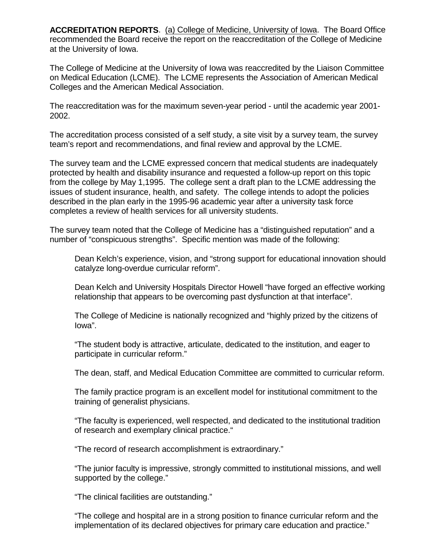**ACCREDITATION REPORTS**. (a) College of Medicine, University of Iowa. The Board Office recommended the Board receive the report on the reaccreditation of the College of Medicine at the University of Iowa.

The College of Medicine at the University of Iowa was reaccredited by the Liaison Committee on Medical Education (LCME). The LCME represents the Association of American Medical Colleges and the American Medical Association.

The reaccreditation was for the maximum seven-year period - until the academic year 2001- 2002.

The accreditation process consisted of a self study, a site visit by a survey team, the survey team's report and recommendations, and final review and approval by the LCME.

The survey team and the LCME expressed concern that medical students are inadequately protected by health and disability insurance and requested a follow-up report on this topic from the college by May 1,1995. The college sent a draft plan to the LCME addressing the issues of student insurance, health, and safety. The college intends to adopt the policies described in the plan early in the 1995-96 academic year after a university task force completes a review of health services for all university students.

The survey team noted that the College of Medicine has a "distinguished reputation" and a number of "conspicuous strengths". Specific mention was made of the following:

Dean Kelch's experience, vision, and "strong support for educational innovation should catalyze long-overdue curricular reform".

Dean Kelch and University Hospitals Director Howell "have forged an effective working relationship that appears to be overcoming past dysfunction at that interface".

The College of Medicine is nationally recognized and "highly prized by the citizens of Iowa".

"The student body is attractive, articulate, dedicated to the institution, and eager to participate in curricular reform."

The dean, staff, and Medical Education Committee are committed to curricular reform.

The family practice program is an excellent model for institutional commitment to the training of generalist physicians.

"The faculty is experienced, well respected, and dedicated to the institutional tradition of research and exemplary clinical practice."

"The record of research accomplishment is extraordinary."

"The junior faculty is impressive, strongly committed to institutional missions, and well supported by the college."

"The clinical facilities are outstanding."

"The college and hospital are in a strong position to finance curricular reform and the implementation of its declared objectives for primary care education and practice."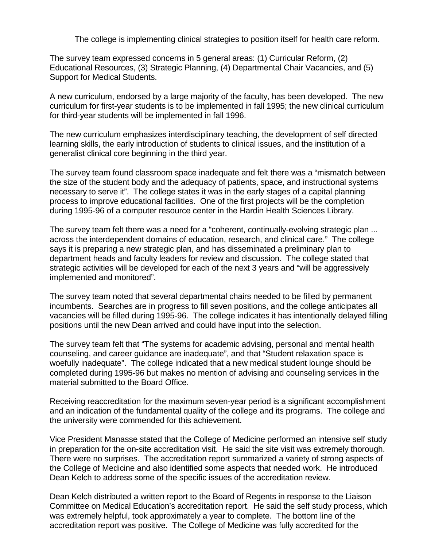The college is implementing clinical strategies to position itself for health care reform.

The survey team expressed concerns in 5 general areas: (1) Curricular Reform, (2) Educational Resources, (3) Strategic Planning, (4) Departmental Chair Vacancies, and (5) Support for Medical Students.

A new curriculum, endorsed by a large majority of the faculty, has been developed. The new curriculum for first-year students is to be implemented in fall 1995; the new clinical curriculum for third-year students will be implemented in fall 1996.

The new curriculum emphasizes interdisciplinary teaching, the development of self directed learning skills, the early introduction of students to clinical issues, and the institution of a generalist clinical core beginning in the third year.

The survey team found classroom space inadequate and felt there was a "mismatch between the size of the student body and the adequacy of patients, space, and instructional systems necessary to serve it". The college states it was in the early stages of a capital planning process to improve educational facilities. One of the first projects will be the completion during 1995-96 of a computer resource center in the Hardin Health Sciences Library.

The survey team felt there was a need for a "coherent, continually-evolving strategic plan ... across the interdependent domains of education, research, and clinical care." The college says it is preparing a new strategic plan, and has disseminated a preliminary plan to department heads and faculty leaders for review and discussion. The college stated that strategic activities will be developed for each of the next 3 years and "will be aggressively implemented and monitored".

The survey team noted that several departmental chairs needed to be filled by permanent incumbents. Searches are in progress to fill seven positions, and the college anticipates all vacancies will be filled during 1995-96. The college indicates it has intentionally delayed filling positions until the new Dean arrived and could have input into the selection.

The survey team felt that "The systems for academic advising, personal and mental health counseling, and career guidance are inadequate", and that "Student relaxation space is woefully inadequate". The college indicated that a new medical student lounge should be completed during 1995-96 but makes no mention of advising and counseling services in the material submitted to the Board Office.

Receiving reaccreditation for the maximum seven-year period is a significant accomplishment and an indication of the fundamental quality of the college and its programs. The college and the university were commended for this achievement.

Vice President Manasse stated that the College of Medicine performed an intensive self study in preparation for the on-site accreditation visit. He said the site visit was extremely thorough. There were no surprises. The accreditation report summarized a variety of strong aspects of the College of Medicine and also identified some aspects that needed work. He introduced Dean Kelch to address some of the specific issues of the accreditation review.

Dean Kelch distributed a written report to the Board of Regents in response to the Liaison Committee on Medical Education's accreditation report. He said the self study process, which was extremely helpful, took approximately a year to complete. The bottom line of the accreditation report was positive. The College of Medicine was fully accredited for the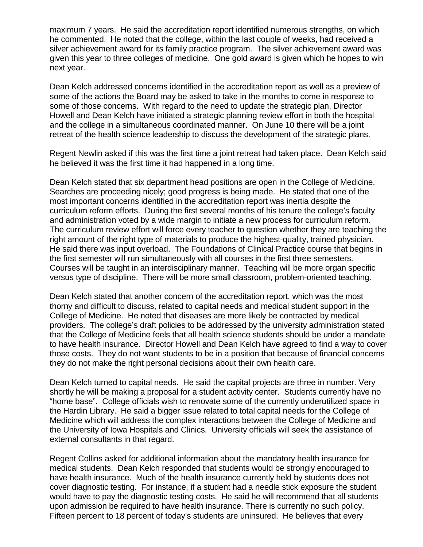maximum 7 years. He said the accreditation report identified numerous strengths, on which he commented. He noted that the college, within the last couple of weeks, had received a silver achievement award for its family practice program. The silver achievement award was given this year to three colleges of medicine. One gold award is given which he hopes to win next year.

Dean Kelch addressed concerns identified in the accreditation report as well as a preview of some of the actions the Board may be asked to take in the months to come in response to some of those concerns. With regard to the need to update the strategic plan, Director Howell and Dean Kelch have initiated a strategic planning review effort in both the hospital and the college in a simultaneous coordinated manner. On June 10 there will be a joint retreat of the health science leadership to discuss the development of the strategic plans.

Regent Newlin asked if this was the first time a joint retreat had taken place. Dean Kelch said he believed it was the first time it had happened in a long time.

Dean Kelch stated that six department head positions are open in the College of Medicine. Searches are proceeding nicely; good progress is being made. He stated that one of the most important concerns identified in the accreditation report was inertia despite the curriculum reform efforts. During the first several months of his tenure the college's faculty and administration voted by a wide margin to initiate a new process for curriculum reform. The curriculum review effort will force every teacher to question whether they are teaching the right amount of the right type of materials to produce the highest-quality, trained physician. He said there was input overload. The Foundations of Clinical Practice course that begins in the first semester will run simultaneously with all courses in the first three semesters. Courses will be taught in an interdisciplinary manner. Teaching will be more organ specific versus type of discipline. There will be more small classroom, problem-oriented teaching.

Dean Kelch stated that another concern of the accreditation report, which was the most thorny and difficult to discuss, related to capital needs and medical student support in the College of Medicine. He noted that diseases are more likely be contracted by medical providers. The college's draft policies to be addressed by the university administration stated that the College of Medicine feels that all health science students should be under a mandate to have health insurance. Director Howell and Dean Kelch have agreed to find a way to cover those costs. They do not want students to be in a position that because of financial concerns they do not make the right personal decisions about their own health care.

Dean Kelch turned to capital needs. He said the capital projects are three in number. Very shortly he will be making a proposal for a student activity center. Students currently have no "home base". College officials wish to renovate some of the currently underutilized space in the Hardin Library. He said a bigger issue related to total capital needs for the College of Medicine which will address the complex interactions between the College of Medicine and the University of Iowa Hospitals and Clinics. University officials will seek the assistance of external consultants in that regard.

Regent Collins asked for additional information about the mandatory health insurance for medical students. Dean Kelch responded that students would be strongly encouraged to have health insurance. Much of the health insurance currently held by students does not cover diagnostic testing. For instance, if a student had a needle stick exposure the student would have to pay the diagnostic testing costs. He said he will recommend that all students upon admission be required to have health insurance. There is currently no such policy. Fifteen percent to 18 percent of today's students are uninsured. He believes that every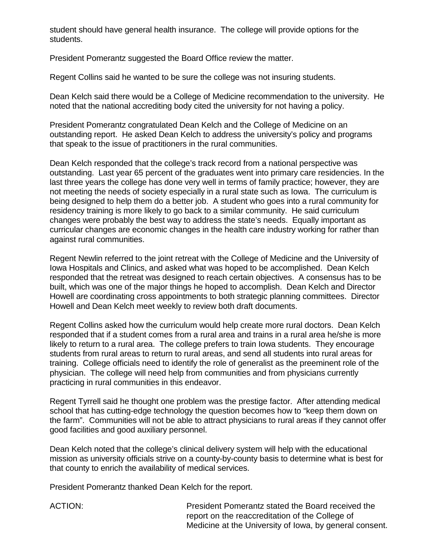student should have general health insurance. The college will provide options for the students.

President Pomerantz suggested the Board Office review the matter.

Regent Collins said he wanted to be sure the college was not insuring students.

Dean Kelch said there would be a College of Medicine recommendation to the university. He noted that the national accrediting body cited the university for not having a policy.

President Pomerantz congratulated Dean Kelch and the College of Medicine on an outstanding report. He asked Dean Kelch to address the university's policy and programs that speak to the issue of practitioners in the rural communities.

Dean Kelch responded that the college's track record from a national perspective was outstanding. Last year 65 percent of the graduates went into primary care residencies. In the last three years the college has done very well in terms of family practice; however, they are not meeting the needs of society especially in a rural state such as Iowa. The curriculum is being designed to help them do a better job. A student who goes into a rural community for residency training is more likely to go back to a similar community. He said curriculum changes were probably the best way to address the state's needs. Equally important as curricular changes are economic changes in the health care industry working for rather than against rural communities.

Regent Newlin referred to the joint retreat with the College of Medicine and the University of Iowa Hospitals and Clinics, and asked what was hoped to be accomplished. Dean Kelch responded that the retreat was designed to reach certain objectives. A consensus has to be built, which was one of the major things he hoped to accomplish. Dean Kelch and Director Howell are coordinating cross appointments to both strategic planning committees. Director Howell and Dean Kelch meet weekly to review both draft documents.

Regent Collins asked how the curriculum would help create more rural doctors. Dean Kelch responded that if a student comes from a rural area and trains in a rural area he/she is more likely to return to a rural area. The college prefers to train Iowa students. They encourage students from rural areas to return to rural areas, and send all students into rural areas for training. College officials need to identify the role of generalist as the preeminent role of the physician. The college will need help from communities and from physicians currently practicing in rural communities in this endeavor.

Regent Tyrrell said he thought one problem was the prestige factor. After attending medical school that has cutting-edge technology the question becomes how to "keep them down on the farm". Communities will not be able to attract physicians to rural areas if they cannot offer good facilities and good auxiliary personnel.

Dean Kelch noted that the college's clinical delivery system will help with the educational mission as university officials strive on a county-by-county basis to determine what is best for that county to enrich the availability of medical services.

President Pomerantz thanked Dean Kelch for the report.

ACTION: President Pomerantz stated the Board received the report on the reaccreditation of the College of Medicine at the University of Iowa, by general consent.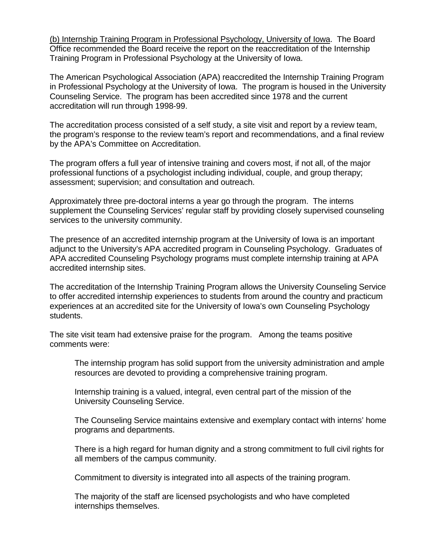(b) Internship Training Program in Professional Psychology, University of Iowa. The Board Office recommended the Board receive the report on the reaccreditation of the Internship Training Program in Professional Psychology at the University of Iowa.

The American Psychological Association (APA) reaccredited the Internship Training Program in Professional Psychology at the University of Iowa. The program is housed in the University Counseling Service. The program has been accredited since 1978 and the current accreditation will run through 1998-99.

The accreditation process consisted of a self study, a site visit and report by a review team, the program's response to the review team's report and recommendations, and a final review by the APA's Committee on Accreditation.

The program offers a full year of intensive training and covers most, if not all, of the major professional functions of a psychologist including individual, couple, and group therapy; assessment; supervision; and consultation and outreach.

Approximately three pre-doctoral interns a year go through the program. The interns supplement the Counseling Services' regular staff by providing closely supervised counseling services to the university community.

The presence of an accredited internship program at the University of Iowa is an important adjunct to the University's APA accredited program in Counseling Psychology. Graduates of APA accredited Counseling Psychology programs must complete internship training at APA accredited internship sites.

The accreditation of the Internship Training Program allows the University Counseling Service to offer accredited internship experiences to students from around the country and practicum experiences at an accredited site for the University of Iowa's own Counseling Psychology students.

The site visit team had extensive praise for the program. Among the teams positive comments were:

The internship program has solid support from the university administration and ample resources are devoted to providing a comprehensive training program.

Internship training is a valued, integral, even central part of the mission of the University Counseling Service.

The Counseling Service maintains extensive and exemplary contact with interns' home programs and departments.

There is a high regard for human dignity and a strong commitment to full civil rights for all members of the campus community.

Commitment to diversity is integrated into all aspects of the training program.

The majority of the staff are licensed psychologists and who have completed internships themselves.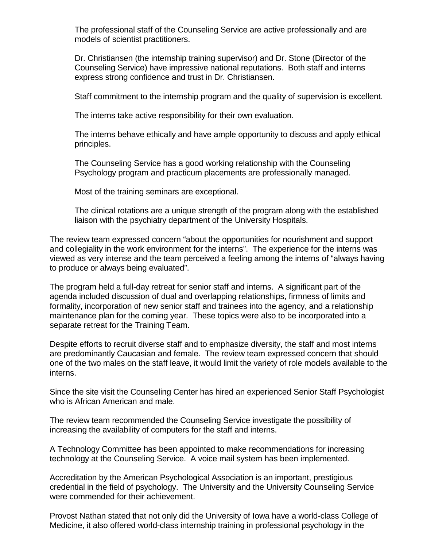The professional staff of the Counseling Service are active professionally and are models of scientist practitioners.

Dr. Christiansen (the internship training supervisor) and Dr. Stone (Director of the Counseling Service) have impressive national reputations. Both staff and interns express strong confidence and trust in Dr. Christiansen.

Staff commitment to the internship program and the quality of supervision is excellent.

The interns take active responsibility for their own evaluation.

The interns behave ethically and have ample opportunity to discuss and apply ethical principles.

The Counseling Service has a good working relationship with the Counseling Psychology program and practicum placements are professionally managed.

Most of the training seminars are exceptional.

The clinical rotations are a unique strength of the program along with the established liaison with the psychiatry department of the University Hospitals.

The review team expressed concern "about the opportunities for nourishment and support and collegiality in the work environment for the interns". The experience for the interns was viewed as very intense and the team perceived a feeling among the interns of "always having to produce or always being evaluated".

The program held a full-day retreat for senior staff and interns. A significant part of the agenda included discussion of dual and overlapping relationships, firmness of limits and formality, incorporation of new senior staff and trainees into the agency, and a relationship maintenance plan for the coming year. These topics were also to be incorporated into a separate retreat for the Training Team.

Despite efforts to recruit diverse staff and to emphasize diversity, the staff and most interns are predominantly Caucasian and female. The review team expressed concern that should one of the two males on the staff leave, it would limit the variety of role models available to the interns.

Since the site visit the Counseling Center has hired an experienced Senior Staff Psychologist who is African American and male.

The review team recommended the Counseling Service investigate the possibility of increasing the availability of computers for the staff and interns.

A Technology Committee has been appointed to make recommendations for increasing technology at the Counseling Service. A voice mail system has been implemented.

Accreditation by the American Psychological Association is an important, prestigious credential in the field of psychology. The University and the University Counseling Service were commended for their achievement.

Provost Nathan stated that not only did the University of Iowa have a world-class College of Medicine, it also offered world-class internship training in professional psychology in the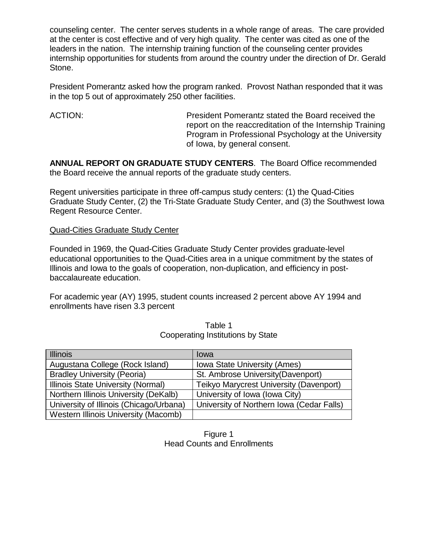counseling center. The center serves students in a whole range of areas. The care provided at the center is cost effective and of very high quality. The center was cited as one of the leaders in the nation. The internship training function of the counseling center provides internship opportunities for students from around the country under the direction of Dr. Gerald Stone.

President Pomerantz asked how the program ranked. Provost Nathan responded that it was in the top 5 out of approximately 250 other facilities.

ACTION: President Pomerantz stated the Board received the report on the reaccreditation of the Internship Training Program in Professional Psychology at the University of Iowa, by general consent.

**ANNUAL REPORT ON GRADUATE STUDY CENTERS**. The Board Office recommended the Board receive the annual reports of the graduate study centers.

Regent universities participate in three off-campus study centers: (1) the Quad-Cities Graduate Study Center, (2) the Tri-State Graduate Study Center, and (3) the Southwest Iowa Regent Resource Center.

## Quad-Cities Graduate Study Center

Founded in 1969, the Quad-Cities Graduate Study Center provides graduate-level educational opportunities to the Quad-Cities area in a unique commitment by the states of Illinois and Iowa to the goals of cooperation, non-duplication, and efficiency in postbaccalaureate education.

For academic year (AY) 1995, student counts increased 2 percent above AY 1994 and enrollments have risen 3.3 percent

| <b>Illinois</b>                             | lowa                                      |
|---------------------------------------------|-------------------------------------------|
| Augustana College (Rock Island)             | <b>Iowa State University (Ames)</b>       |
| <b>Bradley University (Peoria)</b>          | St. Ambrose University (Davenport)        |
| Illinois State University (Normal)          | Teikyo Marycrest University (Davenport)   |
| Northern Illinois University (DeKalb)       | University of Iowa (Iowa City)            |
| University of Illinois (Chicago/Urbana)     | University of Northern Iowa (Cedar Falls) |
| <b>Western Illinois University (Macomb)</b> |                                           |

|                                   | Table 1 |  |
|-----------------------------------|---------|--|
| Cooperating Institutions by State |         |  |

## Figure 1 Head Counts and Enrollments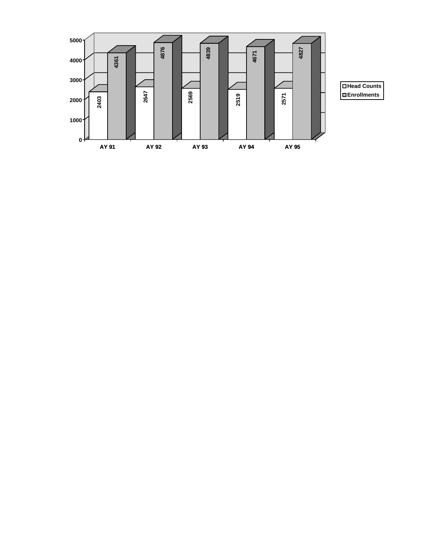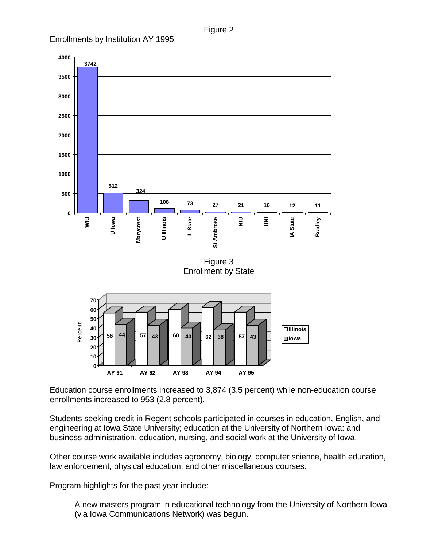Figure 2





Education course enrollments increased to 3,874 (3.5 percent) while non-education course enrollments increased to 953 (2.8 percent).

Students seeking credit in Regent schools participated in courses in education, English, and engineering at Iowa State University; education at the University of Northern Iowa: and business administration, education, nursing, and social work at the University of Iowa.

Other course work available includes agronomy, biology, computer science, health education, law enforcement, physical education, and other miscellaneous courses.

Program highlights for the past year include:

A new masters program in educational technology from the University of Northern Iowa (via Iowa Communications Network) was begun.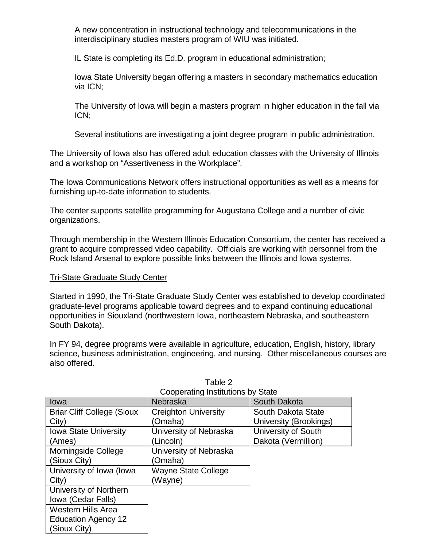A new concentration in instructional technology and telecommunications in the interdisciplinary studies masters program of WIU was initiated.

IL State is completing its Ed.D. program in educational administration;

Iowa State University began offering a masters in secondary mathematics education via ICN;

The University of Iowa will begin a masters program in higher education in the fall via ICN;

Several institutions are investigating a joint degree program in public administration.

The University of Iowa also has offered adult education classes with the University of Illinois and a workshop on "Assertiveness in the Workplace".

The Iowa Communications Network offers instructional opportunities as well as a means for furnishing up-to-date information to students.

The center supports satellite programming for Augustana College and a number of civic organizations.

Through membership in the Western Illinois Education Consortium, the center has received a grant to acquire compressed video capability. Officials are working with personnel from the Rock Island Arsenal to explore possible links between the Illinois and Iowa systems.

# Tri-State Graduate Study Center

Started in 1990, the Tri-State Graduate Study Center was established to develop coordinated graduate-level programs applicable toward degrees and to expand continuing educational opportunities in Siouxland (northwestern Iowa, northeastern Nebraska, and southeastern South Dakota).

In FY 94, degree programs were available in agriculture, education, English, history, library science, business administration, engineering, and nursing. Other miscellaneous courses are also offered.

| Cooperating Institutions by State |                             |                        |
|-----------------------------------|-----------------------------|------------------------|
| lowa                              | <b>Nebraska</b>             | South Dakota           |
| <b>Briar Cliff College (Sioux</b> | <b>Creighton University</b> | South Dakota State     |
| City)                             | (Omaha)                     | University (Brookings) |
| <b>Iowa State University</b>      | University of Nebraska      | University of South    |
| (Ames)                            | (Lincoln)                   | Dakota (Vermillion)    |
| Morningside College               | University of Nebraska      |                        |
| (Sioux City)                      | (Omaha)                     |                        |
| University of Iowa (Iowa          | <b>Wayne State College</b>  |                        |
| City)                             | (Wayne)                     |                        |
| University of Northern            |                             |                        |
| Iowa (Cedar Falls)                |                             |                        |
| <b>Western Hills Area</b>         |                             |                        |
| <b>Education Agency 12</b>        |                             |                        |
| (Sioux City)                      |                             |                        |

# Table 2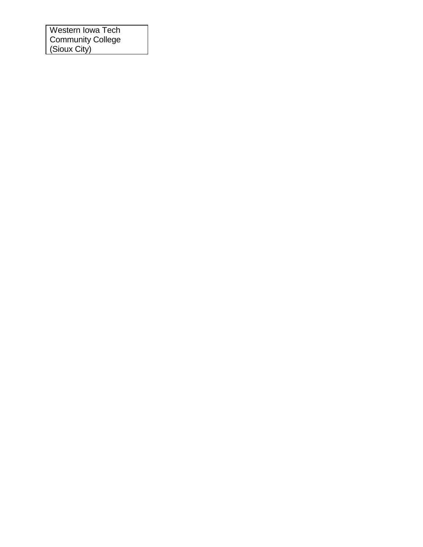Western Iowa Tech Community College (Sioux City)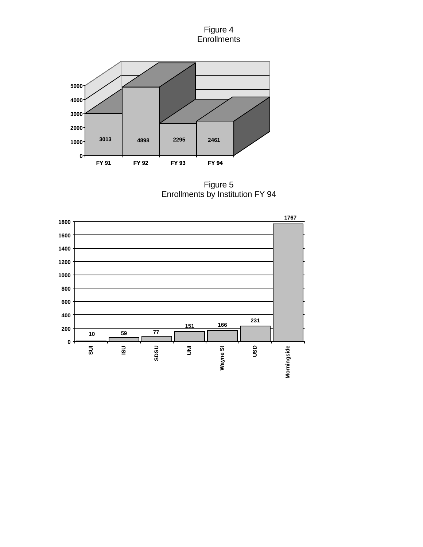#### Figure 4 **Enrollments**



Figure 5 Enrollments by Institution FY 94

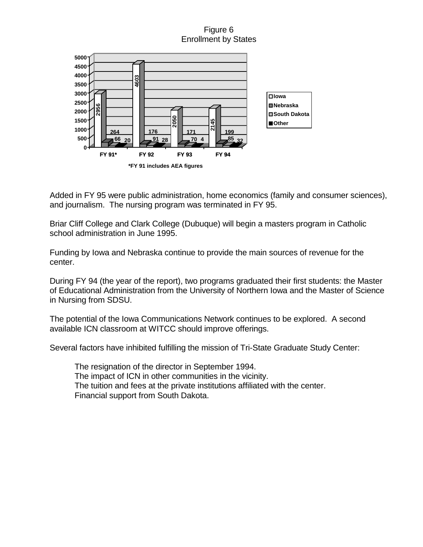# Figure 6 Enrollment by States



Added in FY 95 were public administration, home economics (family and consumer sciences), and journalism. The nursing program was terminated in FY 95.

Briar Cliff College and Clark College (Dubuque) will begin a masters program in Catholic school administration in June 1995.

Funding by Iowa and Nebraska continue to provide the main sources of revenue for the center.

During FY 94 (the year of the report), two programs graduated their first students: the Master of Educational Administration from the University of Northern Iowa and the Master of Science in Nursing from SDSU.

The potential of the Iowa Communications Network continues to be explored. A second available ICN classroom at WITCC should improve offerings.

Several factors have inhibited fulfilling the mission of Tri-State Graduate Study Center:

The resignation of the director in September 1994. The impact of ICN in other communities in the vicinity. The tuition and fees at the private institutions affiliated with the center. Financial support from South Dakota.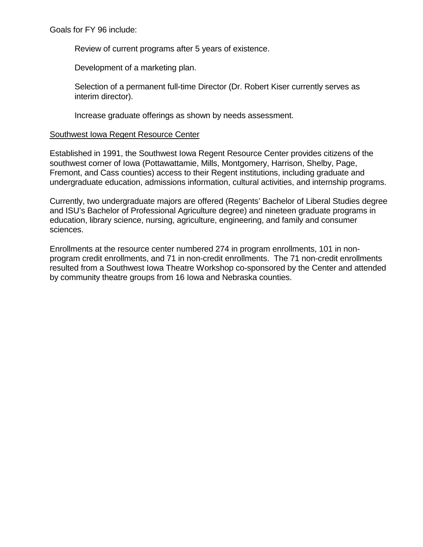Goals for FY 96 include:

Review of current programs after 5 years of existence.

Development of a marketing plan.

Selection of a permanent full-time Director (Dr. Robert Kiser currently serves as interim director).

Increase graduate offerings as shown by needs assessment.

#### Southwest Iowa Regent Resource Center

Established in 1991, the Southwest Iowa Regent Resource Center provides citizens of the southwest corner of Iowa (Pottawattamie, Mills, Montgomery, Harrison, Shelby, Page, Fremont, and Cass counties) access to their Regent institutions, including graduate and undergraduate education, admissions information, cultural activities, and internship programs.

Currently, two undergraduate majors are offered (Regents' Bachelor of Liberal Studies degree and ISU's Bachelor of Professional Agriculture degree) and nineteen graduate programs in education, library science, nursing, agriculture, engineering, and family and consumer sciences.

Enrollments at the resource center numbered 274 in program enrollments, 101 in nonprogram credit enrollments, and 71 in non-credit enrollments. The 71 non-credit enrollments resulted from a Southwest Iowa Theatre Workshop co-sponsored by the Center and attended by community theatre groups from 16 Iowa and Nebraska counties.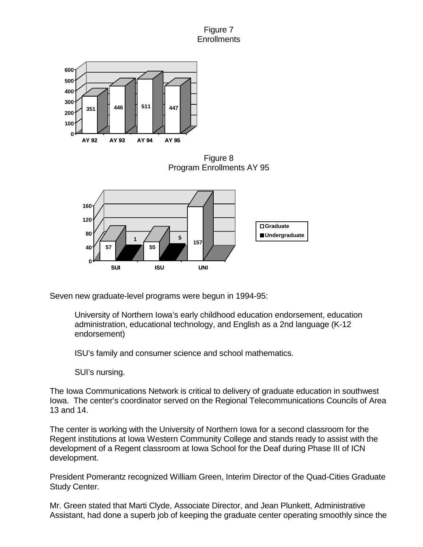# Figure 7 **Enrollments**



Figure 8 Program Enrollments AY 95



Seven new graduate-level programs were begun in 1994-95:

University of Northern Iowa's early childhood education endorsement, education administration, educational technology, and English as a 2nd language (K-12 endorsement)

ISU's family and consumer science and school mathematics.

SUI's nursing.

The Iowa Communications Network is critical to delivery of graduate education in southwest Iowa. The center's coordinator served on the Regional Telecommunications Councils of Area 13 and 14.

The center is working with the University of Northern Iowa for a second classroom for the Regent institutions at Iowa Western Community College and stands ready to assist with the development of a Regent classroom at Iowa School for the Deaf during Phase III of ICN development.

President Pomerantz recognized William Green, Interim Director of the Quad-Cities Graduate Study Center.

Mr. Green stated that Marti Clyde, Associate Director, and Jean Plunkett, Administrative Assistant, had done a superb job of keeping the graduate center operating smoothly since the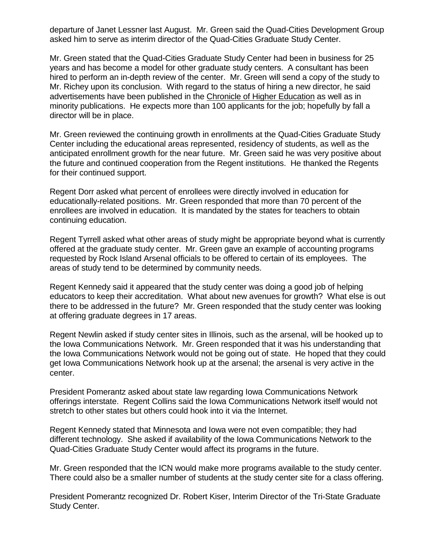departure of Janet Lessner last August. Mr. Green said the Quad-Cities Development Group asked him to serve as interim director of the Quad-Cities Graduate Study Center.

Mr. Green stated that the Quad-Cities Graduate Study Center had been in business for 25 years and has become a model for other graduate study centers. A consultant has been hired to perform an in-depth review of the center. Mr. Green will send a copy of the study to Mr. Richey upon its conclusion. With regard to the status of hiring a new director, he said advertisements have been published in the Chronicle of Higher Education as well as in minority publications. He expects more than 100 applicants for the job; hopefully by fall a director will be in place.

Mr. Green reviewed the continuing growth in enrollments at the Quad-Cities Graduate Study Center including the educational areas represented, residency of students, as well as the anticipated enrollment growth for the near future. Mr. Green said he was very positive about the future and continued cooperation from the Regent institutions. He thanked the Regents for their continued support.

Regent Dorr asked what percent of enrollees were directly involved in education for educationally-related positions. Mr. Green responded that more than 70 percent of the enrollees are involved in education. It is mandated by the states for teachers to obtain continuing education.

Regent Tyrrell asked what other areas of study might be appropriate beyond what is currently offered at the graduate study center. Mr. Green gave an example of accounting programs requested by Rock Island Arsenal officials to be offered to certain of its employees. The areas of study tend to be determined by community needs.

Regent Kennedy said it appeared that the study center was doing a good job of helping educators to keep their accreditation. What about new avenues for growth? What else is out there to be addressed in the future? Mr. Green responded that the study center was looking at offering graduate degrees in 17 areas.

Regent Newlin asked if study center sites in Illinois, such as the arsenal, will be hooked up to the Iowa Communications Network. Mr. Green responded that it was his understanding that the Iowa Communications Network would not be going out of state. He hoped that they could get Iowa Communications Network hook up at the arsenal; the arsenal is very active in the center.

President Pomerantz asked about state law regarding Iowa Communications Network offerings interstate. Regent Collins said the Iowa Communications Network itself would not stretch to other states but others could hook into it via the Internet.

Regent Kennedy stated that Minnesota and Iowa were not even compatible; they had different technology. She asked if availability of the Iowa Communications Network to the Quad-Cities Graduate Study Center would affect its programs in the future.

Mr. Green responded that the ICN would make more programs available to the study center. There could also be a smaller number of students at the study center site for a class offering.

President Pomerantz recognized Dr. Robert Kiser, Interim Director of the Tri-State Graduate Study Center.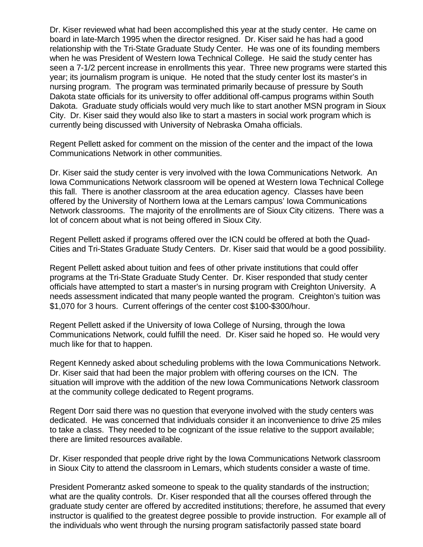Dr. Kiser reviewed what had been accomplished this year at the study center. He came on board in late-March 1995 when the director resigned. Dr. Kiser said he has had a good relationship with the Tri-State Graduate Study Center. He was one of its founding members when he was President of Western Iowa Technical College. He said the study center has seen a 7-1/2 percent increase in enrollments this year. Three new programs were started this year; its journalism program is unique. He noted that the study center lost its master's in nursing program. The program was terminated primarily because of pressure by South Dakota state officials for its university to offer additional off-campus programs within South Dakota. Graduate study officials would very much like to start another MSN program in Sioux City. Dr. Kiser said they would also like to start a masters in social work program which is currently being discussed with University of Nebraska Omaha officials.

Regent Pellett asked for comment on the mission of the center and the impact of the Iowa Communications Network in other communities.

Dr. Kiser said the study center is very involved with the Iowa Communications Network. An Iowa Communications Network classroom will be opened at Western Iowa Technical College this fall. There is another classroom at the area education agency. Classes have been offered by the University of Northern Iowa at the Lemars campus' Iowa Communications Network classrooms. The majority of the enrollments are of Sioux City citizens. There was a lot of concern about what is not being offered in Sioux City.

Regent Pellett asked if programs offered over the ICN could be offered at both the Quad-Cities and Tri-States Graduate Study Centers. Dr. Kiser said that would be a good possibility.

Regent Pellett asked about tuition and fees of other private institutions that could offer programs at the Tri-State Graduate Study Center. Dr. Kiser responded that study center officials have attempted to start a master's in nursing program with Creighton University. A needs assessment indicated that many people wanted the program. Creighton's tuition was \$1,070 for 3 hours. Current offerings of the center cost \$100-\$300/hour.

Regent Pellett asked if the University of Iowa College of Nursing, through the Iowa Communications Network, could fulfill the need. Dr. Kiser said he hoped so. He would very much like for that to happen.

Regent Kennedy asked about scheduling problems with the Iowa Communications Network. Dr. Kiser said that had been the major problem with offering courses on the ICN. The situation will improve with the addition of the new Iowa Communications Network classroom at the community college dedicated to Regent programs.

Regent Dorr said there was no question that everyone involved with the study centers was dedicated. He was concerned that individuals consider it an inconvenience to drive 25 miles to take a class. They needed to be cognizant of the issue relative to the support available; there are limited resources available.

Dr. Kiser responded that people drive right by the Iowa Communications Network classroom in Sioux City to attend the classroom in Lemars, which students consider a waste of time.

President Pomerantz asked someone to speak to the quality standards of the instruction; what are the quality controls. Dr. Kiser responded that all the courses offered through the graduate study center are offered by accredited institutions; therefore, he assumed that every instructor is qualified to the greatest degree possible to provide instruction. For example all of the individuals who went through the nursing program satisfactorily passed state board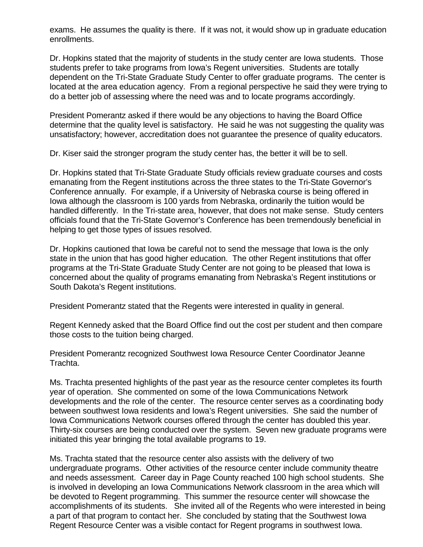exams. He assumes the quality is there. If it was not, it would show up in graduate education enrollments.

Dr. Hopkins stated that the majority of students in the study center are Iowa students. Those students prefer to take programs from Iowa's Regent universities. Students are totally dependent on the Tri-State Graduate Study Center to offer graduate programs. The center is located at the area education agency. From a regional perspective he said they were trying to do a better job of assessing where the need was and to locate programs accordingly.

President Pomerantz asked if there would be any objections to having the Board Office determine that the quality level is satisfactory. He said he was not suggesting the quality was unsatisfactory; however, accreditation does not guarantee the presence of quality educators.

Dr. Kiser said the stronger program the study center has, the better it will be to sell.

Dr. Hopkins stated that Tri-State Graduate Study officials review graduate courses and costs emanating from the Regent institutions across the three states to the Tri-State Governor's Conference annually. For example, if a University of Nebraska course is being offered in Iowa although the classroom is 100 yards from Nebraska, ordinarily the tuition would be handled differently. In the Tri-state area, however, that does not make sense. Study centers officials found that the Tri-State Governor's Conference has been tremendously beneficial in helping to get those types of issues resolved.

Dr. Hopkins cautioned that Iowa be careful not to send the message that Iowa is the only state in the union that has good higher education. The other Regent institutions that offer programs at the Tri-State Graduate Study Center are not going to be pleased that Iowa is concerned about the quality of programs emanating from Nebraska's Regent institutions or South Dakota's Regent institutions.

President Pomerantz stated that the Regents were interested in quality in general.

Regent Kennedy asked that the Board Office find out the cost per student and then compare those costs to the tuition being charged.

President Pomerantz recognized Southwest Iowa Resource Center Coordinator Jeanne Trachta.

Ms. Trachta presented highlights of the past year as the resource center completes its fourth year of operation. She commented on some of the Iowa Communications Network developments and the role of the center. The resource center serves as a coordinating body between southwest Iowa residents and Iowa's Regent universities. She said the number of Iowa Communications Network courses offered through the center has doubled this year. Thirty-six courses are being conducted over the system. Seven new graduate programs were initiated this year bringing the total available programs to 19.

Ms. Trachta stated that the resource center also assists with the delivery of two undergraduate programs. Other activities of the resource center include community theatre and needs assessment. Career day in Page County reached 100 high school students. She is involved in developing an Iowa Communications Network classroom in the area which will be devoted to Regent programming. This summer the resource center will showcase the accomplishments of its students. She invited all of the Regents who were interested in being a part of that program to contact her. She concluded by stating that the Southwest Iowa Regent Resource Center was a visible contact for Regent programs in southwest Iowa.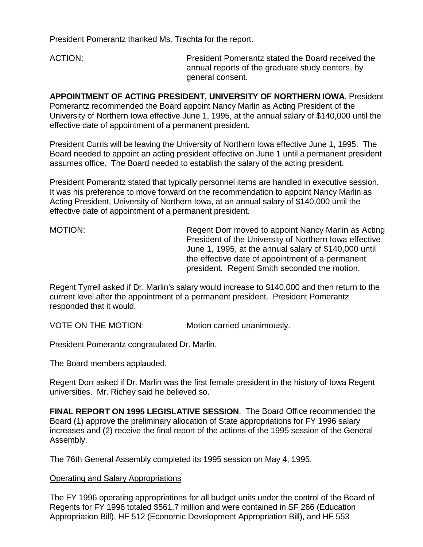President Pomerantz thanked Ms. Trachta for the report.

ACTION: President Pomerantz stated the Board received the annual reports of the graduate study centers, by general consent.

**APPOINTMENT OF ACTING PRESIDENT, UNIVERSITY OF NORTHERN IOWA**. President Pomerantz recommended the Board appoint Nancy Marlin as Acting President of the University of Northern Iowa effective June 1, 1995, at the annual salary of \$140,000 until the effective date of appointment of a permanent president.

President Curris will be leaving the University of Northern Iowa effective June 1, 1995. The Board needed to appoint an acting president effective on June 1 until a permanent president assumes office. The Board needed to establish the salary of the acting president.

President Pomerantz stated that typically personnel items are handled in executive session. It was his preference to move forward on the recommendation to appoint Nancy Marlin as Acting President, University of Northern Iowa, at an annual salary of \$140,000 until the effective date of appointment of a permanent president.

MOTION: Regent Dorr moved to appoint Nancy Marlin as Acting President of the University of Northern Iowa effective June 1, 1995, at the annual salary of \$140,000 until the effective date of appointment of a permanent president. Regent Smith seconded the motion.

Regent Tyrrell asked if Dr. Marlin's salary would increase to \$140,000 and then return to the current level after the appointment of a permanent president. President Pomerantz responded that it would.

VOTE ON THE MOTION: Motion carried unanimously.

President Pomerantz congratulated Dr. Marlin.

The Board members applauded.

Regent Dorr asked if Dr. Marlin was the first female president in the history of Iowa Regent universities. Mr. Richey said he believed so.

**FINAL REPORT ON 1995 LEGISLATIVE SESSION**. The Board Office recommended the Board (1) approve the preliminary allocation of State appropriations for FY 1996 salary increases and (2) receive the final report of the actions of the 1995 session of the General Assembly.

The 76th General Assembly completed its 1995 session on May 4, 1995.

## Operating and Salary Appropriations

The FY 1996 operating appropriations for all budget units under the control of the Board of Regents for FY 1996 totaled \$561.7 million and were contained in SF 266 (Education Appropriation Bill), HF 512 (Economic Development Appropriation Bill), and HF 553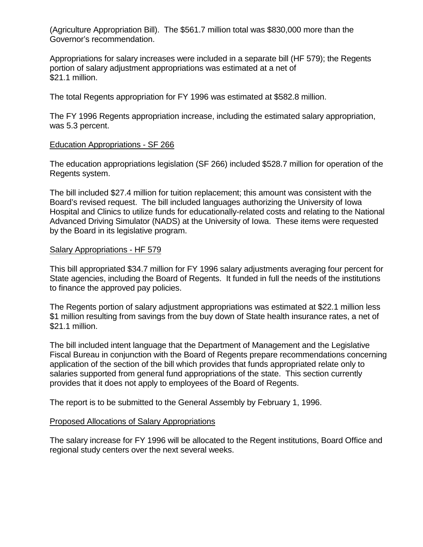(Agriculture Appropriation Bill).The \$561.7 million total was \$830,000 more than the Governor's recommendation.

Appropriations for salary increases were included in a separate bill (HF 579); the Regents portion of salary adjustment appropriations was estimated at a net of \$21.1 million.

The total Regents appropriation for FY 1996 was estimated at \$582.8 million.

The FY 1996 Regents appropriation increase, including the estimated salary appropriation, was 5.3 percent.

#### Education Appropriations - SF 266

The education appropriations legislation (SF 266) included \$528.7 million for operation of the Regents system.

The bill included \$27.4 million for tuition replacement; this amount was consistent with the Board's revised request. The bill included languages authorizing the University of Iowa Hospital and Clinics to utilize funds for educationally-related costs and relating to the National Advanced Driving Simulator (NADS) at the University of Iowa. These items were requested by the Board in its legislative program.

#### Salary Appropriations - HF 579

This bill appropriated \$34.7 million for FY 1996 salary adjustments averaging four percent for State agencies, including the Board of Regents. It funded in full the needs of the institutions to finance the approved pay policies.

The Regents portion of salary adjustment appropriations was estimated at \$22.1 million less \$1 million resulting from savings from the buy down of State health insurance rates, a net of \$21.1 million.

The bill included intent language that the Department of Management and the Legislative Fiscal Bureau in conjunction with the Board of Regents prepare recommendations concerning application of the section of the bill which provides that funds appropriated relate only to salaries supported from general fund appropriations of the state. This section currently provides that it does not apply to employees of the Board of Regents.

The report is to be submitted to the General Assembly by February 1, 1996.

#### Proposed Allocations of Salary Appropriations

The salary increase for FY 1996 will be allocated to the Regent institutions, Board Office and regional study centers over the next several weeks.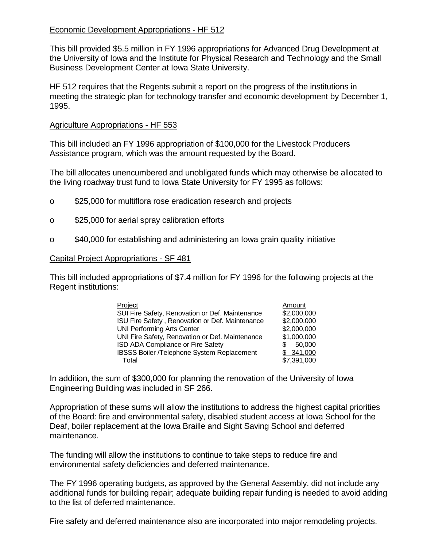# Economic Development Appropriations - HF 512

This bill provided \$5.5 million in FY 1996 appropriations for Advanced Drug Development at the University of Iowa and the Institute for Physical Research and Technology and the Small Business Development Center at Iowa State University.

HF 512 requires that the Regents submit a report on the progress of the institutions in meeting the strategic plan for technology transfer and economic development by December 1, 1995.

## Agriculture Appropriations - HF 553

This bill included an FY 1996 appropriation of \$100,000 for the Livestock Producers Assistance program, which was the amount requested by the Board.

The bill allocates unencumbered and unobligated funds which may otherwise be allocated to the living roadway trust fund to Iowa State University for FY 1995 as follows:

- o \$25,000 for multiflora rose eradication research and projects
- o \$25,000 for aerial spray calibration efforts
- o \$40,000 for establishing and administering an Iowa grain quality initiative

## Capital Project Appropriations - SF 481

This bill included appropriations of \$7.4 million for FY 1996 for the following projects at the Regent institutions:

| Project                                         | Amount      |
|-------------------------------------------------|-------------|
| SUI Fire Safety, Renovation or Def. Maintenance | \$2,000,000 |
| ISU Fire Safety, Renovation or Def. Maintenance | \$2,000,000 |
| <b>UNI Performing Arts Center</b>               | \$2,000,000 |
| UNI Fire Safety, Renovation or Def. Maintenance | \$1,000,000 |
| ISD ADA Compliance or Fire Safety               | 50,000      |
| IBSSS Boiler /Telephone System Replacement      | \$341,000   |
| Total                                           | \$7,391,000 |

In addition, the sum of \$300,000 for planning the renovation of the University of Iowa Engineering Building was included in SF 266.

Appropriation of these sums will allow the institutions to address the highest capital priorities of the Board: fire and environmental safety, disabled student access at Iowa School for the Deaf, boiler replacement at the Iowa Braille and Sight Saving School and deferred maintenance.

The funding will allow the institutions to continue to take steps to reduce fire and environmental safety deficiencies and deferred maintenance.

The FY 1996 operating budgets, as approved by the General Assembly, did not include any additional funds for building repair; adequate building repair funding is needed to avoid adding to the list of deferred maintenance.

Fire safety and deferred maintenance also are incorporated into major remodeling projects.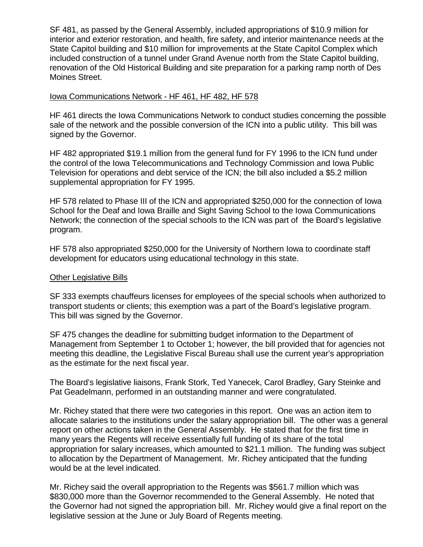SF 481, as passed by the General Assembly, included appropriations of \$10.9 million for interior and exterior restoration, and health, fire safety, and interior maintenance needs at the State Capitol building and \$10 million for improvements at the State Capitol Complex which included construction of a tunnel under Grand Avenue north from the State Capitol building, renovation of the Old Historical Building and site preparation for a parking ramp north of Des Moines Street.

#### Iowa Communications Network - HF 461, HF 482, HF 578

HF 461 directs the Iowa Communications Network to conduct studies concerning the possible sale of the network and the possible conversion of the ICN into a public utility. This bill was signed by the Governor.

HF 482 appropriated \$19.1 million from the general fund for FY 1996 to the ICN fund under the control of the Iowa Telecommunications and Technology Commission and Iowa Public Television for operations and debt service of the ICN; the bill also included a \$5.2 million supplemental appropriation for FY 1995.

HF 578 related to Phase III of the ICN and appropriated \$250,000 for the connection of Iowa School for the Deaf and Iowa Braille and Sight Saving School to the Iowa Communications Network; the connection of the special schools to the ICN was part of the Board's legislative program.

HF 578 also appropriated \$250,000 for the University of Northern Iowa to coordinate staff development for educators using educational technology in this state.

#### Other Legislative Bills

SF 333 exempts chauffeurs licenses for employees of the special schools when authorized to transport students or clients; this exemption was a part of the Board's legislative program. This bill was signed by the Governor.

SF 475 changes the deadline for submitting budget information to the Department of Management from September 1 to October 1; however, the bill provided that for agencies not meeting this deadline, the Legislative Fiscal Bureau shall use the current year's appropriation as the estimate for the next fiscal year.

The Board's legislative liaisons, Frank Stork, Ted Yanecek, Carol Bradley, Gary Steinke and Pat Geadelmann, performed in an outstanding manner and were congratulated.

Mr. Richey stated that there were two categories in this report. One was an action item to allocate salaries to the institutions under the salary appropriation bill. The other was a general report on other actions taken in the General Assembly. He stated that for the first time in many years the Regents will receive essentially full funding of its share of the total appropriation for salary increases, which amounted to \$21.1 million. The funding was subject to allocation by the Department of Management. Mr. Richey anticipated that the funding would be at the level indicated.

Mr. Richey said the overall appropriation to the Regents was \$561.7 million which was \$830,000 more than the Governor recommended to the General Assembly. He noted that the Governor had not signed the appropriation bill. Mr. Richey would give a final report on the legislative session at the June or July Board of Regents meeting.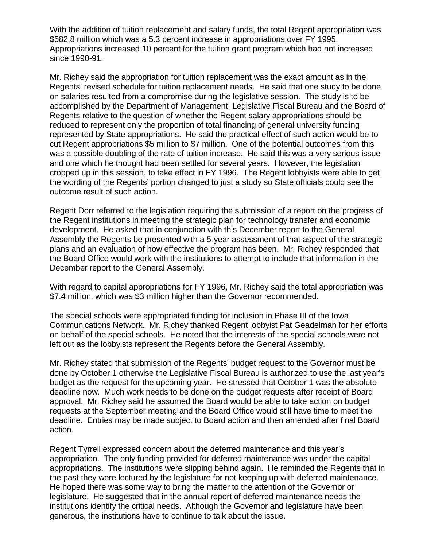With the addition of tuition replacement and salary funds, the total Regent appropriation was \$582.8 million which was a 5.3 percent increase in appropriations over FY 1995. Appropriations increased 10 percent for the tuition grant program which had not increased since 1990-91.

Mr. Richey said the appropriation for tuition replacement was the exact amount as in the Regents' revised schedule for tuition replacement needs. He said that one study to be done on salaries resulted from a compromise during the legislative session. The study is to be accomplished by the Department of Management, Legislative Fiscal Bureau and the Board of Regents relative to the question of whether the Regent salary appropriations should be reduced to represent only the proportion of total financing of general university funding represented by State appropriations. He said the practical effect of such action would be to cut Regent appropriations \$5 million to \$7 million. One of the potential outcomes from this was a possible doubling of the rate of tuition increase. He said this was a very serious issue and one which he thought had been settled for several years. However, the legislation cropped up in this session, to take effect in FY 1996. The Regent lobbyists were able to get the wording of the Regents' portion changed to just a study so State officials could see the outcome result of such action.

Regent Dorr referred to the legislation requiring the submission of a report on the progress of the Regent institutions in meeting the strategic plan for technology transfer and economic development. He asked that in conjunction with this December report to the General Assembly the Regents be presented with a 5-year assessment of that aspect of the strategic plans and an evaluation of how effective the program has been. Mr. Richey responded that the Board Office would work with the institutions to attempt to include that information in the December report to the General Assembly.

With regard to capital appropriations for FY 1996, Mr. Richey said the total appropriation was \$7.4 million, which was \$3 million higher than the Governor recommended.

The special schools were appropriated funding for inclusion in Phase III of the Iowa Communications Network. Mr. Richey thanked Regent lobbyist Pat Geadelman for her efforts on behalf of the special schools. He noted that the interests of the special schools were not left out as the lobbyists represent the Regents before the General Assembly.

Mr. Richey stated that submission of the Regents' budget request to the Governor must be done by October 1 otherwise the Legislative Fiscal Bureau is authorized to use the last year's budget as the request for the upcoming year. He stressed that October 1 was the absolute deadline now. Much work needs to be done on the budget requests after receipt of Board approval. Mr. Richey said he assumed the Board would be able to take action on budget requests at the September meeting and the Board Office would still have time to meet the deadline. Entries may be made subject to Board action and then amended after final Board action.

Regent Tyrrell expressed concern about the deferred maintenance and this year's appropriation. The only funding provided for deferred maintenance was under the capital appropriations. The institutions were slipping behind again. He reminded the Regents that in the past they were lectured by the legislature for not keeping up with deferred maintenance. He hoped there was some way to bring the matter to the attention of the Governor or legislature. He suggested that in the annual report of deferred maintenance needs the institutions identify the critical needs. Although the Governor and legislature have been generous, the institutions have to continue to talk about the issue.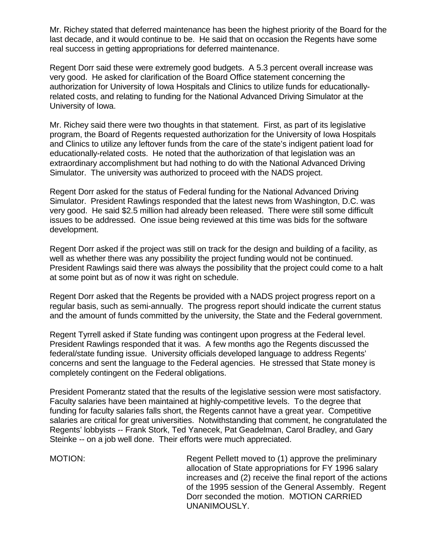Mr. Richey stated that deferred maintenance has been the highest priority of the Board for the last decade, and it would continue to be. He said that on occasion the Regents have some real success in getting appropriations for deferred maintenance.

Regent Dorr said these were extremely good budgets. A 5.3 percent overall increase was very good. He asked for clarification of the Board Office statement concerning the authorization for University of Iowa Hospitals and Clinics to utilize funds for educationallyrelated costs, and relating to funding for the National Advanced Driving Simulator at the University of Iowa.

Mr. Richey said there were two thoughts in that statement. First, as part of its legislative program, the Board of Regents requested authorization for the University of Iowa Hospitals and Clinics to utilize any leftover funds from the care of the state's indigent patient load for educationally-related costs. He noted that the authorization of that legislation was an extraordinary accomplishment but had nothing to do with the National Advanced Driving Simulator. The university was authorized to proceed with the NADS project.

Regent Dorr asked for the status of Federal funding for the National Advanced Driving Simulator. President Rawlings responded that the latest news from Washington, D.C. was very good. He said \$2.5 million had already been released. There were still some difficult issues to be addressed. One issue being reviewed at this time was bids for the software development.

Regent Dorr asked if the project was still on track for the design and building of a facility, as well as whether there was any possibility the project funding would not be continued. President Rawlings said there was always the possibility that the project could come to a halt at some point but as of now it was right on schedule.

Regent Dorr asked that the Regents be provided with a NADS project progress report on a regular basis, such as semi-annually. The progress report should indicate the current status and the amount of funds committed by the university, the State and the Federal government.

Regent Tyrrell asked if State funding was contingent upon progress at the Federal level. President Rawlings responded that it was. A few months ago the Regents discussed the federal/state funding issue. University officials developed language to address Regents' concerns and sent the language to the Federal agencies. He stressed that State money is completely contingent on the Federal obligations.

President Pomerantz stated that the results of the legislative session were most satisfactory. Faculty salaries have been maintained at highly-competitive levels. To the degree that funding for faculty salaries falls short, the Regents cannot have a great year. Competitive salaries are critical for great universities. Notwithstanding that comment, he congratulated the Regents' lobbyists -- Frank Stork, Ted Yanecek, Pat Geadelman, Carol Bradley, and Gary Steinke -- on a job well done. Their efforts were much appreciated.

MOTION: Regent Pellett moved to (1) approve the preliminary allocation of State appropriations for FY 1996 salary increases and (2) receive the final report of the actions of the 1995 session of the General Assembly. Regent Dorr seconded the motion. MOTION CARRIED UNANIMOUSLY.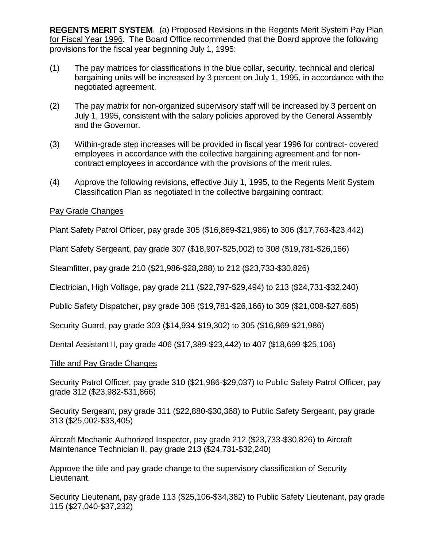**REGENTS MERIT SYSTEM**. (a) Proposed Revisions in the Regents Merit System Pay Plan for Fiscal Year 1996. The Board Office recommended that the Board approve the following provisions for the fiscal year beginning July 1, 1995:

- (1) The pay matrices for classifications in the blue collar, security, technical and clerical bargaining units will be increased by 3 percent on July 1, 1995, in accordance with the negotiated agreement.
- (2) The pay matrix for non-organized supervisory staff will be increased by 3 percent on July 1, 1995, consistent with the salary policies approved by the General Assembly and the Governor.
- (3) Within-grade step increases will be provided in fiscal year 1996 for contract- covered employees in accordance with the collective bargaining agreement and for noncontract employees in accordance with the provisions of the merit rules.
- (4) Approve the following revisions, effective July 1, 1995, to the Regents Merit System Classification Plan as negotiated in the collective bargaining contract:

# Pay Grade Changes

Plant Safety Patrol Officer, pay grade 305 (\$16,869-\$21,986) to 306 (\$17,763-\$23,442)

Plant Safety Sergeant, pay grade 307 (\$18,907-\$25,002) to 308 (\$19,781-\$26,166)

Steamfitter, pay grade 210 (\$21,986-\$28,288) to 212 (\$23,733-\$30,826)

Electrician, High Voltage, pay grade 211 (\$22,797-\$29,494) to 213 (\$24,731-\$32,240)

Public Safety Dispatcher, pay grade 308 (\$19,781-\$26,166) to 309 (\$21,008-\$27,685)

Security Guard, pay grade 303 (\$14,934-\$19,302) to 305 (\$16,869-\$21,986)

Dental Assistant II, pay grade 406 (\$17,389-\$23,442) to 407 (\$18,699-\$25,106)

## Title and Pay Grade Changes

Security Patrol Officer, pay grade 310 (\$21,986-\$29,037) to Public Safety Patrol Officer, pay grade 312 (\$23,982-\$31,866)

Security Sergeant, pay grade 311 (\$22,880-\$30,368) to Public Safety Sergeant, pay grade 313 (\$25,002-\$33,405)

Aircraft Mechanic Authorized Inspector, pay grade 212 (\$23,733-\$30,826) to Aircraft Maintenance Technician II, pay grade 213 (\$24,731-\$32,240)

Approve the title and pay grade change to the supervisory classification of Security Lieutenant.

Security Lieutenant, pay grade 113 (\$25,106-\$34,382) to Public Safety Lieutenant, pay grade 115 (\$27,040-\$37,232)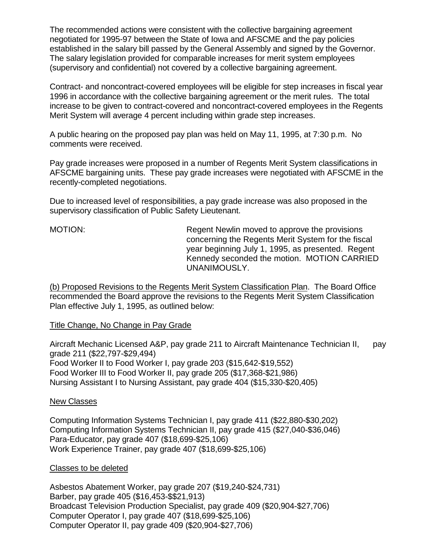The recommended actions were consistent with the collective bargaining agreement negotiated for 1995-97 between the State of Iowa and AFSCME and the pay policies established in the salary bill passed by the General Assembly and signed by the Governor. The salary legislation provided for comparable increases for merit system employees (supervisory and confidential) not covered by a collective bargaining agreement.

Contract- and noncontract-covered employees will be eligible for step increases in fiscal year 1996 in accordance with the collective bargaining agreement or the merit rules. The total increase to be given to contract-covered and noncontract-covered employees in the Regents Merit System will average 4 percent including within grade step increases.

A public hearing on the proposed pay plan was held on May 11, 1995, at 7:30 p.m. No comments were received.

Pay grade increases were proposed in a number of Regents Merit System classifications in AFSCME bargaining units. These pay grade increases were negotiated with AFSCME in the recently-completed negotiations.

Due to increased level of responsibilities, a pay grade increase was also proposed in the supervisory classification of Public Safety Lieutenant.

MOTION: Regent Newlin moved to approve the provisions concerning the Regents Merit System for the fiscal year beginning July 1, 1995, as presented. Regent Kennedy seconded the motion. MOTION CARRIED UNANIMOUSLY.

(b) Proposed Revisions to the Regents Merit System Classification Plan. The Board Office recommended the Board approve the revisions to the Regents Merit System Classification Plan effective July 1, 1995, as outlined below:

## Title Change, No Change in Pay Grade

Aircraft Mechanic Licensed A&P, pay grade 211 to Aircraft Maintenance Technician II, pay grade 211 (\$22,797-\$29,494) Food Worker II to Food Worker I, pay grade 203 (\$15,642-\$19,552) Food Worker III to Food Worker II, pay grade 205 (\$17,368-\$21,986) Nursing Assistant I to Nursing Assistant, pay grade 404 (\$15,330-\$20,405)

## New Classes

Computing Information Systems Technician I, pay grade 411 (\$22,880-\$30,202) Computing Information Systems Technician II, pay grade 415 (\$27,040-\$36,046) Para-Educator, pay grade 407 (\$18,699-\$25,106) Work Experience Trainer, pay grade 407 (\$18,699-\$25,106)

## Classes to be deleted

Asbestos Abatement Worker, pay grade 207 (\$19,240-\$24,731) Barber, pay grade 405 (\$16,453-\$\$21,913) Broadcast Television Production Specialist, pay grade 409 (\$20,904-\$27,706) Computer Operator I, pay grade 407 (\$18,699-\$25,106) Computer Operator II, pay grade 409 (\$20,904-\$27,706)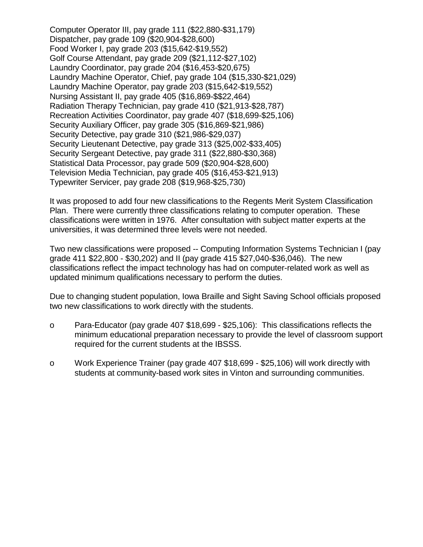Computer Operator III, pay grade 111 (\$22,880-\$31,179) Dispatcher, pay grade 109 (\$20,904-\$28,600) Food Worker I, pay grade 203 (\$15,642-\$19,552) Golf Course Attendant, pay grade 209 (\$21,112-\$27,102) Laundry Coordinator, pay grade 204 (\$16,453-\$20,675) Laundry Machine Operator, Chief, pay grade 104 (\$15,330-\$21,029) Laundry Machine Operator, pay grade 203 (\$15,642-\$19,552) Nursing Assistant II, pay grade 405 (\$16,869-\$\$22,464) Radiation Therapy Technician, pay grade 410 (\$21,913-\$28,787) Recreation Activities Coordinator, pay grade 407 (\$18,699-\$25,106) Security Auxiliary Officer, pay grade 305 (\$16,869-\$21,986) Security Detective, pay grade 310 (\$21,986-\$29,037) Security Lieutenant Detective, pay grade 313 (\$25,002-\$33,405) Security Sergeant Detective, pay grade 311 (\$22,880-\$30,368) Statistical Data Processor, pay grade 509 (\$20,904-\$28,600) Television Media Technician, pay grade 405 (\$16,453-\$21,913) Typewriter Servicer, pay grade 208 (\$19,968-\$25,730)

It was proposed to add four new classifications to the Regents Merit System Classification Plan. There were currently three classifications relating to computer operation. These classifications were written in 1976. After consultation with subject matter experts at the universities, it was determined three levels were not needed.

Two new classifications were proposed -- Computing Information Systems Technician I (pay grade 411 \$22,800 - \$30,202) and II (pay grade 415 \$27,040-\$36,046). The new classifications reflect the impact technology has had on computer-related work as well as updated minimum qualifications necessary to perform the duties.

Due to changing student population, Iowa Braille and Sight Saving School officials proposed two new classifications to work directly with the students.

- o Para-Educator (pay grade 407 \$18,699 \$25,106): This classifications reflects the minimum educational preparation necessary to provide the level of classroom support required for the current students at the IBSSS.
- o Work Experience Trainer (pay grade 407 \$18,699 \$25,106) will work directly with students at community-based work sites in Vinton and surrounding communities.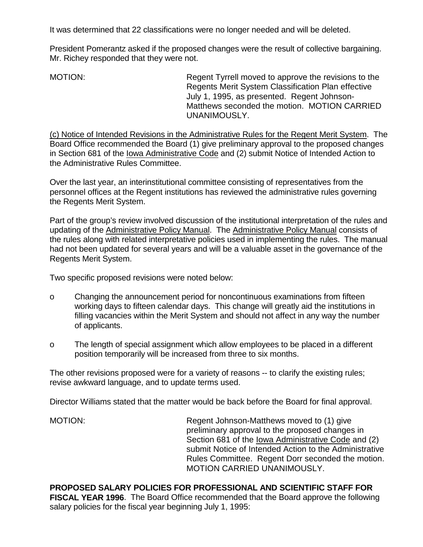It was determined that 22 classifications were no longer needed and will be deleted.

President Pomerantz asked if the proposed changes were the result of collective bargaining. Mr. Richey responded that they were not.

MOTION: Regent Tyrrell moved to approve the revisions to the Regents Merit System Classification Plan effective July 1, 1995, as presented. Regent Johnson-Matthews seconded the motion. MOTION CARRIED UNANIMOUSLY.

(c) Notice of Intended Revisions in the Administrative Rules for the Regent Merit System. The Board Office recommended the Board (1) give preliminary approval to the proposed changes in Section 681 of the lowa Administrative Code and (2) submit Notice of Intended Action to the Administrative Rules Committee.

Over the last year, an interinstitutional committee consisting of representatives from the personnel offices at the Regent institutions has reviewed the administrative rules governing the Regents Merit System.

Part of the group's review involved discussion of the institutional interpretation of the rules and updating of the Administrative Policy Manual. The Administrative Policy Manual consists of the rules along with related interpretative policies used in implementing the rules. The manual had not been updated for several years and will be a valuable asset in the governance of the Regents Merit System.

Two specific proposed revisions were noted below:

- o Changing the announcement period for noncontinuous examinations from fifteen working days to fifteen calendar days. This change will greatly aid the institutions in filling vacancies within the Merit System and should not affect in any way the number of applicants.
- o The length of special assignment which allow employees to be placed in a different position temporarily will be increased from three to six months.

The other revisions proposed were for a variety of reasons -- to clarify the existing rules; revise awkward language, and to update terms used.

Director Williams stated that the matter would be back before the Board for final approval.

MOTION: Regent Johnson-Matthews moved to (1) give preliminary approval to the proposed changes in Section 681 of the Iowa Administrative Code and (2) submit Notice of Intended Action to the Administrative Rules Committee. Regent Dorr seconded the motion. MOTION CARRIED UNANIMOUSLY.

**PROPOSED SALARY POLICIES FOR PROFESSIONAL AND SCIENTIFIC STAFF FOR FISCAL YEAR 1996**. The Board Office recommended that the Board approve the following salary policies for the fiscal year beginning July 1, 1995: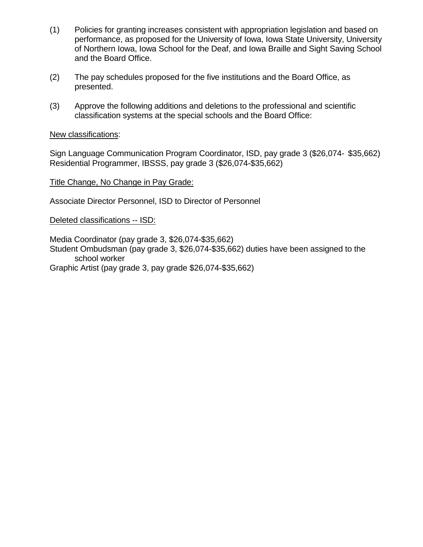- (1) Policies for granting increases consistent with appropriation legislation and based on performance, as proposed for the University of Iowa, Iowa State University, University of Northern Iowa, Iowa School for the Deaf, and Iowa Braille and Sight Saving School and the Board Office.
- (2) The pay schedules proposed for the five institutions and the Board Office, as presented.
- (3) Approve the following additions and deletions to the professional and scientific classification systems at the special schools and the Board Office:

## New classifications:

Sign Language Communication Program Coordinator, ISD, pay grade 3 (\$26,074- \$35,662) Residential Programmer, IBSSS, pay grade 3 (\$26,074-\$35,662)

## Title Change, No Change in Pay Grade:

Associate Director Personnel, ISD to Director of Personnel

## Deleted classifications -- ISD:

Media Coordinator (pay grade 3, \$26,074-\$35,662) Student Ombudsman (pay grade 3, \$26,074-\$35,662) duties have been assigned to the school worker

Graphic Artist (pay grade 3, pay grade \$26,074-\$35,662)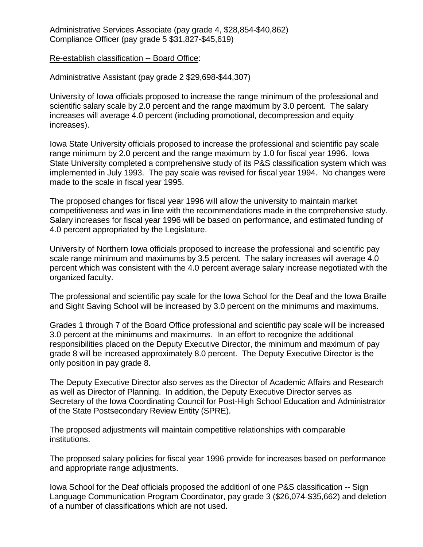Administrative Services Associate (pay grade 4, \$28,854-\$40,862) Compliance Officer (pay grade 5 \$31,827-\$45,619)

#### Re-establish classification -- Board Office:

Administrative Assistant (pay grade 2 \$29,698-\$44,307)

University of Iowa officials proposed to increase the range minimum of the professional and scientific salary scale by 2.0 percent and the range maximum by 3.0 percent. The salary increases will average 4.0 percent (including promotional, decompression and equity increases).

Iowa State University officials proposed to increase the professional and scientific pay scale range minimum by 2.0 percent and the range maximum by 1.0 for fiscal year 1996. Iowa State University completed a comprehensive study of its P&S classification system which was implemented in July 1993. The pay scale was revised for fiscal year 1994. No changes were made to the scale in fiscal year 1995.

The proposed changes for fiscal year 1996 will allow the university to maintain market competitiveness and was in line with the recommendations made in the comprehensive study. Salary increases for fiscal year 1996 will be based on performance, and estimated funding of 4.0 percent appropriated by the Legislature.

University of Northern Iowa officials proposed to increase the professional and scientific pay scale range minimum and maximums by 3.5 percent. The salary increases will average 4.0 percent which was consistent with the 4.0 percent average salary increase negotiated with the organized faculty.

The professional and scientific pay scale for the Iowa School for the Deaf and the Iowa Braille and Sight Saving School will be increased by 3.0 percent on the minimums and maximums.

Grades 1 through 7 of the Board Office professional and scientific pay scale will be increased 3.0 percent at the minimums and maximums. In an effort to recognize the additional responsibilities placed on the Deputy Executive Director, the minimum and maximum of pay grade 8 will be increased approximately 8.0 percent. The Deputy Executive Director is the only position in pay grade 8.

The Deputy Executive Director also serves as the Director of Academic Affairs and Research as well as Director of Planning. In addition, the Deputy Executive Director serves as Secretary of the Iowa Coordinating Council for Post-High School Education and Administrator of the State Postsecondary Review Entity (SPRE).

The proposed adjustments will maintain competitive relationships with comparable institutions.

The proposed salary policies for fiscal year 1996 provide for increases based on performance and appropriate range adjustments.

Iowa School for the Deaf officials proposed the additionl of one P&S classification -- Sign Language Communication Program Coordinator, pay grade 3 (\$26,074-\$35,662) and deletion of a number of classifications which are not used.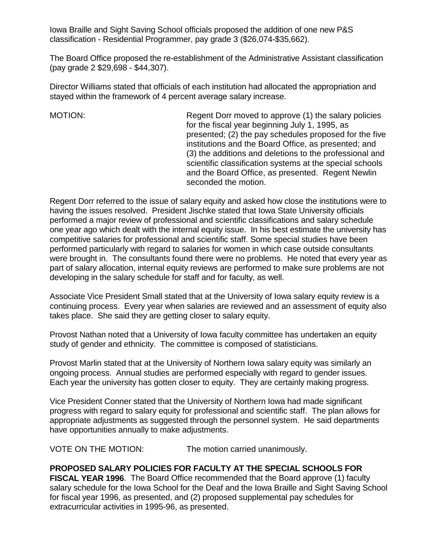Iowa Braille and Sight Saving School officials proposed the addition of one new P&S classification - Residential Programmer, pay grade 3 (\$26,074-\$35,662).

The Board Office proposed the re-establishment of the Administrative Assistant classification (pay grade 2 \$29,698 - \$44,307).

Director Williams stated that officials of each institution had allocated the appropriation and stayed within the framework of 4 percent average salary increase.

MOTION: Regent Dorr moved to approve (1) the salary policies for the fiscal year beginning July 1, 1995, as presented; (2) the pay schedules proposed for the five institutions and the Board Office, as presented; and (3) the additions and deletions to the professional and scientific classification systems at the special schools and the Board Office, as presented. Regent Newlin seconded the motion.

Regent Dorr referred to the issue of salary equity and asked how close the institutions were to having the issues resolved. President Jischke stated that Iowa State University officials performed a major review of professional and scientific classifications and salary schedule one year ago which dealt with the internal equity issue. In his best estimate the university has competitive salaries for professional and scientific staff. Some special studies have been performed particularly with regard to salaries for women in which case outside consultants were brought in. The consultants found there were no problems. He noted that every year as part of salary allocation, internal equity reviews are performed to make sure problems are not developing in the salary schedule for staff and for faculty, as well.

Associate Vice President Small stated that at the University of Iowa salary equity review is a continuing process. Every year when salaries are reviewed and an assessment of equity also takes place. She said they are getting closer to salary equity.

Provost Nathan noted that a University of Iowa faculty committee has undertaken an equity study of gender and ethnicity. The committee is composed of statisticians.

Provost Marlin stated that at the University of Northern Iowa salary equity was similarly an ongoing process. Annual studies are performed especially with regard to gender issues. Each year the university has gotten closer to equity. They are certainly making progress.

Vice President Conner stated that the University of Northern Iowa had made significant progress with regard to salary equity for professional and scientific staff. The plan allows for appropriate adjustments as suggested through the personnel system. He said departments have opportunities annually to make adjustments.

VOTE ON THE MOTION: The motion carried unanimously.

# **PROPOSED SALARY POLICIES FOR FACULTY AT THE SPECIAL SCHOOLS FOR**

**FISCAL YEAR 1996**. The Board Office recommended that the Board approve (1) faculty salary schedule for the Iowa School for the Deaf and the Iowa Braille and Sight Saving School for fiscal year 1996, as presented, and (2) proposed supplemental pay schedules for extracurricular activities in 1995-96, as presented.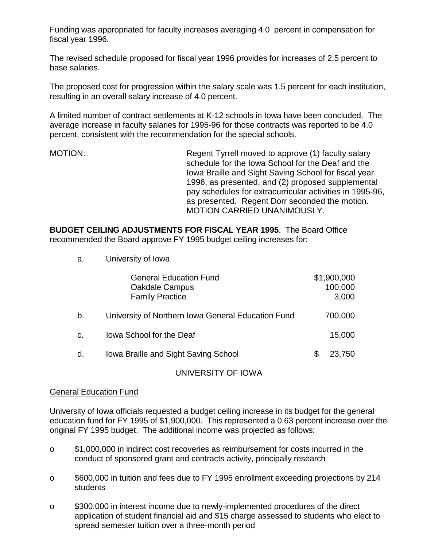Funding was appropriated for faculty increases averaging 4.0 percent in compensation for fiscal year 1996.

The revised schedule proposed for fiscal year 1996 provides for increases of 2.5 percent to base salaries.

The proposed cost for progression within the salary scale was 1.5 percent for each institution, resulting in an overall salary increase of 4.0 percent.

A limited number of contract settlements at K-12 schools in Iowa have been concluded. The average increase in faculty salaries for 1995-96 for those contracts was reported to be 4.0 percent, consistent with the recommendation for the special schools.

MOTION: Regent Tyrrell moved to approve (1) faculty salary schedule for the Iowa School for the Deaf and the Iowa Braille and Sight Saving School for fiscal year 1996, as presented, and (2) proposed supplemental pay schedules for extracurricular activities in 1995-96, as presented. Regent Dorr seconded the motion. MOTION CARRIED UNANIMOUSLY.

**BUDGET CEILING ADJUSTMENTS FOR FISCAL YEAR 1995**. The Board Office recommended the Board approve FY 1995 budget ceiling increases for:

a. University of Iowa

|                | <b>General Education Fund</b><br><b>Oakdale Campus</b><br><b>Family Practice</b> |   | \$1,900,000<br>100,000<br>3,000 |
|----------------|----------------------------------------------------------------------------------|---|---------------------------------|
| b.             | University of Northern Iowa General Education Fund                               |   | 700,000                         |
| C <sub>1</sub> | lowa School for the Deaf                                                         |   | 15,000                          |
| d.             | Iowa Braille and Sight Saving School                                             | S | 23,750                          |

#### UNIVERSITY OF IOWA

## General Education Fund

University of Iowa officials requested a budget ceiling increase in its budget for the general education fund for FY 1995 of \$1,900,000. This represented a 0.63 percent increase over the original FY 1995 budget. The additional income was projected as follows:

- o \$1,000,000 in indirect cost recoveries as reimbursement for costs incurred in the conduct of sponsored grant and contracts activity, principally research
- o \$600,000 in tuition and fees due to FY 1995 enrollment exceeding projections by 214 students
- o \$300,000 in interest income due to newly-implemented procedures of the direct application of student financial aid and \$15 charge assessed to students who elect to spread semester tuition over a three-month period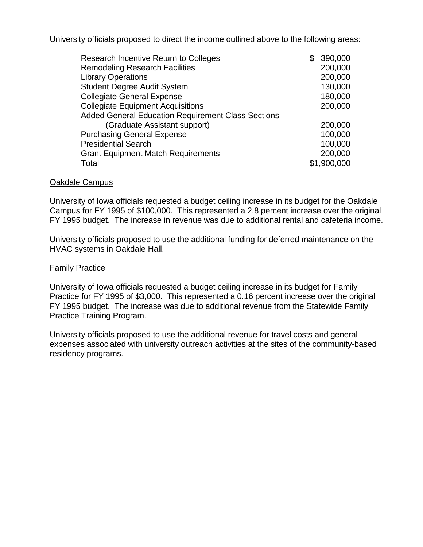University officials proposed to direct the income outlined above to the following areas:

| Research Incentive Return to Colleges                     | £. | 390,000     |
|-----------------------------------------------------------|----|-------------|
| <b>Remodeling Research Facilities</b>                     |    | 200,000     |
| <b>Library Operations</b>                                 |    | 200,000     |
| <b>Student Degree Audit System</b>                        |    | 130,000     |
| <b>Collegiate General Expense</b>                         |    | 180,000     |
| <b>Collegiate Equipment Acquisitions</b>                  |    | 200,000     |
| <b>Added General Education Requirement Class Sections</b> |    |             |
| (Graduate Assistant support)                              |    | 200,000     |
| <b>Purchasing General Expense</b>                         |    | 100,000     |
| <b>Presidential Search</b>                                |    | 100,000     |
| <b>Grant Equipment Match Requirements</b>                 |    | 200,000     |
| Total                                                     |    | \$1,900,000 |

#### Oakdale Campus

University of Iowa officials requested a budget ceiling increase in its budget for the Oakdale Campus for FY 1995 of \$100,000. This represented a 2.8 percent increase over the original FY 1995 budget. The increase in revenue was due to additional rental and cafeteria income.

University officials proposed to use the additional funding for deferred maintenance on the HVAC systems in Oakdale Hall.

#### **Family Practice**

University of Iowa officials requested a budget ceiling increase in its budget for Family Practice for FY 1995 of \$3,000. This represented a 0.16 percent increase over the original FY 1995 budget. The increase was due to additional revenue from the Statewide Family Practice Training Program.

University officials proposed to use the additional revenue for travel costs and general expenses associated with university outreach activities at the sites of the community-based residency programs.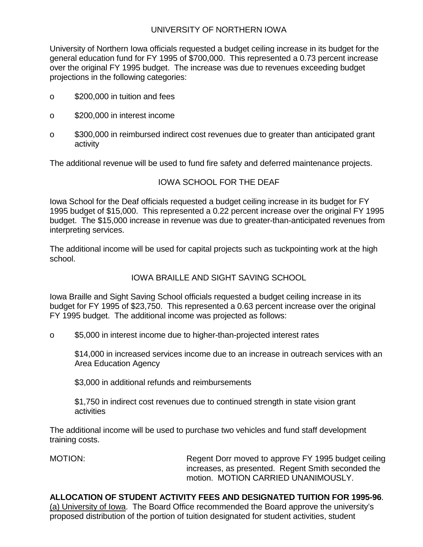# UNIVERSITY OF NORTHERN IOWA

University of Northern Iowa officials requested a budget ceiling increase in its budget for the general education fund for FY 1995 of \$700,000. This represented a 0.73 percent increase over the original FY 1995 budget. The increase was due to revenues exceeding budget projections in the following categories:

- o \$200,000 in tuition and fees
- o \$200,000 in interest income
- o \$300,000 in reimbursed indirect cost revenues due to greater than anticipated grant activity

The additional revenue will be used to fund fire safety and deferred maintenance projects.

# IOWA SCHOOL FOR THE DEAF

Iowa School for the Deaf officials requested a budget ceiling increase in its budget for FY 1995 budget of \$15,000. This represented a 0.22 percent increase over the original FY 1995 budget. The \$15,000 increase in revenue was due to greater-than-anticipated revenues from interpreting services.

The additional income will be used for capital projects such as tuckpointing work at the high school.

# IOWA BRAILLE AND SIGHT SAVING SCHOOL

Iowa Braille and Sight Saving School officials requested a budget ceiling increase in its budget for FY 1995 of \$23,750. This represented a 0.63 percent increase over the original FY 1995 budget. The additional income was projected as follows:

o \$5,000 in interest income due to higher-than-projected interest rates

\$14,000 in increased services income due to an increase in outreach services with an Area Education Agency

\$3,000 in additional refunds and reimbursements

\$1,750 in indirect cost revenues due to continued strength in state vision grant activities

The additional income will be used to purchase two vehicles and fund staff development training costs.

MOTION: Regent Dorr moved to approve FY 1995 budget ceiling increases, as presented. Regent Smith seconded the motion. MOTION CARRIED UNANIMOUSLY.

**ALLOCATION OF STUDENT ACTIVITY FEES AND DESIGNATED TUITION FOR 1995-96**.

(a) University of Iowa. The Board Office recommended the Board approve the university's proposed distribution of the portion of tuition designated for student activities, student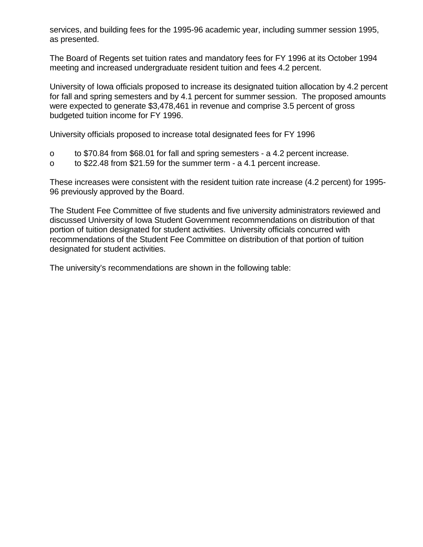services, and building fees for the 1995-96 academic year, including summer session 1995, as presented.

The Board of Regents set tuition rates and mandatory fees for FY 1996 at its October 1994 meeting and increased undergraduate resident tuition and fees 4.2 percent.

University of Iowa officials proposed to increase its designated tuition allocation by 4.2 percent for fall and spring semesters and by 4.1 percent for summer session. The proposed amounts were expected to generate \$3,478,461 in revenue and comprise 3.5 percent of gross budgeted tuition income for FY 1996.

University officials proposed to increase total designated fees for FY 1996

- o to \$70.84 from \$68.01 for fall and spring semesters a 4.2 percent increase.
- o to \$22.48 from \$21.59 for the summer term a 4.1 percent increase.

These increases were consistent with the resident tuition rate increase (4.2 percent) for 1995- 96 previously approved by the Board.

The Student Fee Committee of five students and five university administrators reviewed and discussed University of Iowa Student Government recommendations on distribution of that portion of tuition designated for student activities. University officials concurred with recommendations of the Student Fee Committee on distribution of that portion of tuition designated for student activities.

The university's recommendations are shown in the following table: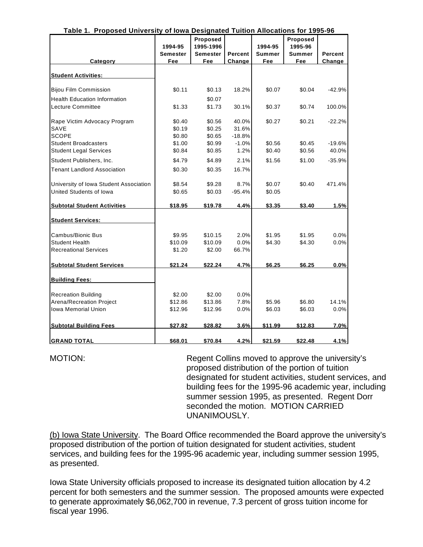| Table 1. Proposed University of lowa Designated Tuition Allocations for 1995-96 |                 |                 |          |               |               |          |
|---------------------------------------------------------------------------------|-----------------|-----------------|----------|---------------|---------------|----------|
|                                                                                 |                 | Proposed        |          |               | Proposed      |          |
|                                                                                 | 1994-95         | 1995-1996       |          | 1994-95       | 1995-96       |          |
|                                                                                 | <b>Semester</b> | <b>Semester</b> | Percent  | <b>Summer</b> | <b>Summer</b> | Percent  |
| Category                                                                        | Fee             | Fee             | Change   | Fee           | Fee           | Change   |
| <b>Student Activities:</b>                                                      |                 |                 |          |               |               |          |
| <b>Bijou Film Commission</b>                                                    | \$0.11          | \$0.13          | 18.2%    | \$0.07        | \$0.04        | -42.9%   |
| <b>Health Education Information</b>                                             |                 | \$0.07          |          |               |               |          |
| Lecture Committee                                                               | \$1.33          | \$1.73          | 30.1%    | \$0.37        | \$0.74        | 100.0%   |
| Rape Victim Advocacy Program                                                    | \$0.40          | \$0.56          | 40.0%    | \$0.27        | \$0.21        | $-22.2%$ |
| SAVE                                                                            | \$0.19          | \$0.25          | 31.6%    |               |               |          |
| <b>SCOPE</b>                                                                    | \$0.80          | \$0.65          | $-18.8%$ |               |               |          |
| <b>Student Broadcasters</b>                                                     | \$1.00          | \$0.99          | $-1.0%$  | \$0.56        | \$0.45        | $-19.6%$ |
| <b>Student Legal Services</b>                                                   | \$0.84          | \$0.85          | 1.2%     | \$0.40        | \$0.56        | 40.0%    |
| Student Publishers, Inc.                                                        | \$4.79          | \$4.89          | 2.1%     | \$1.56        | \$1.00        | $-35.9%$ |
| <b>Tenant Landlord Association</b>                                              | \$0.30          | \$0.35          | 16.7%    |               |               |          |
| University of Iowa Student Association                                          | \$8.54          | \$9.28          | 8.7%     | \$0.07        | \$0.40        | 471.4%   |
| United Students of Iowa                                                         | \$0.65          | \$0.03          | $-95.4%$ | \$0.05        |               |          |
| <b>Subtotal Student Activities</b>                                              | \$18.95         | \$19.78         | 4.4%     | \$3.35        | \$3.40        | 1.5%     |
| <b>Student Services:</b>                                                        |                 |                 |          |               |               |          |
| Cambus/Bionic Bus                                                               | \$9.95          | \$10.15         | 2.0%     | \$1.95        | \$1.95        | 0.0%     |
| <b>Student Health</b>                                                           | \$10.09         | \$10.09         | 0.0%     | \$4.30        | \$4.30        | 0.0%     |
| <b>Recreational Services</b>                                                    | \$1.20          | \$2.00          | 66.7%    |               |               |          |
|                                                                                 |                 |                 |          |               |               |          |
| <b>Subtotal Student Services</b>                                                | \$21.24         | \$22.24         | 4.7%     | \$6.25        | \$6.25        | 0.0%     |
| <b>Building Fees:</b>                                                           |                 |                 |          |               |               |          |
| <b>Recreation Building</b>                                                      | \$2.00          | \$2.00          | 0.0%     |               |               |          |
| Arena/Recreation Project                                                        | \$12.86         | \$13.86         | 7.8%     | \$5.96        | \$6.80        | 14.1%    |
| <b>Iowa Memorial Union</b>                                                      | \$12.96         | \$12.96         | 0.0%     | \$6.03        | \$6.03        | $0.0\%$  |
| <b>Subtotal Building Fees</b>                                                   | \$27.82         | \$28.82         | 3.6%     | \$11.99       | \$12.83       | 7.0%     |
|                                                                                 |                 |                 |          |               |               |          |
| <b>GRAND TOTAL</b>                                                              | \$68.01         | \$70.84         | 4.2%     | \$21.59       | \$22.48       | 4.1%     |

### **Table 1. Proposed University of Iowa Designated Tuition Allocations for 1995-96**

MOTION: Regent Collins moved to approve the university's proposed distribution of the portion of tuition designated for student activities, student services, and building fees for the 1995-96 academic year, including summer session 1995, as presented. Regent Dorr seconded the motion. MOTION CARRIED UNANIMOUSLY.

(b) Iowa State University. The Board Office recommended the Board approve the university's proposed distribution of the portion of tuition designated for student activities, student services, and building fees for the 1995-96 academic year, including summer session 1995, as presented.

Iowa State University officials proposed to increase its designated tuition allocation by 4.2 percent for both semesters and the summer session. The proposed amounts were expected to generate approximately \$6,062,700 in revenue, 7.3 percent of gross tuition income for fiscal year 1996.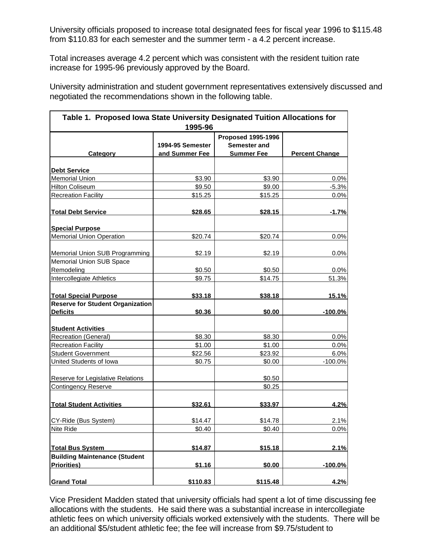University officials proposed to increase total designated fees for fiscal year 1996 to \$115.48 from \$110.83 for each semester and the summer term - a 4.2 percent increase.

Total increases average 4.2 percent which was consistent with the resident tuition rate increase for 1995-96 previously approved by the Board.

University administration and student government representatives extensively discussed and negotiated the recommendations shown in the following table.

| Table 1. Proposed Iowa State University Designated Tuition Allocations for | 1995-96                            |                                                                |                       |
|----------------------------------------------------------------------------|------------------------------------|----------------------------------------------------------------|-----------------------|
| <b>Category</b>                                                            | 1994-95 Semester<br>and Summer Fee | <b>Proposed 1995-1996</b><br>Semester and<br><b>Summer Fee</b> | <b>Percent Change</b> |
|                                                                            |                                    |                                                                |                       |
| <b>Debt Service</b>                                                        |                                    |                                                                |                       |
| <b>Memorial Union</b>                                                      | \$3.90                             | \$3.90                                                         | 0.0%                  |
| <b>Hilton Coliseum</b>                                                     | \$9.50                             | \$9.00                                                         | $-5.3%$               |
| <b>Recreation Facility</b>                                                 | \$15.25                            | \$15.25                                                        | 0.0%                  |
| <b>Total Debt Service</b>                                                  | <u>\$28.65</u>                     | \$28.15                                                        | $-1.7%$               |
| <b>Special Purpose</b>                                                     |                                    |                                                                |                       |
| <b>Memorial Union Operation</b>                                            | \$20.74                            | \$20.74                                                        | 0.0%                  |
| Memorial Union SUB Programming                                             | \$2.19                             | \$2.19                                                         | 0.0%                  |
| Memorial Union SUB Space                                                   |                                    |                                                                |                       |
| Remodeling                                                                 | \$0.50                             | \$0.50                                                         | 0.0%                  |
| Intercollegiate Athletics                                                  | \$9.75                             | \$14.75                                                        | 51.3%                 |
| <b>Total Special Purpose</b>                                               | \$33.18                            | \$38.18                                                        | 15.1%                 |
| <b>Reserve for Student Organization</b>                                    |                                    |                                                                |                       |
| <b>Deficits</b>                                                            | \$0.36                             | \$0.00                                                         | $-100.0%$             |
| <b>Student Activities</b>                                                  |                                    |                                                                |                       |
| <b>Recreation (General)</b>                                                | \$8.30                             | \$8.30                                                         | 0.0%                  |
| <b>Recreation Facility</b>                                                 | \$1.00                             | \$1.00                                                         | 0.0%                  |
| <b>Student Government</b>                                                  | \$22.56                            | \$23.92                                                        | 6.0%                  |
| United Students of Iowa                                                    | \$0.75                             | \$0.00                                                         | $-100.0%$             |
| Reserve for Legislative Relations                                          |                                    | \$0.50                                                         |                       |
| <b>Contingency Reserve</b>                                                 |                                    | \$0.25                                                         |                       |
|                                                                            |                                    |                                                                |                       |
| <b>Total Student Activities</b>                                            | \$32.61                            | \$33.97                                                        | 4.2%                  |
| CY-Ride (Bus System)                                                       | \$14.47                            | \$14.78                                                        | 2.1%                  |
| Nite Ride                                                                  | \$0.40                             | \$0.40                                                         | 0.0%                  |
|                                                                            |                                    |                                                                |                       |
| <b>Total Bus System</b>                                                    | \$14.87                            | \$15.18                                                        | 2.1%                  |
| <b>Building Maintenance (Student</b><br><b>Priorities</b> )                | \$1.16                             | \$0.00                                                         | $-100.0%$             |
|                                                                            |                                    |                                                                |                       |
| <b>Grand Total</b>                                                         | \$110.83                           | \$115.48                                                       | 4.2%                  |

Vice President Madden stated that university officials had spent a lot of time discussing fee allocations with the students. He said there was a substantial increase in intercollegiate athletic fees on which university officials worked extensively with the students. There will be an additional \$5/student athletic fee; the fee will increase from \$9.75/student to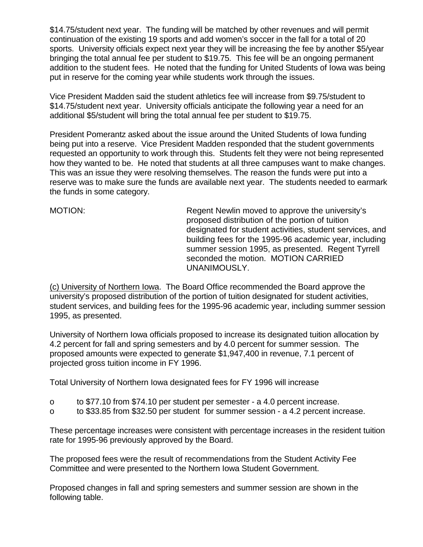\$14.75/student next year. The funding will be matched by other revenues and will permit continuation of the existing 19 sports and add women's soccer in the fall for a total of 20 sports. University officials expect next year they will be increasing the fee by another \$5/year bringing the total annual fee per student to \$19.75. This fee will be an ongoing permanent addition to the student fees. He noted that the funding for United Students of Iowa was being put in reserve for the coming year while students work through the issues.

Vice President Madden said the student athletics fee will increase from \$9.75/student to \$14.75/student next year. University officials anticipate the following year a need for an additional \$5/student will bring the total annual fee per student to \$19.75.

President Pomerantz asked about the issue around the United Students of Iowa funding being put into a reserve. Vice President Madden responded that the student governments requested an opportunity to work through this. Students felt they were not being represented how they wanted to be. He noted that students at all three campuses want to make changes. This was an issue they were resolving themselves. The reason the funds were put into a reserve was to make sure the funds are available next year. The students needed to earmark the funds in some category.

MOTION: MOTION: Regent Newlin moved to approve the university's proposed distribution of the portion of tuition designated for student activities, student services, and building fees for the 1995-96 academic year, including summer session 1995, as presented. Regent Tyrrell seconded the motion. MOTION CARRIED UNANIMOUSLY.

(c) University of Northern Iowa. The Board Office recommended the Board approve the university's proposed distribution of the portion of tuition designated for student activities, student services, and building fees for the 1995-96 academic year, including summer session 1995, as presented.

University of Northern Iowa officials proposed to increase its designated tuition allocation by 4.2 percent for fall and spring semesters and by 4.0 percent for summer session. The proposed amounts were expected to generate \$1,947,400 in revenue, 7.1 percent of projected gross tuition income in FY 1996.

Total University of Northern Iowa designated fees for FY 1996 will increase

- o to \$77.10 from \$74.10 per student per semester a 4.0 percent increase.
- o to \$33.85 from \$32.50 per student for summer session a 4.2 percent increase.

These percentage increases were consistent with percentage increases in the resident tuition rate for 1995-96 previously approved by the Board.

The proposed fees were the result of recommendations from the Student Activity Fee Committee and were presented to the Northern Iowa Student Government.

Proposed changes in fall and spring semesters and summer session are shown in the following table.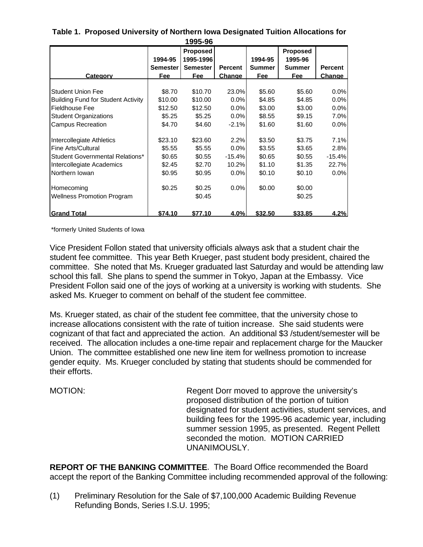|                                           |                 | 1 YYJ-YO        |                |         |                 |                |
|-------------------------------------------|-----------------|-----------------|----------------|---------|-----------------|----------------|
|                                           |                 | <b>Proposed</b> |                |         | <b>Proposed</b> |                |
|                                           | 1994-95         | 1995-1996       |                | 1994-95 | 1995-96         |                |
|                                           | <b>Semester</b> | <b>Semester</b> | <b>Percent</b> | Summer  | Summer          | <b>Percent</b> |
| Category                                  | Fee             | Fee             | Change         | Fee     | Fee             | Change         |
|                                           |                 |                 |                |         |                 |                |
| <b>Student Union Fee</b>                  | \$8.70          | \$10.70         | 23.0%          | \$5.60  | \$5.60          | 0.0%           |
| <b>Building Fund for Student Activity</b> | \$10.00         | \$10.00         | 0.0%           | \$4.85  | \$4.85          | 0.0%           |
| <b>Fieldhouse Fee</b>                     | \$12.50         | \$12.50         | 0.0%           | \$3.00  | \$3.00          | 0.0%           |
| <b>Student Organizations</b>              | \$5.25          | \$5.25          | 0.0%           | \$8.55  | \$9.15          | 7.0%           |
| <b>Campus Recreation</b>                  | \$4.70          | \$4.60          | $-2.1%$        | \$1.60  | \$1.60          | 0.0%           |
| Intercollegiate Athletics                 | \$23.10         | \$23.60         | 2.2%           | \$3.50  | \$3.75          | 7.1%           |
| Fine Arts/Cultural                        | \$5.55          | \$5.55          | 0.0%           | \$3.55  | \$3.65          | 2.8%           |
| <b>Student Governmental Relations*</b>    | \$0.65          | \$0.55          | $-15.4%$       | \$0.65  | \$0.55          | $-15.4%$       |
| Intercollegiate Academics                 | \$2.45          | \$2.70          | 10.2%          | \$1.10  | \$1.35          | 22.7%          |
| Northern Iowan                            | \$0.95          | \$0.95          | $0.0\%$        | \$0.10  | \$0.10          | 0.0%           |
| Homecoming                                | \$0.25          | \$0.25          | 0.0%           | \$0.00  | \$0.00          |                |
| <b>Wellness Promotion Program</b>         |                 | \$0.45          |                |         | \$0.25          |                |
| <b>Grand Total</b>                        | \$74.10         | \$77.10         | 4.0%           | \$32.50 | \$33.85         | 4.2%           |

**Table 1. Proposed University of Northern Iowa Designated Tuition Allocations for 1995-96**

\*formerly United Students of Iowa

Vice President Follon stated that university officials always ask that a student chair the student fee committee. This year Beth Krueger, past student body president, chaired the committee. She noted that Ms. Krueger graduated last Saturday and would be attending law school this fall. She plans to spend the summer in Tokyo, Japan at the Embassy. Vice President Follon said one of the joys of working at a university is working with students. She asked Ms. Krueger to comment on behalf of the student fee committee.

Ms. Krueger stated, as chair of the student fee committee, that the university chose to increase allocations consistent with the rate of tuition increase. She said students were cognizant of that fact and appreciated the action. An additional \$3 /student/semester will be received. The allocation includes a one-time repair and replacement charge for the Maucker Union. The committee established one new line item for wellness promotion to increase gender equity. Ms. Krueger concluded by stating that students should be commended for their efforts.

MOTION: Regent Dorr moved to approve the university's proposed distribution of the portion of tuition designated for student activities, student services, and building fees for the 1995-96 academic year, including summer session 1995, as presented. Regent Pellett seconded the motion. MOTION CARRIED UNANIMOUSLY.

**REPORT OF THE BANKING COMMITTEE**. The Board Office recommended the Board accept the report of the Banking Committee including recommended approval of the following:

(1) Preliminary Resolution for the Sale of \$7,100,000 Academic Building Revenue Refunding Bonds, Series I.S.U. 1995;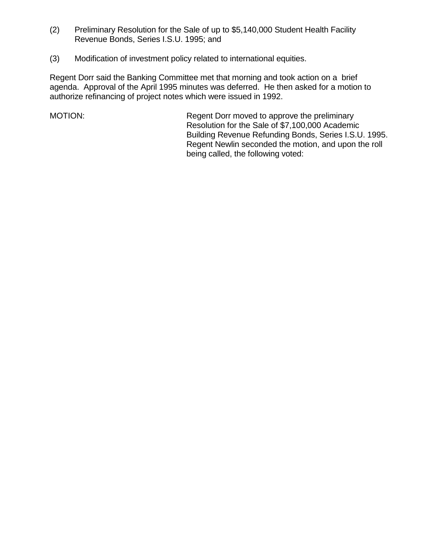- (2) Preliminary Resolution for the Sale of up to \$5,140,000 Student Health Facility Revenue Bonds, Series I.S.U. 1995; and
- (3) Modification of investment policy related to international equities.

Regent Dorr said the Banking Committee met that morning and took action on a brief agenda. Approval of the April 1995 minutes was deferred. He then asked for a motion to authorize refinancing of project notes which were issued in 1992.

MOTION: Regent Dorr moved to approve the preliminary Resolution for the Sale of \$7,100,000 Academic Building Revenue Refunding Bonds, Series I.S.U. 1995. Regent Newlin seconded the motion, and upon the roll being called, the following voted: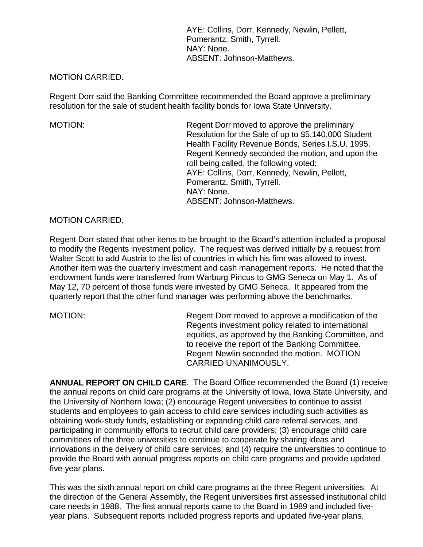AYE: Collins, Dorr, Kennedy, Newlin, Pellett, Pomerantz, Smith, Tyrrell. NAY: None. ABSENT: Johnson-Matthews.

## MOTION CARRIED.

Regent Dorr said the Banking Committee recommended the Board approve a preliminary resolution for the sale of student health facility bonds for Iowa State University.

MOTION: Regent Dorr moved to approve the preliminary Resolution for the Sale of up to \$5,140,000 Student Health Facility Revenue Bonds, Series I.S.U. 1995. Regent Kennedy seconded the motion, and upon the roll being called, the following voted: AYE: Collins, Dorr, Kennedy, Newlin, Pellett, Pomerantz, Smith, Tyrrell. NAY: None. ABSENT: Johnson-Matthews.

## MOTION CARRIED.

Regent Dorr stated that other items to be brought to the Board's attention included a proposal to modify the Regents investment policy. The request was derived initially by a request from Walter Scott to add Austria to the list of countries in which his firm was allowed to invest. Another item was the quarterly investment and cash management reports. He noted that the endowment funds were transferred from Warburg Pincus to GMG Seneca on May 1. As of May 12, 70 percent of those funds were invested by GMG Seneca. It appeared from the quarterly report that the other fund manager was performing above the benchmarks.

MOTION: Regent Dorr moved to approve a modification of the Regents investment policy related to international equities, as approved by the Banking Committee, and to receive the report of the Banking Committee. Regent Newlin seconded the motion. MOTION CARRIED UNANIMOUSLY.

**ANNUAL REPORT ON CHILD CARE**. The Board Office recommended the Board (1) receive the annual reports on child care programs at the University of Iowa, Iowa State University, and the University of Northern Iowa; (2) encourage Regent universities to continue to assist students and employees to gain access to child care services including such activities as obtaining work-study funds, establishing or expanding child care referral services, and participating in community efforts to recruit child care providers; (3) encourage child care committees of the three universities to continue to cooperate by sharing ideas and innovations in the delivery of child care services; and (4) require the universities to continue to provide the Board with annual progress reports on child care programs and provide updated five-year plans.

This was the sixth annual report on child care programs at the three Regent universities. At the direction of the General Assembly, the Regent universities first assessed institutional child care needs in 1988. The first annual reports came to the Board in 1989 and included fiveyear plans. Subsequent reports included progress reports and updated five-year plans.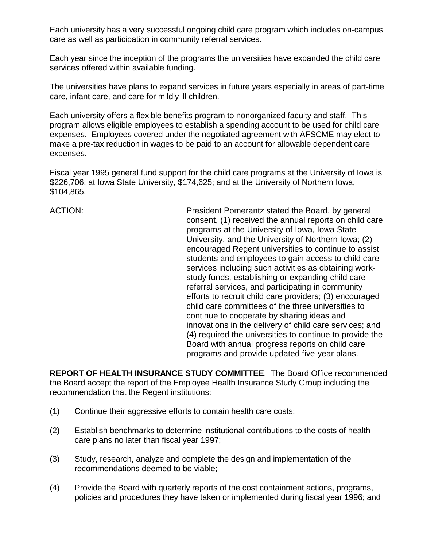Each university has a very successful ongoing child care program which includes on-campus care as well as participation in community referral services.

Each year since the inception of the programs the universities have expanded the child care services offered within available funding.

The universities have plans to expand services in future years especially in areas of part-time care, infant care, and care for mildly ill children.

Each university offers a flexible benefits program to nonorganized faculty and staff. This program allows eligible employees to establish a spending account to be used for child care expenses. Employees covered under the negotiated agreement with AFSCME may elect to make a pre-tax reduction in wages to be paid to an account for allowable dependent care expenses.

Fiscal year 1995 general fund support for the child care programs at the University of Iowa is \$226,706; at Iowa State University, \$174,625; and at the University of Northern Iowa, \$104,865.

ACTION: President Pomerantz stated the Board, by general consent, (1) received the annual reports on child care programs at the University of Iowa, Iowa State University, and the University of Northern Iowa; (2) encouraged Regent universities to continue to assist students and employees to gain access to child care services including such activities as obtaining workstudy funds, establishing or expanding child care referral services, and participating in community efforts to recruit child care providers; (3) encouraged child care committees of the three universities to continue to cooperate by sharing ideas and innovations in the delivery of child care services; and (4) required the universities to continue to provide the Board with annual progress reports on child care programs and provide updated five-year plans.

**REPORT OF HEALTH INSURANCE STUDY COMMITTEE**. The Board Office recommended the Board accept the report of the Employee Health Insurance Study Group including the recommendation that the Regent institutions:

- (1) Continue their aggressive efforts to contain health care costs;
- (2) Establish benchmarks to determine institutional contributions to the costs of health care plans no later than fiscal year 1997;
- (3) Study, research, analyze and complete the design and implementation of the recommendations deemed to be viable;
- (4) Provide the Board with quarterly reports of the cost containment actions, programs, policies and procedures they have taken or implemented during fiscal year 1996; and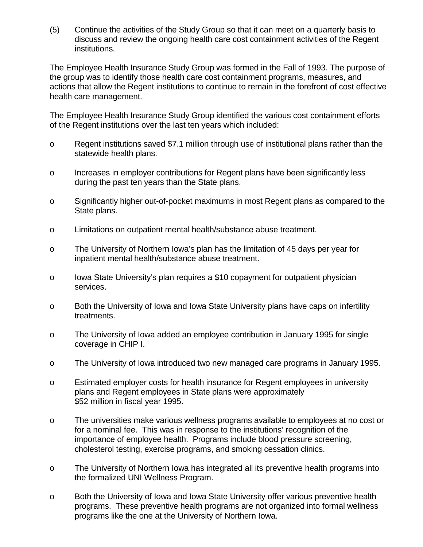(5) Continue the activities of the Study Group so that it can meet on a quarterly basis to discuss and review the ongoing health care cost containment activities of the Regent institutions.

The Employee Health Insurance Study Group was formed in the Fall of 1993. The purpose of the group was to identify those health care cost containment programs, measures, and actions that allow the Regent institutions to continue to remain in the forefront of cost effective health care management.

The Employee Health Insurance Study Group identified the various cost containment efforts of the Regent institutions over the last ten years which included:

- o Regent institutions saved \$7.1 million through use of institutional plans rather than the statewide health plans.
- o Increases in employer contributions for Regent plans have been significantly less during the past ten years than the State plans.
- o Significantly higher out-of-pocket maximums in most Regent plans as compared to the State plans.
- o Limitations on outpatient mental health/substance abuse treatment.
- o The University of Northern Iowa's plan has the limitation of 45 days per year for inpatient mental health/substance abuse treatment.
- o Iowa State University's plan requires a \$10 copayment for outpatient physician services.
- o Both the University of Iowa and Iowa State University plans have caps on infertility treatments.
- o The University of Iowa added an employee contribution in January 1995 for single coverage in CHIP I.
- o The University of Iowa introduced two new managed care programs in January 1995.
- o Estimated employer costs for health insurance for Regent employees in university plans and Regent employees in State plans were approximately \$52 million in fiscal year 1995.
- o The universities make various wellness programs available to employees at no cost or for a nominal fee. This was in response to the institutions' recognition of the importance of employee health. Programs include blood pressure screening, cholesterol testing, exercise programs, and smoking cessation clinics.
- o The University of Northern Iowa has integrated all its preventive health programs into the formalized UNI Wellness Program.
- o Both the University of Iowa and Iowa State University offer various preventive health programs. These preventive health programs are not organized into formal wellness programs like the one at the University of Northern Iowa.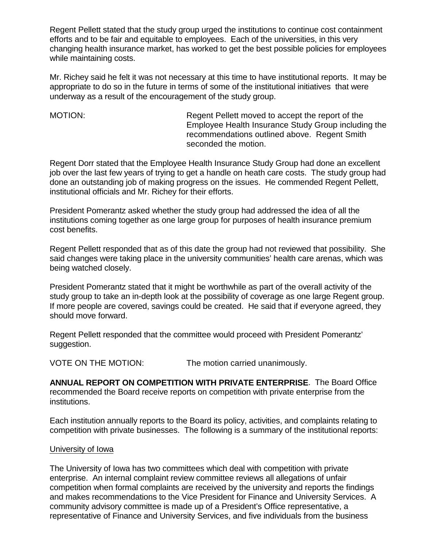Regent Pellett stated that the study group urged the institutions to continue cost containment efforts and to be fair and equitable to employees. Each of the universities, in this very changing health insurance market, has worked to get the best possible policies for employees while maintaining costs.

Mr. Richey said he felt it was not necessary at this time to have institutional reports. It may be appropriate to do so in the future in terms of some of the institutional initiatives that were underway as a result of the encouragement of the study group.

MOTION: MOTION: Regent Pellett moved to accept the report of the Employee Health Insurance Study Group including the recommendations outlined above. Regent Smith seconded the motion.

Regent Dorr stated that the Employee Health Insurance Study Group had done an excellent job over the last few years of trying to get a handle on heath care costs. The study group had done an outstanding job of making progress on the issues. He commended Regent Pellett, institutional officials and Mr. Richey for their efforts.

President Pomerantz asked whether the study group had addressed the idea of all the institutions coming together as one large group for purposes of health insurance premium cost benefits.

Regent Pellett responded that as of this date the group had not reviewed that possibility. She said changes were taking place in the university communities' health care arenas, which was being watched closely.

President Pomerantz stated that it might be worthwhile as part of the overall activity of the study group to take an in-depth look at the possibility of coverage as one large Regent group. If more people are covered, savings could be created. He said that if everyone agreed, they should move forward.

Regent Pellett responded that the committee would proceed with President Pomerantz' suggestion.

VOTE ON THE MOTION: The motion carried unanimously.

**ANNUAL REPORT ON COMPETITION WITH PRIVATE ENTERPRISE**. The Board Office recommended the Board receive reports on competition with private enterprise from the institutions.

Each institution annually reports to the Board its policy, activities, and complaints relating to competition with private businesses. The following is a summary of the institutional reports:

## University of Iowa

The University of Iowa has two committees which deal with competition with private enterprise. An internal complaint review committee reviews all allegations of unfair competition when formal complaints are received by the university and reports the findings and makes recommendations to the Vice President for Finance and University Services. A community advisory committee is made up of a President's Office representative, a representative of Finance and University Services, and five individuals from the business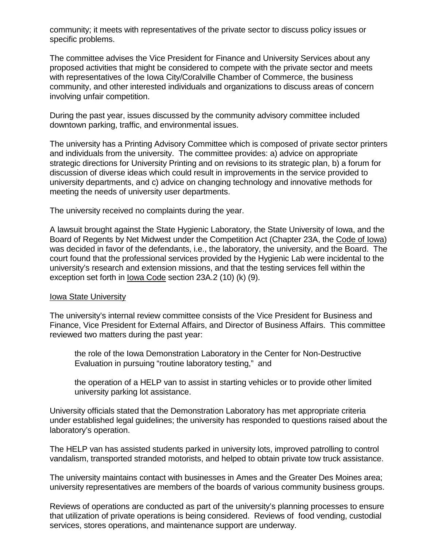community; it meets with representatives of the private sector to discuss policy issues or specific problems.

The committee advises the Vice President for Finance and University Services about any proposed activities that might be considered to compete with the private sector and meets with representatives of the Iowa City/Coralville Chamber of Commerce, the business community, and other interested individuals and organizations to discuss areas of concern involving unfair competition.

During the past year, issues discussed by the community advisory committee included downtown parking, traffic, and environmental issues.

The university has a Printing Advisory Committee which is composed of private sector printers and individuals from the university. The committee provides: a) advice on appropriate strategic directions for University Printing and on revisions to its strategic plan, b) a forum for discussion of diverse ideas which could result in improvements in the service provided to university departments, and c) advice on changing technology and innovative methods for meeting the needs of university user departments.

The university received no complaints during the year.

A lawsuit brought against the State Hygienic Laboratory, the State University of Iowa, and the Board of Regents by Net Midwest under the Competition Act (Chapter 23A, the Code of Iowa) was decided in favor of the defendants, i.e., the laboratory, the university, and the Board. The court found that the professional services provided by the Hygienic Lab were incidental to the university's research and extension missions, and that the testing services fell within the exception set forth in Iowa Code section 23A.2 (10) (k) (9).

## Iowa State University

The university's internal review committee consists of the Vice President for Business and Finance, Vice President for External Affairs, and Director of Business Affairs. This committee reviewed two matters during the past year:

the role of the Iowa Demonstration Laboratory in the Center for Non-Destructive Evaluation in pursuing "routine laboratory testing," and

the operation of a HELP van to assist in starting vehicles or to provide other limited university parking lot assistance.

University officials stated that the Demonstration Laboratory has met appropriate criteria under established legal guidelines; the university has responded to questions raised about the laboratory's operation.

The HELP van has assisted students parked in university lots, improved patrolling to control vandalism, transported stranded motorists, and helped to obtain private tow truck assistance.

The university maintains contact with businesses in Ames and the Greater Des Moines area; university representatives are members of the boards of various community business groups.

Reviews of operations are conducted as part of the university's planning processes to ensure that utilization of private operations is being considered. Reviews of food vending, custodial services, stores operations, and maintenance support are underway.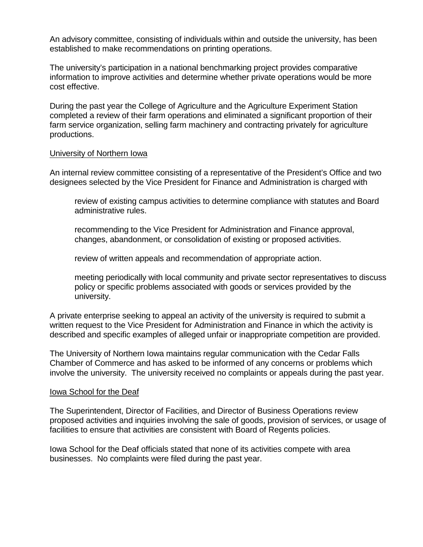An advisory committee, consisting of individuals within and outside the university, has been established to make recommendations on printing operations.

The university's participation in a national benchmarking project provides comparative information to improve activities and determine whether private operations would be more cost effective.

During the past year the College of Agriculture and the Agriculture Experiment Station completed a review of their farm operations and eliminated a significant proportion of their farm service organization, selling farm machinery and contracting privately for agriculture productions.

## University of Northern Iowa

An internal review committee consisting of a representative of the President's Office and two designees selected by the Vice President for Finance and Administration is charged with

review of existing campus activities to determine compliance with statutes and Board administrative rules.

recommending to the Vice President for Administration and Finance approval, changes, abandonment, or consolidation of existing or proposed activities.

review of written appeals and recommendation of appropriate action.

meeting periodically with local community and private sector representatives to discuss policy or specific problems associated with goods or services provided by the university.

A private enterprise seeking to appeal an activity of the university is required to submit a written request to the Vice President for Administration and Finance in which the activity is described and specific examples of alleged unfair or inappropriate competition are provided.

The University of Northern Iowa maintains regular communication with the Cedar Falls Chamber of Commerce and has asked to be informed of any concerns or problems which involve the university. The university received no complaints or appeals during the past year.

## Iowa School for the Deaf

The Superintendent, Director of Facilities, and Director of Business Operations review proposed activities and inquiries involving the sale of goods, provision of services, or usage of facilities to ensure that activities are consistent with Board of Regents policies.

Iowa School for the Deaf officials stated that none of its activities compete with area businesses. No complaints were filed during the past year.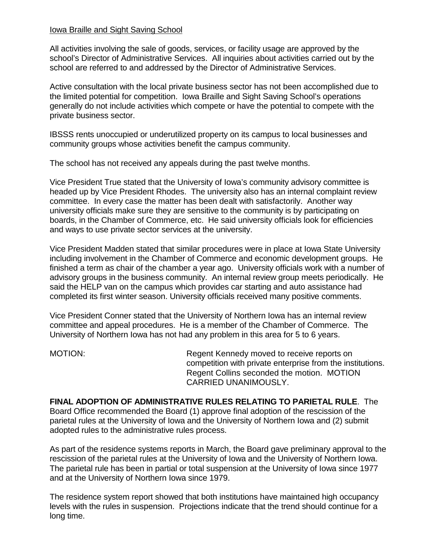## Iowa Braille and Sight Saving School

All activities involving the sale of goods, services, or facility usage are approved by the school's Director of Administrative Services. All inquiries about activities carried out by the school are referred to and addressed by the Director of Administrative Services.

Active consultation with the local private business sector has not been accomplished due to the limited potential for competition. Iowa Braille and Sight Saving School's operations generally do not include activities which compete or have the potential to compete with the private business sector.

IBSSS rents unoccupied or underutilized property on its campus to local businesses and community groups whose activities benefit the campus community.

The school has not received any appeals during the past twelve months.

Vice President True stated that the University of Iowa's community advisory committee is headed up by Vice President Rhodes. The university also has an internal complaint review committee. In every case the matter has been dealt with satisfactorily. Another way university officials make sure they are sensitive to the community is by participating on boards, in the Chamber of Commerce, etc. He said university officials look for efficiencies and ways to use private sector services at the university.

Vice President Madden stated that similar procedures were in place at Iowa State University including involvement in the Chamber of Commerce and economic development groups. He finished a term as chair of the chamber a year ago. University officials work with a number of advisory groups in the business community. An internal review group meets periodically. He said the HELP van on the campus which provides car starting and auto assistance had completed its first winter season. University officials received many positive comments.

Vice President Conner stated that the University of Northern Iowa has an internal review committee and appeal procedures. He is a member of the Chamber of Commerce. The University of Northern Iowa has not had any problem in this area for 5 to 6 years.

MOTION: Regent Kennedy moved to receive reports on competition with private enterprise from the institutions. Regent Collins seconded the motion. MOTION CARRIED UNANIMOUSLY.

**FINAL ADOPTION OF ADMINISTRATIVE RULES RELATING TO PARIETAL RULE**. The Board Office recommended the Board (1) approve final adoption of the rescission of the parietal rules at the University of Iowa and the University of Northern Iowa and (2) submit adopted rules to the administrative rules process.

As part of the residence systems reports in March, the Board gave preliminary approval to the rescission of the parietal rules at the University of Iowa and the University of Northern Iowa. The parietal rule has been in partial or total suspension at the University of Iowa since 1977 and at the University of Northern Iowa since 1979.

The residence system report showed that both institutions have maintained high occupancy levels with the rules in suspension. Projections indicate that the trend should continue for a long time.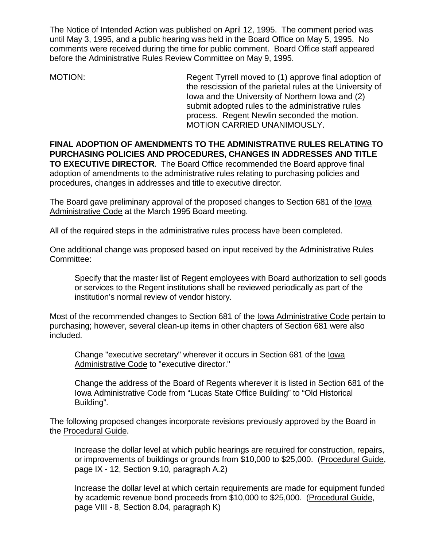The Notice of Intended Action was published on April 12, 1995. The comment period was until May 3, 1995, and a public hearing was held in the Board Office on May 5, 1995. No comments were received during the time for public comment. Board Office staff appeared before the Administrative Rules Review Committee on May 9, 1995.

MOTION: Regent Tyrrell moved to (1) approve final adoption of the rescission of the parietal rules at the University of Iowa and the University of Northern Iowa and (2) submit adopted rules to the administrative rules process. Regent Newlin seconded the motion. MOTION CARRIED UNANIMOUSLY.

**FINAL ADOPTION OF AMENDMENTS TO THE ADMINISTRATIVE RULES RELATING TO PURCHASING POLICIES AND PROCEDURES, CHANGES IN ADDRESSES AND TITLE TO EXECUTIVE DIRECTOR**. The Board Office recommended the Board approve final adoption of amendments to the administrative rules relating to purchasing policies and procedures, changes in addresses and title to executive director.

The Board gave preliminary approval of the proposed changes to Section 681 of the Iowa Administrative Code at the March 1995 Board meeting.

All of the required steps in the administrative rules process have been completed.

One additional change was proposed based on input received by the Administrative Rules Committee:

Specify that the master list of Regent employees with Board authorization to sell goods or services to the Regent institutions shall be reviewed periodically as part of the institution's normal review of vendor history.

Most of the recommended changes to Section 681 of the Iowa Administrative Code pertain to purchasing; however, several clean-up items in other chapters of Section 681 were also included.

Change "executive secretary" wherever it occurs in Section 681 of the Iowa Administrative Code to "executive director."

Change the address of the Board of Regents wherever it is listed in Section 681 of the Iowa Administrative Code from "Lucas State Office Building" to "Old Historical Building".

The following proposed changes incorporate revisions previously approved by the Board in the Procedural Guide.

Increase the dollar level at which public hearings are required for construction, repairs, or improvements of buildings or grounds from \$10,000 to \$25,000. (Procedural Guide, page IX - 12, Section 9.10, paragraph A.2)

Increase the dollar level at which certain requirements are made for equipment funded by academic revenue bond proceeds from \$10,000 to \$25,000. (Procedural Guide, page VIII - 8, Section 8.04, paragraph K)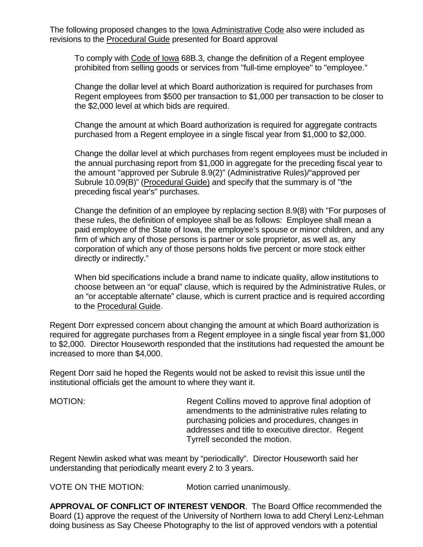The following proposed changes to the <u>Iowa Administrative Code</u> also were included as revisions to the Procedural Guide presented for Board approval

To comply with Code of Iowa 68B.3, change the definition of a Regent employee prohibited from selling goods or services from "full-time employee" to "employee."

Change the dollar level at which Board authorization is required for purchases from Regent employees from \$500 per transaction to \$1,000 per transaction to be closer to the \$2,000 level at which bids are required.

Change the amount at which Board authorization is required for aggregate contracts purchased from a Regent employee in a single fiscal year from \$1,000 to \$2,000.

Change the dollar level at which purchases from regent employees must be included in the annual purchasing report from \$1,000 in aggregate for the preceding fiscal year to the amount "approved per Subrule 8.9(2)" (Administrative Rules)/"approved per Subrule 10.09(B)" (Procedural Guide) and specify that the summary is of "the preceding fiscal year's" purchases.

Change the definition of an employee by replacing section 8.9(8) with "For purposes of these rules, the definition of employee shall be as follows: Employee shall mean a paid employee of the State of Iowa, the employee's spouse or minor children, and any firm of which any of those persons is partner or sole proprietor, as well as, any corporation of which any of those persons holds five percent or more stock either directly or indirectly."

When bid specifications include a brand name to indicate quality, allow institutions to choose between an "or equal" clause, which is required by the Administrative Rules, or an "or acceptable alternate" clause, which is current practice and is required according to the Procedural Guide.

Regent Dorr expressed concern about changing the amount at which Board authorization is required for aggregate purchases from a Regent employee in a single fiscal year from \$1,000 to \$2,000. Director Houseworth responded that the institutions had requested the amount be increased to more than \$4,000.

Regent Dorr said he hoped the Regents would not be asked to revisit this issue until the institutional officials get the amount to where they want it.

MOTION: Regent Collins moved to approve final adoption of amendments to the administrative rules relating to purchasing policies and procedures, changes in addresses and title to executive director. Regent Tyrrell seconded the motion.

Regent Newlin asked what was meant by "periodically". Director Houseworth said her understanding that periodically meant every 2 to 3 years.

VOTE ON THE MOTION: Motion carried unanimously.

**APPROVAL OF CONFLICT OF INTEREST VENDOR**. The Board Office recommended the Board (1) approve the request of the University of Northern Iowa to add Cheryl Lenz-Lehman doing business as Say Cheese Photography to the list of approved vendors with a potential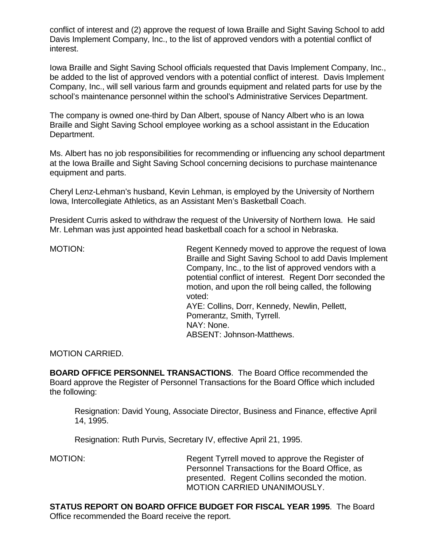conflict of interest and (2) approve the request of Iowa Braille and Sight Saving School to add Davis Implement Company, Inc., to the list of approved vendors with a potential conflict of interest.

Iowa Braille and Sight Saving School officials requested that Davis Implement Company, Inc., be added to the list of approved vendors with a potential conflict of interest. Davis Implement Company, Inc., will sell various farm and grounds equipment and related parts for use by the school's maintenance personnel within the school's Administrative Services Department.

The company is owned one-third by Dan Albert, spouse of Nancy Albert who is an Iowa Braille and Sight Saving School employee working as a school assistant in the Education Department.

Ms. Albert has no job responsibilities for recommending or influencing any school department at the Iowa Braille and Sight Saving School concerning decisions to purchase maintenance equipment and parts.

Cheryl Lenz-Lehman's husband, Kevin Lehman, is employed by the University of Northern Iowa, Intercollegiate Athletics, as an Assistant Men's Basketball Coach.

President Curris asked to withdraw the request of the University of Northern Iowa. He said Mr. Lehman was just appointed head basketball coach for a school in Nebraska.

MOTION: Regent Kennedy moved to approve the request of Iowa Braille and Sight Saving School to add Davis Implement Company, Inc., to the list of approved vendors with a potential conflict of interest. Regent Dorr seconded the motion, and upon the roll being called, the following voted: AYE: Collins, Dorr, Kennedy, Newlin, Pellett, Pomerantz, Smith, Tyrrell. NAY: None. ABSENT: Johnson-Matthews.

MOTION CARRIED.

**BOARD OFFICE PERSONNEL TRANSACTIONS**. The Board Office recommended the Board approve the Register of Personnel Transactions for the Board Office which included the following:

Resignation: David Young, Associate Director, Business and Finance, effective April 14, 1995.

Resignation: Ruth Purvis, Secretary IV, effective April 21, 1995.

MOTION: Regent Tyrrell moved to approve the Register of Personnel Transactions for the Board Office, as presented. Regent Collins seconded the motion. MOTION CARRIED UNANIMOUSLY.

**STATUS REPORT ON BOARD OFFICE BUDGET FOR FISCAL YEAR 1995**. The Board Office recommended the Board receive the report.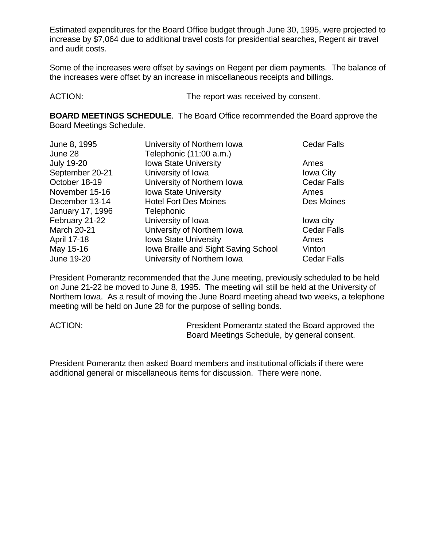Estimated expenditures for the Board Office budget through June 30, 1995, were projected to increase by \$7,064 due to additional travel costs for presidential searches, Regent air travel and audit costs.

Some of the increases were offset by savings on Regent per diem payments. The balance of the increases were offset by an increase in miscellaneous receipts and billings.

ACTION: The report was received by consent.

**BOARD MEETINGS SCHEDULE**. The Board Office recommended the Board approve the Board Meetings Schedule.

| June 8, 1995       | University of Northern Iowa          | Cedar Falls      |
|--------------------|--------------------------------------|------------------|
| June 28            | Telephonic (11:00 a.m.)              |                  |
| <b>July 19-20</b>  | <b>Iowa State University</b>         | Ames             |
| September 20-21    | University of Iowa                   | <b>Iowa City</b> |
| October 18-19      | University of Northern Iowa          | Cedar Falls      |
| November 15-16     | <b>Iowa State University</b>         | Ames             |
| December 13-14     | <b>Hotel Fort Des Moines</b>         | Des Moines       |
| January 17, 1996   | Telephonic                           |                  |
| February 21-22     | University of Iowa                   | lowa city        |
| <b>March 20-21</b> | University of Northern Iowa          | Cedar Falls      |
| April 17-18        | <b>Iowa State University</b>         | Ames             |
| May 15-16          | Iowa Braille and Sight Saving School | Vinton           |
| June 19-20         | University of Northern Iowa          | Cedar Falls      |

President Pomerantz recommended that the June meeting, previously scheduled to be held on June 21-22 be moved to June 8, 1995. The meeting will still be held at the University of Northern Iowa. As a result of moving the June Board meeting ahead two weeks, a telephone meeting will be held on June 28 for the purpose of selling bonds.

ACTION: President Pomerantz stated the Board approved the Board Meetings Schedule, by general consent.

President Pomerantz then asked Board members and institutional officials if there were additional general or miscellaneous items for discussion. There were none.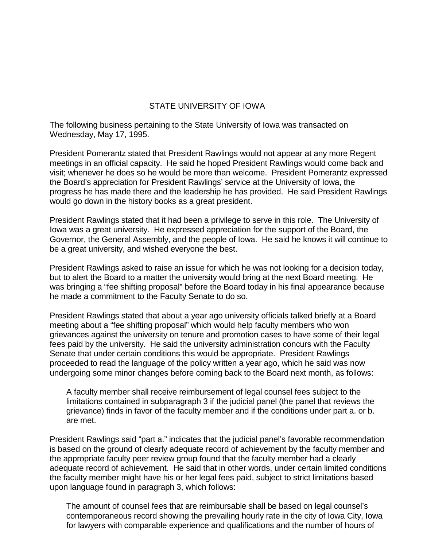# STATE UNIVERSITY OF IOWA

The following business pertaining to the State University of Iowa was transacted on Wednesday, May 17, 1995.

President Pomerantz stated that President Rawlings would not appear at any more Regent meetings in an official capacity. He said he hoped President Rawlings would come back and visit; whenever he does so he would be more than welcome. President Pomerantz expressed the Board's appreciation for President Rawlings' service at the University of Iowa, the progress he has made there and the leadership he has provided. He said President Rawlings would go down in the history books as a great president.

President Rawlings stated that it had been a privilege to serve in this role. The University of Iowa was a great university. He expressed appreciation for the support of the Board, the Governor, the General Assembly, and the people of Iowa. He said he knows it will continue to be a great university, and wished everyone the best.

President Rawlings asked to raise an issue for which he was not looking for a decision today, but to alert the Board to a matter the university would bring at the next Board meeting. He was bringing a "fee shifting proposal" before the Board today in his final appearance because he made a commitment to the Faculty Senate to do so.

President Rawlings stated that about a year ago university officials talked briefly at a Board meeting about a "fee shifting proposal" which would help faculty members who won grievances against the university on tenure and promotion cases to have some of their legal fees paid by the university. He said the university administration concurs with the Faculty Senate that under certain conditions this would be appropriate. President Rawlings proceeded to read the language of the policy written a year ago, which he said was now undergoing some minor changes before coming back to the Board next month, as follows:

A faculty member shall receive reimbursement of legal counsel fees subject to the limitations contained in subparagraph 3 if the judicial panel (the panel that reviews the grievance) finds in favor of the faculty member and if the conditions under part a. or b. are met.

President Rawlings said "part a." indicates that the judicial panel's favorable recommendation is based on the ground of clearly adequate record of achievement by the faculty member and the appropriate faculty peer review group found that the faculty member had a clearly adequate record of achievement. He said that in other words, under certain limited conditions the faculty member might have his or her legal fees paid, subject to strict limitations based upon language found in paragraph 3, which follows:

The amount of counsel fees that are reimbursable shall be based on legal counsel's contemporaneous record showing the prevailing hourly rate in the city of Iowa City, Iowa for lawyers with comparable experience and qualifications and the number of hours of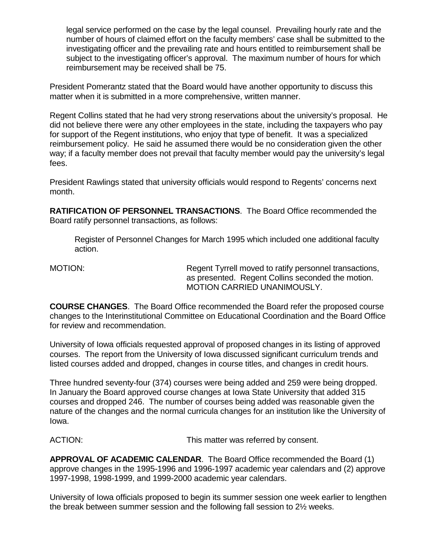legal service performed on the case by the legal counsel. Prevailing hourly rate and the number of hours of claimed effort on the faculty members' case shall be submitted to the investigating officer and the prevailing rate and hours entitled to reimbursement shall be subject to the investigating officer's approval. The maximum number of hours for which reimbursement may be received shall be 75.

President Pomerantz stated that the Board would have another opportunity to discuss this matter when it is submitted in a more comprehensive, written manner.

Regent Collins stated that he had very strong reservations about the university's proposal. He did not believe there were any other employees in the state, including the taxpayers who pay for support of the Regent institutions, who enjoy that type of benefit. It was a specialized reimbursement policy. He said he assumed there would be no consideration given the other way; if a faculty member does not prevail that faculty member would pay the university's legal fees.

President Rawlings stated that university officials would respond to Regents' concerns next month.

**RATIFICATION OF PERSONNEL TRANSACTIONS**. The Board Office recommended the Board ratify personnel transactions, as follows:

Register of Personnel Changes for March 1995 which included one additional faculty action.

MOTION: Regent Tyrrell moved to ratify personnel transactions, as presented. Regent Collins seconded the motion. MOTION CARRIED UNANIMOUSLY.

**COURSE CHANGES**. The Board Office recommended the Board refer the proposed course changes to the Interinstitutional Committee on Educational Coordination and the Board Office for review and recommendation.

University of Iowa officials requested approval of proposed changes in its listing of approved courses. The report from the University of Iowa discussed significant curriculum trends and listed courses added and dropped, changes in course titles, and changes in credit hours.

Three hundred seventy-four (374) courses were being added and 259 were being dropped. In January the Board approved course changes at Iowa State University that added 315 courses and dropped 246. The number of courses being added was reasonable given the nature of the changes and the normal curricula changes for an institution like the University of Iowa.

ACTION: This matter was referred by consent.

**APPROVAL OF ACADEMIC CALENDAR**. The Board Office recommended the Board (1) approve changes in the 1995-1996 and 1996-1997 academic year calendars and (2) approve 1997-1998, 1998-1999, and 1999-2000 academic year calendars.

University of Iowa officials proposed to begin its summer session one week earlier to lengthen the break between summer session and the following fall session to 2½ weeks.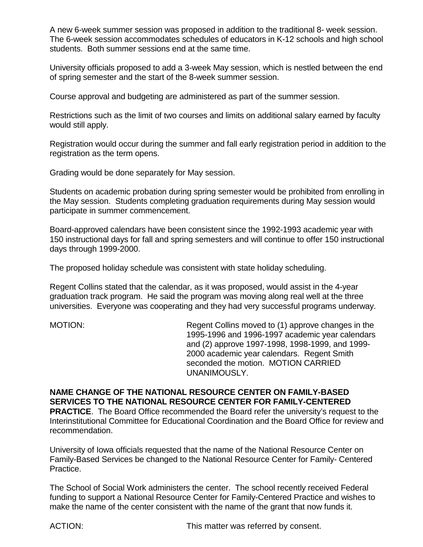A new 6-week summer session was proposed in addition to the traditional 8- week session. The 6-week session accommodates schedules of educators in K-12 schools and high school students. Both summer sessions end at the same time.

University officials proposed to add a 3-week May session, which is nestled between the end of spring semester and the start of the 8-week summer session.

Course approval and budgeting are administered as part of the summer session.

Restrictions such as the limit of two courses and limits on additional salary earned by faculty would still apply.

Registration would occur during the summer and fall early registration period in addition to the registration as the term opens.

Grading would be done separately for May session.

Students on academic probation during spring semester would be prohibited from enrolling in the May session. Students completing graduation requirements during May session would participate in summer commencement.

Board-approved calendars have been consistent since the 1992-1993 academic year with 150 instructional days for fall and spring semesters and will continue to offer 150 instructional days through 1999-2000.

The proposed holiday schedule was consistent with state holiday scheduling.

Regent Collins stated that the calendar, as it was proposed, would assist in the 4-year graduation track program. He said the program was moving along real well at the three universities. Everyone was cooperating and they had very successful programs underway.

MOTION: Regent Collins moved to (1) approve changes in the 1995-1996 and 1996-1997 academic year calendars and (2) approve 1997-1998, 1998-1999, and 1999- 2000 academic year calendars. Regent Smith seconded the motion. MOTION CARRIED UNANIMOUSLY.

**NAME CHANGE OF THE NATIONAL RESOURCE CENTER ON FAMILY-BASED SERVICES TO THE NATIONAL RESOURCE CENTER FOR FAMILY-CENTERED PRACTICE**. The Board Office recommended the Board refer the university's request to the Interinstitutional Committee for Educational Coordination and the Board Office for review and recommendation.

University of Iowa officials requested that the name of the National Resource Center on Family-Based Services be changed to the National Resource Center for Family- Centered Practice.

The School of Social Work administers the center. The school recently received Federal funding to support a National Resource Center for Family-Centered Practice and wishes to make the name of the center consistent with the name of the grant that now funds it.

ACTION: This matter was referred by consent.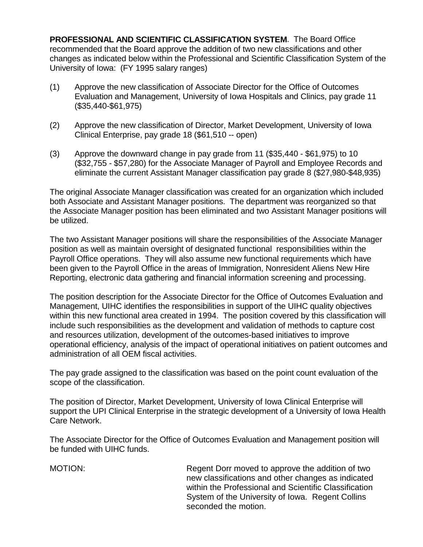**PROFESSIONAL AND SCIENTIFIC CLASSIFICATION SYSTEM**. The Board Office recommended that the Board approve the addition of two new classifications and other changes as indicated below within the Professional and Scientific Classification System of the University of Iowa: (FY 1995 salary ranges)

- (1) Approve the new classification of Associate Director for the Office of Outcomes Evaluation and Management, University of Iowa Hospitals and Clinics, pay grade 11 (\$35,440-\$61,975)
- (2) Approve the new classification of Director, Market Development, University of Iowa Clinical Enterprise, pay grade 18 (\$61,510 -- open)
- (3) Approve the downward change in pay grade from 11 (\$35,440 \$61,975) to 10 (\$32,755 - \$57,280) for the Associate Manager of Payroll and Employee Records and eliminate the current Assistant Manager classification pay grade 8 (\$27,980-\$48,935)

The original Associate Manager classification was created for an organization which included both Associate and Assistant Manager positions. The department was reorganized so that the Associate Manager position has been eliminated and two Assistant Manager positions will be utilized.

The two Assistant Manager positions will share the responsibilities of the Associate Manager position as well as maintain oversight of designated functional responsibilities within the Payroll Office operations. They will also assume new functional requirements which have been given to the Payroll Office in the areas of Immigration, Nonresident Aliens New Hire Reporting, electronic data gathering and financial information screening and processing.

The position description for the Associate Director for the Office of Outcomes Evaluation and Management, UIHC identifies the responsibilities in support of the UIHC quality objectives within this new functional area created in 1994. The position covered by this classification will include such responsibilities as the development and validation of methods to capture cost and resources utilization, development of the outcomes-based initiatives to improve operational efficiency, analysis of the impact of operational initiatives on patient outcomes and administration of all OEM fiscal activities.

The pay grade assigned to the classification was based on the point count evaluation of the scope of the classification.

The position of Director, Market Development, University of Iowa Clinical Enterprise will support the UPI Clinical Enterprise in the strategic development of a University of Iowa Health Care Network.

The Associate Director for the Office of Outcomes Evaluation and Management position will be funded with UIHC funds.

MOTION: Regent Dorr moved to approve the addition of two new classifications and other changes as indicated within the Professional and Scientific Classification System of the University of Iowa. Regent Collins seconded the motion.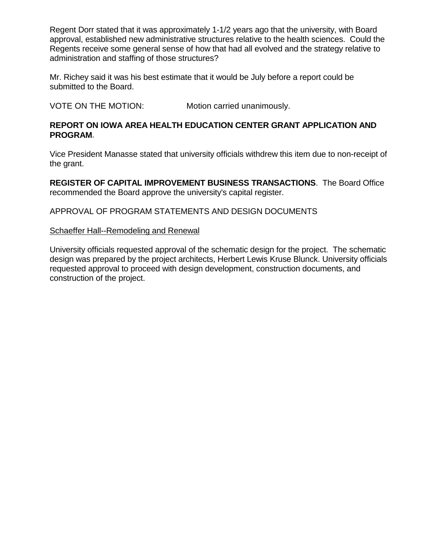Regent Dorr stated that it was approximately 1-1/2 years ago that the university, with Board approval, established new administrative structures relative to the health sciences. Could the Regents receive some general sense of how that had all evolved and the strategy relative to administration and staffing of those structures?

Mr. Richey said it was his best estimate that it would be July before a report could be submitted to the Board.

VOTE ON THE MOTION: Motion carried unanimously.

# **REPORT ON IOWA AREA HEALTH EDUCATION CENTER GRANT APPLICATION AND PROGRAM**.

Vice President Manasse stated that university officials withdrew this item due to non-receipt of the grant.

**REGISTER OF CAPITAL IMPROVEMENT BUSINESS TRANSACTIONS**. The Board Office recommended the Board approve the university's capital register.

APPROVAL OF PROGRAM STATEMENTS AND DESIGN DOCUMENTS

## Schaeffer Hall--Remodeling and Renewal

University officials requested approval of the schematic design for the project. The schematic design was prepared by the project architects, Herbert Lewis Kruse Blunck. University officials requested approval to proceed with design development, construction documents, and construction of the project.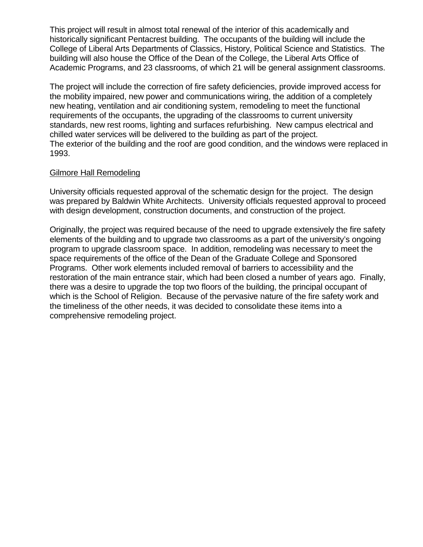This project will result in almost total renewal of the interior of this academically and historically significant Pentacrest building. The occupants of the building will include the College of Liberal Arts Departments of Classics, History, Political Science and Statistics. The building will also house the Office of the Dean of the College, the Liberal Arts Office of Academic Programs, and 23 classrooms, of which 21 will be general assignment classrooms.

The project will include the correction of fire safety deficiencies, provide improved access for the mobility impaired, new power and communications wiring, the addition of a completely new heating, ventilation and air conditioning system, remodeling to meet the functional requirements of the occupants, the upgrading of the classrooms to current university standards, new rest rooms, lighting and surfaces refurbishing. New campus electrical and chilled water services will be delivered to the building as part of the project. The exterior of the building and the roof are good condition, and the windows were replaced in 1993.

## Gilmore Hall Remodeling

University officials requested approval of the schematic design for the project. The design was prepared by Baldwin White Architects. University officials requested approval to proceed with design development, construction documents, and construction of the project.

Originally, the project was required because of the need to upgrade extensively the fire safety elements of the building and to upgrade two classrooms as a part of the university's ongoing program to upgrade classroom space. In addition, remodeling was necessary to meet the space requirements of the office of the Dean of the Graduate College and Sponsored Programs. Other work elements included removal of barriers to accessibility and the restoration of the main entrance stair, which had been closed a number of years ago. Finally, there was a desire to upgrade the top two floors of the building, the principal occupant of which is the School of Religion. Because of the pervasive nature of the fire safety work and the timeliness of the other needs, it was decided to consolidate these items into a comprehensive remodeling project.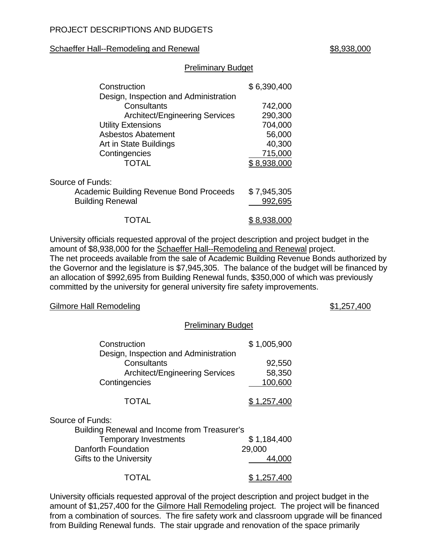## Schaeffer Hall--Remodeling and Renewal **Example 2018** 1988,938,000

## Preliminary Budget

| Construction<br>Design, Inspection and Administration | \$6,390,400 |  |
|-------------------------------------------------------|-------------|--|
| Consultants                                           | 742,000     |  |
| <b>Architect/Engineering Services</b>                 | 290,300     |  |
| <b>Utility Extensions</b>                             | 704,000     |  |
| <b>Asbestos Abatement</b>                             | 56,000      |  |
| Art in State Buildings                                | 40,300      |  |
| Contingencies                                         | 715,000     |  |
| TOTAL                                                 | \$8,938,000 |  |
| Source of Funds:                                      |             |  |
| <b>Academic Building Revenue Bond Proceeds</b>        | \$7,945,305 |  |
| <b>Building Renewal</b>                               | 992,695     |  |
|                                                       | 8,938       |  |

University officials requested approval of the project description and project budget in the amount of \$8,938,000 for the Schaeffer Hall--Remodeling and Renewal project. The net proceeds available from the sale of Academic Building Revenue Bonds authorized by the Governor and the legislature is \$7,945,305. The balance of the budget will be financed by an allocation of \$992,695 from Building Renewal funds, \$350,000 of which was previously committed by the university for general university fire safety improvements.

### Gilmore Hall Remodeling **61,257,400**

### Preliminary Budget

| Construction                                                                                                   | \$1,005,900                 |
|----------------------------------------------------------------------------------------------------------------|-----------------------------|
| Design, Inspection and Administration<br>Consultants<br><b>Architect/Engineering Services</b><br>Contingencies | 92,550<br>58,350<br>100,600 |
| <b>TOTAL</b>                                                                                                   | \$1,257,400                 |
| Source of Funds:                                                                                               |                             |
| Building Renewal and Income from Treasurer's                                                                   |                             |
| <b>Temporary Investments</b>                                                                                   | \$1,184,400                 |
| Danforth Foundation                                                                                            | 29,000                      |
| <b>Gifts to the University</b>                                                                                 | 44.000                      |
| UTAL                                                                                                           | .257,400                    |

University officials requested approval of the project description and project budget in the amount of \$1,257,400 for the Gilmore Hall Remodeling project. The project will be financed from a combination of sources. The fire safety work and classroom upgrade will be financed from Building Renewal funds. The stair upgrade and renovation of the space primarily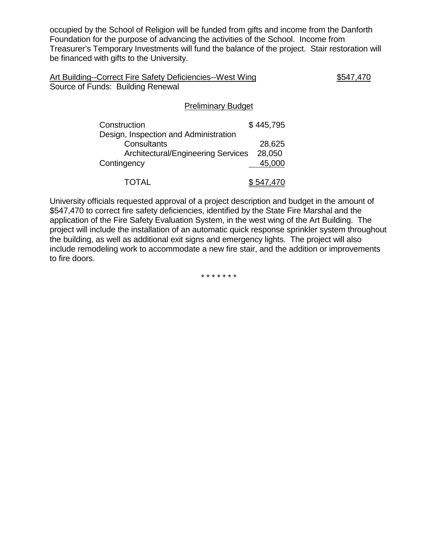occupied by the School of Religion will be funded from gifts and income from the Danforth Foundation for the purpose of advancing the activities of the School. Income from Treasurer's Temporary Investments will fund the balance of the project. Stair restoration will be financed with gifts to the University.

| Art Building--Correct Fire Safety Deficiencies--West Wing | \$547,470 |
|-----------------------------------------------------------|-----------|
| Source of Funds: Building Renewal                         |           |

## Preliminary Budget

| Construction                              | \$445,795 |
|-------------------------------------------|-----------|
| Design, Inspection and Administration     |           |
| Consultants                               | 28,625    |
| <b>Architectural/Engineering Services</b> | 28,050    |
| Contingency                               | 45,000    |
|                                           |           |
| TOTAL                                     | \$547,470 |

University officials requested approval of a project description and budget in the amount of \$547,470 to correct fire safety deficiencies, identified by the State Fire Marshal and the application of the Fire Safety Evaluation System, in the west wing of the Art Building. The project will include the installation of an automatic quick response sprinkler system throughout the building, as well as additional exit signs and emergency lights. The project will also include remodeling work to accommodate a new fire stair, and the addition or improvements to fire doors.

\* \* \* \* \* \* \*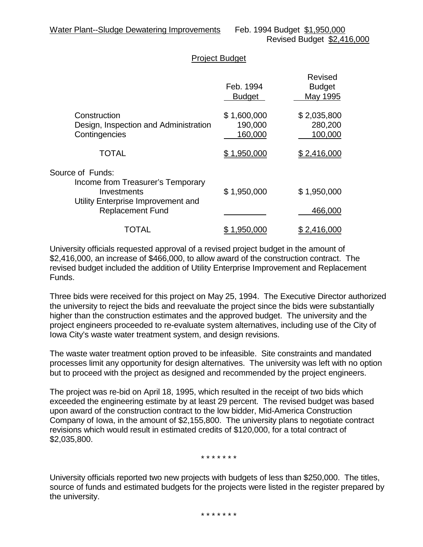## Project Budget

|                                                                                                            | Feb. 1994<br><b>Budget</b>        | Revised<br><b>Budget</b><br>May 1995 |
|------------------------------------------------------------------------------------------------------------|-----------------------------------|--------------------------------------|
| Construction<br>Design, Inspection and Administration<br>Contingencies                                     | \$1,600,000<br>190,000<br>160,000 | \$2,035,800<br>280,200<br>100,000    |
| <b>TOTAL</b>                                                                                               | \$1,950,000                       | \$2,416,000                          |
| Source of Funds:<br>Income from Treasurer's Temporary<br>Investments<br>Utility Enterprise Improvement and | \$1,950,000                       | \$1,950,000                          |
| <b>Replacement Fund</b>                                                                                    |                                   | 466,000                              |
| TOTAL                                                                                                      | .950                              | 2,416,000                            |

University officials requested approval of a revised project budget in the amount of \$2,416,000, an increase of \$466,000, to allow award of the construction contract. The revised budget included the addition of Utility Enterprise Improvement and Replacement Funds.

Three bids were received for this project on May 25, 1994. The Executive Director authorized the university to reject the bids and reevaluate the project since the bids were substantially higher than the construction estimates and the approved budget. The university and the project engineers proceeded to re-evaluate system alternatives, including use of the City of Iowa City's waste water treatment system, and design revisions.

The waste water treatment option proved to be infeasible. Site constraints and mandated processes limit any opportunity for design alternatives. The university was left with no option but to proceed with the project as designed and recommended by the project engineers.

The project was re-bid on April 18, 1995, which resulted in the receipt of two bids which exceeded the engineering estimate by at least 29 percent. The revised budget was based upon award of the construction contract to the low bidder, Mid-America Construction Company of Iowa, in the amount of \$2,155,800. The university plans to negotiate contract revisions which would result in estimated credits of \$120,000, for a total contract of \$2,035,800.

\* \* \* \* \* \* \*

University officials reported two new projects with budgets of less than \$250,000. The titles, source of funds and estimated budgets for the projects were listed in the register prepared by the university.

\* \* \* \* \* \* \*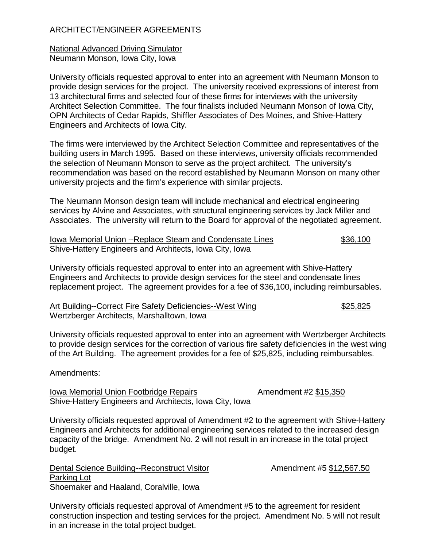# ARCHITECT/ENGINEER AGREEMENTS

## National Advanced Driving Simulator Neumann Monson, Iowa City, Iowa

University officials requested approval to enter into an agreement with Neumann Monson to provide design services for the project. The university received expressions of interest from 13 architectural firms and selected four of these firms for interviews with the university Architect Selection Committee. The four finalists included Neumann Monson of Iowa City, OPN Architects of Cedar Rapids, Shiffler Associates of Des Moines, and Shive-Hattery Engineers and Architects of Iowa City.

The firms were interviewed by the Architect Selection Committee and representatives of the building users in March 1995. Based on these interviews, university officials recommended the selection of Neumann Monson to serve as the project architect. The university's recommendation was based on the record established by Neumann Monson on many other university projects and the firm's experience with similar projects.

The Neumann Monson design team will include mechanical and electrical engineering services by Alvine and Associates, with structural engineering services by Jack Miller and Associates. The university will return to the Board for approval of the negotiated agreement.

| <b>Iowa Memorial Union --Replace Steam and Condensate Lines</b> | \$36,100 |
|-----------------------------------------------------------------|----------|
| Shive-Hattery Engineers and Architects, Iowa City, Iowa         |          |

University officials requested approval to enter into an agreement with Shive-Hattery Engineers and Architects to provide design services for the steel and condensate lines replacement project. The agreement provides for a fee of \$36,100, including reimbursables.

| Art Building--Correct Fire Safety Deficiencies--West Wing | \$25,825 |
|-----------------------------------------------------------|----------|
| Wertzberger Architects, Marshalltown, Iowa                |          |

University officials requested approval to enter into an agreement with Wertzberger Architects to provide design services for the correction of various fire safety deficiencies in the west wing of the Art Building. The agreement provides for a fee of \$25,825, including reimbursables.

## Amendments:

Iowa Memorial Union Footbridge Repairs **Amendment #2 \$15,350** Shive-Hattery Engineers and Architects, Iowa City, Iowa

University officials requested approval of Amendment #2 to the agreement with Shive-Hattery Engineers and Architects for additional engineering services related to the increased design capacity of the bridge. Amendment No. 2 will not result in an increase in the total project budget.

Dental Science Building--Reconstruct Visitor Manuel Amendment #5 \$12,567.50 Parking Lot Shoemaker and Haaland, Coralville, Iowa

University officials requested approval of Amendment #5 to the agreement for resident construction inspection and testing services for the project. Amendment No. 5 will not result in an increase in the total project budget.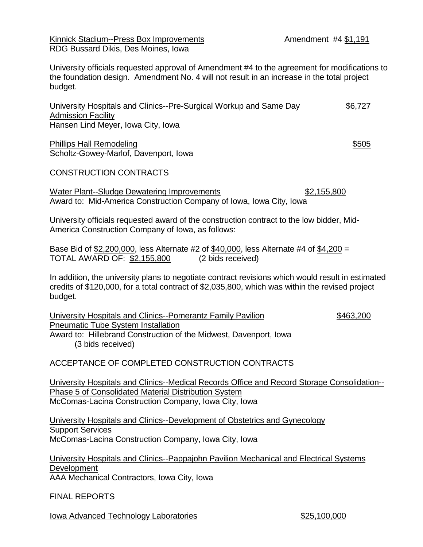Kinnick Stadium--Press Box Improvements **Amendment #4 \$1,191** RDG Bussard Dikis, Des Moines, Iowa

University officials requested approval of Amendment #4 to the agreement for modifications to the foundation design. Amendment No. 4 will not result in an increase in the total project budget.

University Hospitals and Clinics--Pre-Surgical Workup and Same Day \$6,727 Admission Facility Hansen Lind Meyer, Iowa City, Iowa

Phillips Hall Remodeling  $$505$ Scholtz-Gowey-Marlof, Davenport, Iowa

# CONSTRUCTION CONTRACTS

Water Plant--Sludge Dewatering Improvements  $$2,155,800$ Award to: Mid-America Construction Company of Iowa, Iowa City, Iowa

University officials requested award of the construction contract to the low bidder, Mid-America Construction Company of Iowa, as follows:

Base Bid of \$2,200,000, less Alternate #2 of \$40,000, less Alternate #4 of \$4,200 = TOTAL AWARD OF: \$2,155,800 (2 bids received)

In addition, the university plans to negotiate contract revisions which would result in estimated credits of \$120,000, for a total contract of \$2,035,800, which was within the revised project budget.

University Hospitals and Clinics--Pomerantz Family Pavilion \$463,200 Pneumatic Tube System Installation Award to: Hillebrand Construction of the Midwest, Davenport, Iowa (3 bids received)

ACCEPTANCE OF COMPLETED CONSTRUCTION CONTRACTS

University Hospitals and Clinics--Medical Records Office and Record Storage Consolidation-- Phase 5 of Consolidated Material Distribution System McComas-Lacina Construction Company, Iowa City, Iowa

University Hospitals and Clinics--Development of Obstetrics and Gynecology **Support Services** McComas-Lacina Construction Company, Iowa City, Iowa

University Hospitals and Clinics--Pappajohn Pavilion Mechanical and Electrical Systems Development AAA Mechanical Contractors, Iowa City, Iowa

FINAL REPORTS

Iowa Advanced Technology Laboratories  $$25,100,000$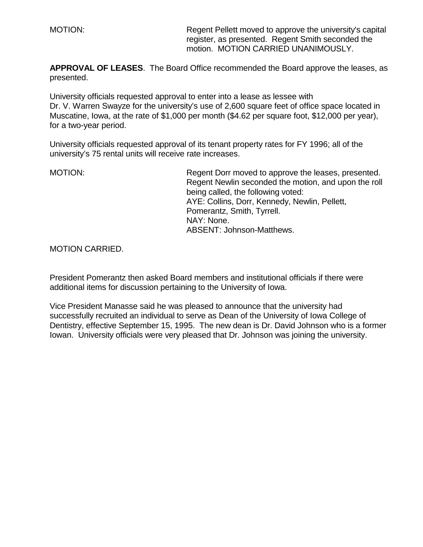MOTION: Regent Pellett moved to approve the university's capital register, as presented. Regent Smith seconded the motion. MOTION CARRIED UNANIMOUSLY.

**APPROVAL OF LEASES**. The Board Office recommended the Board approve the leases, as presented.

University officials requested approval to enter into a lease as lessee with Dr. V. Warren Swayze for the university's use of 2,600 square feet of office space located in Muscatine, Iowa, at the rate of \$1,000 per month (\$4.62 per square foot, \$12,000 per year), for a two-year period.

University officials requested approval of its tenant property rates for FY 1996; all of the university's 75 rental units will receive rate increases.

MOTION: Regent Dorr moved to approve the leases, presented. Regent Newlin seconded the motion, and upon the roll being called, the following voted: AYE: Collins, Dorr, Kennedy, Newlin, Pellett, Pomerantz, Smith, Tyrrell. NAY: None. ABSENT: Johnson-Matthews.

MOTION CARRIED.

President Pomerantz then asked Board members and institutional officials if there were additional items for discussion pertaining to the University of Iowa.

Vice President Manasse said he was pleased to announce that the university had successfully recruited an individual to serve as Dean of the University of Iowa College of Dentistry, effective September 15, 1995. The new dean is Dr. David Johnson who is a former Iowan. University officials were very pleased that Dr. Johnson was joining the university.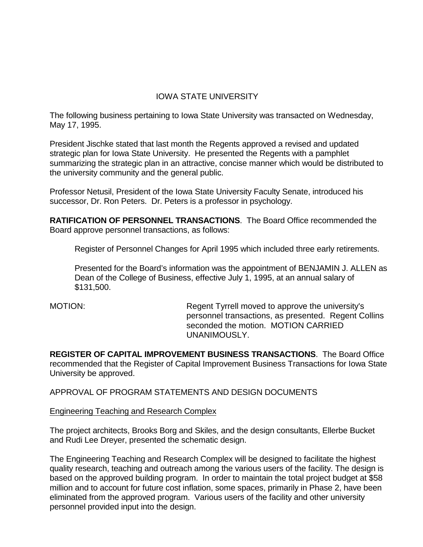# IOWA STATE UNIVERSITY

The following business pertaining to Iowa State University was transacted on Wednesday, May 17, 1995.

President Jischke stated that last month the Regents approved a revised and updated strategic plan for Iowa State University. He presented the Regents with a pamphlet summarizing the strategic plan in an attractive, concise manner which would be distributed to the university community and the general public.

Professor Netusil, President of the Iowa State University Faculty Senate, introduced his successor, Dr. Ron Peters. Dr. Peters is a professor in psychology.

**RATIFICATION OF PERSONNEL TRANSACTIONS**. The Board Office recommended the Board approve personnel transactions, as follows:

Register of Personnel Changes for April 1995 which included three early retirements.

Presented for the Board's information was the appointment of BENJAMIN J. ALLEN as Dean of the College of Business, effective July 1, 1995, at an annual salary of \$131,500.

MOTION: Regent Tyrrell moved to approve the university's personnel transactions, as presented. Regent Collins seconded the motion. MOTION CARRIED UNANIMOUSLY.

**REGISTER OF CAPITAL IMPROVEMENT BUSINESS TRANSACTIONS**. The Board Office recommended that the Register of Capital Improvement Business Transactions for Iowa State University be approved.

APPROVAL OF PROGRAM STATEMENTS AND DESIGN DOCUMENTS

Engineering Teaching and Research Complex

The project architects, Brooks Borg and Skiles, and the design consultants, Ellerbe Bucket and Rudi Lee Dreyer, presented the schematic design.

The Engineering Teaching and Research Complex will be designed to facilitate the highest quality research, teaching and outreach among the various users of the facility. The design is based on the approved building program. In order to maintain the total project budget at \$58 million and to account for future cost inflation, some spaces, primarily in Phase 2, have been eliminated from the approved program. Various users of the facility and other university personnel provided input into the design.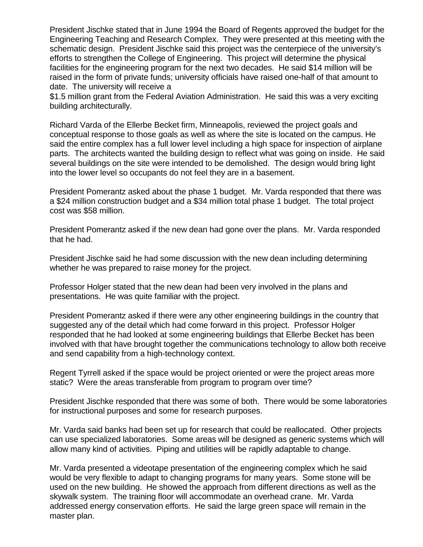President Jischke stated that in June 1994 the Board of Regents approved the budget for the Engineering Teaching and Research Complex. They were presented at this meeting with the schematic design. President Jischke said this project was the centerpiece of the university's efforts to strengthen the College of Engineering. This project will determine the physical facilities for the engineering program for the next two decades. He said \$14 million will be raised in the form of private funds; university officials have raised one-half of that amount to date. The university will receive a

\$1.5 million grant from the Federal Aviation Administration. He said this was a very exciting building architecturally.

Richard Varda of the Ellerbe Becket firm, Minneapolis, reviewed the project goals and conceptual response to those goals as well as where the site is located on the campus. He said the entire complex has a full lower level including a high space for inspection of airplane parts. The architects wanted the building design to reflect what was going on inside. He said several buildings on the site were intended to be demolished. The design would bring light into the lower level so occupants do not feel they are in a basement.

President Pomerantz asked about the phase 1 budget. Mr. Varda responded that there was a \$24 million construction budget and a \$34 million total phase 1 budget. The total project cost was \$58 million.

President Pomerantz asked if the new dean had gone over the plans. Mr. Varda responded that he had.

President Jischke said he had some discussion with the new dean including determining whether he was prepared to raise money for the project.

Professor Holger stated that the new dean had been very involved in the plans and presentations. He was quite familiar with the project.

President Pomerantz asked if there were any other engineering buildings in the country that suggested any of the detail which had come forward in this project. Professor Holger responded that he had looked at some engineering buildings that Ellerbe Becket has been involved with that have brought together the communications technology to allow both receive and send capability from a high-technology context.

Regent Tyrrell asked if the space would be project oriented or were the project areas more static? Were the areas transferable from program to program over time?

President Jischke responded that there was some of both. There would be some laboratories for instructional purposes and some for research purposes.

Mr. Varda said banks had been set up for research that could be reallocated. Other projects can use specialized laboratories. Some areas will be designed as generic systems which will allow many kind of activities. Piping and utilities will be rapidly adaptable to change.

Mr. Varda presented a videotape presentation of the engineering complex which he said would be very flexible to adapt to changing programs for many years. Some stone will be used on the new building. He showed the approach from different directions as well as the skywalk system. The training floor will accommodate an overhead crane. Mr. Varda addressed energy conservation efforts. He said the large green space will remain in the master plan.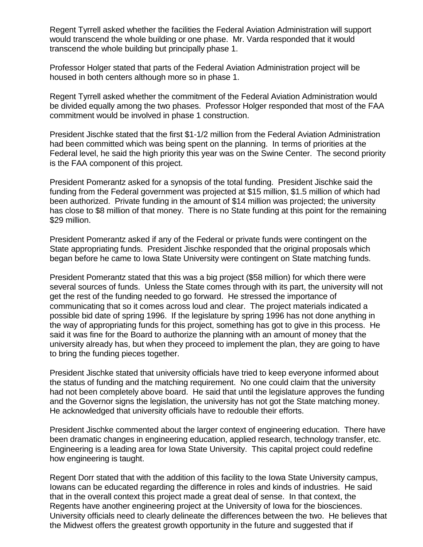Regent Tyrrell asked whether the facilities the Federal Aviation Administration will support would transcend the whole building or one phase. Mr. Varda responded that it would transcend the whole building but principally phase 1.

Professor Holger stated that parts of the Federal Aviation Administration project will be housed in both centers although more so in phase 1.

Regent Tyrrell asked whether the commitment of the Federal Aviation Administration would be divided equally among the two phases. Professor Holger responded that most of the FAA commitment would be involved in phase 1 construction.

President Jischke stated that the first \$1-1/2 million from the Federal Aviation Administration had been committed which was being spent on the planning. In terms of priorities at the Federal level, he said the high priority this year was on the Swine Center. The second priority is the FAA component of this project.

President Pomerantz asked for a synopsis of the total funding. President Jischke said the funding from the Federal government was projected at \$15 million, \$1.5 million of which had been authorized. Private funding in the amount of \$14 million was projected; the university has close to \$8 million of that money. There is no State funding at this point for the remaining \$29 million.

President Pomerantz asked if any of the Federal or private funds were contingent on the State appropriating funds. President Jischke responded that the original proposals which began before he came to Iowa State University were contingent on State matching funds.

President Pomerantz stated that this was a big project (\$58 million) for which there were several sources of funds. Unless the State comes through with its part, the university will not get the rest of the funding needed to go forward. He stressed the importance of communicating that so it comes across loud and clear. The project materials indicated a possible bid date of spring 1996. If the legislature by spring 1996 has not done anything in the way of appropriating funds for this project, something has got to give in this process. He said it was fine for the Board to authorize the planning with an amount of money that the university already has, but when they proceed to implement the plan, they are going to have to bring the funding pieces together.

President Jischke stated that university officials have tried to keep everyone informed about the status of funding and the matching requirement. No one could claim that the university had not been completely above board. He said that until the legislature approves the funding and the Governor signs the legislation, the university has not got the State matching money. He acknowledged that university officials have to redouble their efforts.

President Jischke commented about the larger context of engineering education. There have been dramatic changes in engineering education, applied research, technology transfer, etc. Engineering is a leading area for Iowa State University. This capital project could redefine how engineering is taught.

Regent Dorr stated that with the addition of this facility to the Iowa State University campus, Iowans can be educated regarding the difference in roles and kinds of industries. He said that in the overall context this project made a great deal of sense. In that context, the Regents have another engineering project at the University of Iowa for the biosciences. University officials need to clearly delineate the differences between the two. He believes that the Midwest offers the greatest growth opportunity in the future and suggested that if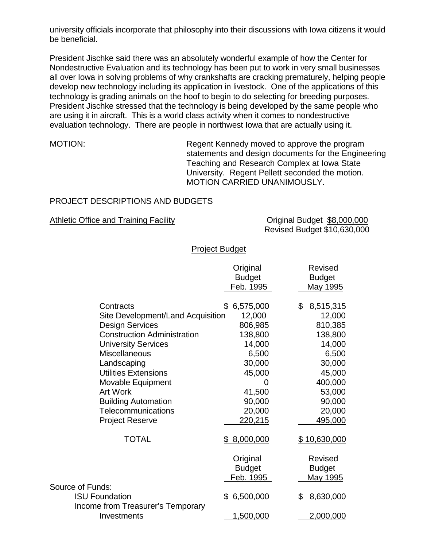university officials incorporate that philosophy into their discussions with Iowa citizens it would be beneficial.

President Jischke said there was an absolutely wonderful example of how the Center for Nondestructive Evaluation and its technology has been put to work in very small businesses all over Iowa in solving problems of why crankshafts are cracking prematurely, helping people develop new technology including its application in livestock. One of the applications of this technology is grading animals on the hoof to begin to do selecting for breeding purposes. President Jischke stressed that the technology is being developed by the same people who are using it in aircraft. This is a world class activity when it comes to nondestructive evaluation technology. There are people in northwest Iowa that are actually using it.

MOTION: Regent Kennedy moved to approve the program statements and design documents for the Engineering Teaching and Research Complex at Iowa State University. Regent Pellett seconded the motion. MOTION CARRIED UNANIMOUSLY.

# PROJECT DESCRIPTIONS AND BUDGETS

Athletic Office and Training Facility **Constrainers** Original Budget \$8,000,000

Revised Budget \$10,630,000

## Project Budget

|                                    | Original<br><b>Budget</b><br>Feb. 1995 | <b>Revised</b><br><b>Budget</b><br><b>May 1995</b> |
|------------------------------------|----------------------------------------|----------------------------------------------------|
| Contracts                          | \$6,575,000                            | \$<br>8,515,315                                    |
| Site Development/Land Acquisition  | 12,000                                 | 12,000                                             |
| <b>Design Services</b>             | 806,985                                | 810,385                                            |
| <b>Construction Administration</b> | 138,800                                | 138,800                                            |
| <b>University Services</b>         | 14,000                                 | 14,000                                             |
| Miscellaneous                      | 6,500                                  | 6,500                                              |
| Landscaping                        | 30,000                                 | 30,000                                             |
| <b>Utilities Extensions</b>        | 45,000                                 | 45,000                                             |
| Movable Equipment                  | 0                                      | 400,000                                            |
| <b>Art Work</b>                    | 41,500                                 | 53,000                                             |
| <b>Building Automation</b>         | 90,000                                 | 90,000                                             |
| Telecommunications                 | 20,000                                 | 20,000                                             |
| <b>Project Reserve</b>             | 220,215                                | 495,000                                            |
| <b>TOTAL</b>                       | \$8,000,000                            | <u>\$10,630,000</u>                                |
|                                    | Original                               | <b>Revised</b>                                     |
|                                    | <b>Budget</b>                          | <b>Budget</b>                                      |
|                                    | Feb. 1995                              | May 1995                                           |
| Source of Funds:                   |                                        |                                                    |
| <b>ISU Foundation</b>              | \$6,500,000                            | \$<br>8,630,000                                    |
| Income from Treasurer's Temporary  |                                        |                                                    |
| Investments                        | 1,500,000                              | 2,000,000                                          |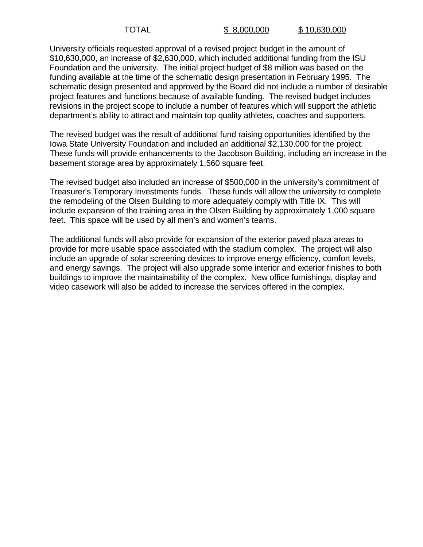University officials requested approval of a revised project budget in the amount of \$10,630,000, an increase of \$2,630,000, which included additional funding from the ISU Foundation and the university. The initial project budget of \$8 million was based on the funding available at the time of the schematic design presentation in February 1995. The schematic design presented and approved by the Board did not include a number of desirable project features and functions because of available funding. The revised budget includes revisions in the project scope to include a number of features which will support the athletic department's ability to attract and maintain top quality athletes, coaches and supporters.

The revised budget was the result of additional fund raising opportunities identified by the Iowa State University Foundation and included an additional \$2,130,000 for the project. These funds will provide enhancements to the Jacobson Building, including an increase in the basement storage area by approximately 1,560 square feet.

The revised budget also included an increase of \$500,000 in the university's commitment of Treasurer's Temporary Investments funds. These funds will allow the university to complete the remodeling of the Olsen Building to more adequately comply with Title IX. This will include expansion of the training area in the Olsen Building by approximately 1,000 square feet. This space will be used by all men's and women's teams.

The additional funds will also provide for expansion of the exterior paved plaza areas to provide for more usable space associated with the stadium complex. The project will also include an upgrade of solar screening devices to improve energy efficiency, comfort levels, and energy savings. The project will also upgrade some interior and exterior finishes to both buildings to improve the maintainability of the complex. New office furnishings, display and video casework will also be added to increase the services offered in the complex.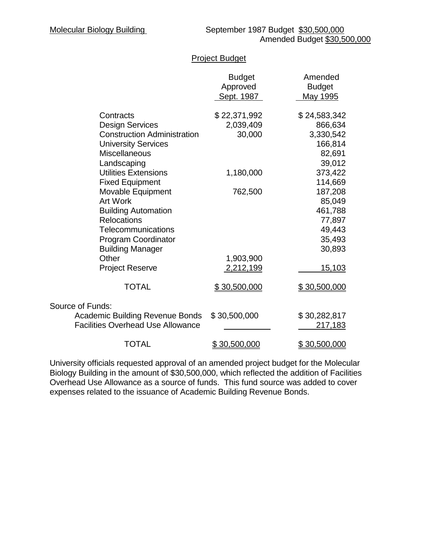# Project Budget

|                                          | <b>Budget</b><br>Approved<br>Sept. 1987 | Amended<br><b>Budget</b><br>May 1995 |
|------------------------------------------|-----------------------------------------|--------------------------------------|
| Contracts                                | \$22,371,992                            | \$24,583,342                         |
| <b>Design Services</b>                   | 2,039,409                               | 866,634                              |
| <b>Construction Administration</b>       | 30,000                                  | 3,330,542                            |
| <b>University Services</b>               |                                         | 166,814                              |
| <b>Miscellaneous</b>                     |                                         | 82,691                               |
| Landscaping                              |                                         | 39,012                               |
| <b>Utilities Extensions</b>              | 1,180,000                               | 373,422                              |
| <b>Fixed Equipment</b>                   |                                         | 114,669                              |
| Movable Equipment                        | 762,500                                 | 187,208                              |
| Art Work                                 |                                         | 85,049                               |
| <b>Building Automation</b>               |                                         | 461,788                              |
| <b>Relocations</b>                       |                                         | 77,897                               |
| Telecommunications                       |                                         | 49,443                               |
| <b>Program Coordinator</b>               |                                         | 35,493                               |
| <b>Building Manager</b>                  |                                         | 30,893                               |
| Other                                    | 1,903,900                               |                                      |
| <b>Project Reserve</b>                   | 2,212,199                               | 15,103                               |
| <b>TOTAL</b>                             | \$30,500,000                            | \$30,500,000                         |
| Source of Funds:                         |                                         |                                      |
| <b>Academic Building Revenue Bonds</b>   | \$30,500,000                            | \$30,282,817                         |
| <b>Facilities Overhead Use Allowance</b> |                                         | 217,183                              |
| <b>TOTAL</b>                             | <u>\$30,500,000</u>                     | \$30,500,000                         |

University officials requested approval of an amended project budget for the Molecular Biology Building in the amount of \$30,500,000, which reflected the addition of Facilities Overhead Use Allowance as a source of funds. This fund source was added to cover expenses related to the issuance of Academic Building Revenue Bonds.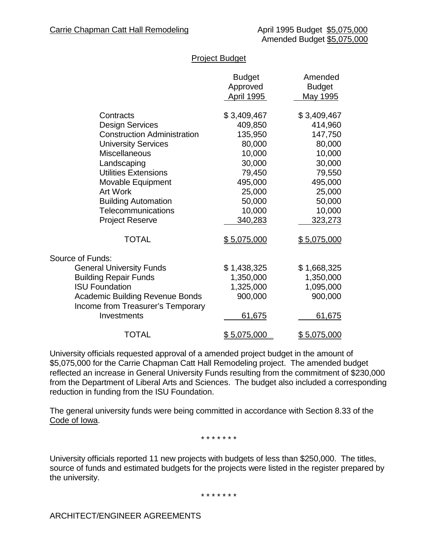|                                                  | <b>Budget</b><br>Approved<br>April 1995 | Amended<br><b>Budget</b><br>May 1995 |
|--------------------------------------------------|-----------------------------------------|--------------------------------------|
| Contracts                                        | \$3,409,467                             | \$3,409,467                          |
| <b>Design Services</b>                           | 409,850                                 | 414,960                              |
| <b>Construction Administration</b>               | 135,950                                 | 147,750                              |
| <b>University Services</b>                       | 80,000                                  | 80,000                               |
| <b>Miscellaneous</b>                             | 10,000                                  | 10,000                               |
| Landscaping                                      | 30,000                                  | 30,000                               |
| <b>Utilities Extensions</b>                      | 79,450                                  | 79,550                               |
| Movable Equipment                                | 495,000                                 | 495,000                              |
| <b>Art Work</b>                                  | 25,000                                  | 25,000                               |
| <b>Building Automation</b>                       | 50,000                                  | 50,000                               |
| Telecommunications                               | 10,000                                  | 10,000                               |
| <b>Project Reserve</b>                           | 340,283                                 | 323,273                              |
| <b>TOTAL</b>                                     | <u>\$5,075,000</u>                      | <u>\$5,075,000</u>                   |
| Source of Funds:                                 |                                         |                                      |
| <b>General University Funds</b>                  | \$1,438,325                             | \$1,668,325                          |
| <b>Building Repair Funds</b>                     | 1,350,000                               | 1,350,000                            |
| <b>ISU Foundation</b>                            | 1,325,000                               | 1,095,000                            |
| <b>Academic Building Revenue Bonds</b>           | 900,000                                 | 900,000                              |
| Income from Treasurer's Temporary<br>Investments | 61,675                                  | 61,675                               |
| <b>TOTAL</b>                                     | \$5,075,000                             | \$5,075,000                          |

# Project Budget

University officials requested approval of a amended project budget in the amount of \$5,075,000 for the Carrie Chapman Catt Hall Remodeling project. The amended budget reflected an increase in General University Funds resulting from the commitment of \$230,000 from the Department of Liberal Arts and Sciences. The budget also included a corresponding reduction in funding from the ISU Foundation.

The general university funds were being committed in accordance with Section 8.33 of the Code of Iowa.

\* \* \* \* \* \* \*

University officials reported 11 new projects with budgets of less than \$250,000. The titles, source of funds and estimated budgets for the projects were listed in the register prepared by the university.

\* \* \* \* \* \* \*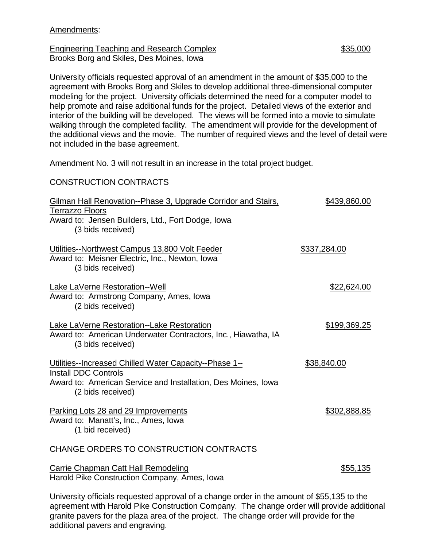### Amendments:

Engineering Teaching and Research Complex  $$35,000$ Brooks Borg and Skiles, Des Moines, Iowa

University officials requested approval of an amendment in the amount of \$35,000 to the agreement with Brooks Borg and Skiles to develop additional three-dimensional computer modeling for the project. University officials determined the need for a computer model to help promote and raise additional funds for the project. Detailed views of the exterior and interior of the building will be developed. The views will be formed into a movie to simulate walking through the completed facility. The amendment will provide for the development of the additional views and the movie. The number of required views and the level of detail were not included in the base agreement.

Amendment No. 3 will not result in an increase in the total project budget.

#### CONSTRUCTION CONTRACTS

| Gilman Hall Renovation--Phase 3, Upgrade Corridor and Stairs,<br><b>Terrazzo Floors</b><br>Award to: Jensen Builders, Ltd., Fort Dodge, Iowa                                                                                     | \$439,860.00 |
|----------------------------------------------------------------------------------------------------------------------------------------------------------------------------------------------------------------------------------|--------------|
| (3 bids received)                                                                                                                                                                                                                |              |
| Utilities--Northwest Campus 13,800 Volt Feeder<br>Award to: Meisner Electric, Inc., Newton, Iowa<br>(3 bids received)                                                                                                            | \$337,284.00 |
| Lake LaVerne Restoration--Well<br>Award to: Armstrong Company, Ames, Iowa<br>(2 bids received)                                                                                                                                   | \$22,624.00  |
| Lake LaVerne Restoration--Lake Restoration<br>Award to: American Underwater Contractors, Inc., Hiawatha, IA<br>(3 bids received)                                                                                                 | \$199,369.25 |
| Utilities--Increased Chilled Water Capacity--Phase 1--<br><b>Install DDC Controls</b><br>Award to: American Service and Installation, Des Moines, Iowa<br>(2 bids received)                                                      | \$38,840.00  |
| Parking Lots 28 and 29 Improvements<br>Award to: Manatt's, Inc., Ames, Iowa<br>(1 bid received)                                                                                                                                  | \$302,888.85 |
| CHANGE ORDERS TO CONSTRUCTION CONTRACTS                                                                                                                                                                                          |              |
| Carrie Chapman Catt Hall Remodeling<br>Harold Pike Construction Company, Ames, Iowa                                                                                                                                              | \$55,135     |
| $\mathbf{r}$ , and the set of the set of the set of the set of the set of the set of the set of the set of the set of the set of the set of the set of the set of the set of the set of the set of the set of the set of the set | 1.00011      |

University officials requested approval of a change order in the amount of \$55,135 to the agreement with Harold Pike Construction Company. The change order will provide additional granite pavers for the plaza area of the project. The change order will provide for the additional pavers and engraving.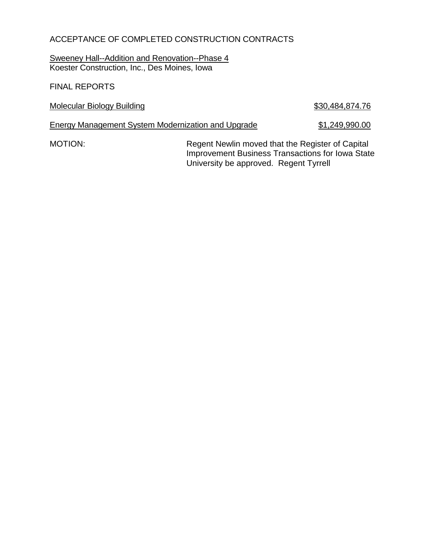# ACCEPTANCE OF COMPLETED CONSTRUCTION CONTRACTS

Sweeney Hall--Addition and Renovation--Phase 4 Koester Construction, Inc., Des Moines, Iowa

FINAL REPORTS

Molecular Biology Building **\$30,484,874.76** 

Energy Management System Modernization and Upgrade \$1,249,990.00

MOTION: Regent Newlin moved that the Register of Capital Improvement Business Transactions for Iowa State University be approved. Regent Tyrrell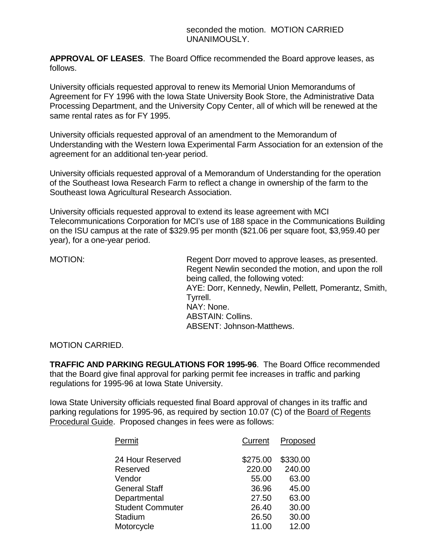**APPROVAL OF LEASES**. The Board Office recommended the Board approve leases, as follows.

University officials requested approval to renew its Memorial Union Memorandums of Agreement for FY 1996 with the Iowa State University Book Store, the Administrative Data Processing Department, and the University Copy Center, all of which will be renewed at the same rental rates as for FY 1995.

University officials requested approval of an amendment to the Memorandum of Understanding with the Western Iowa Experimental Farm Association for an extension of the agreement for an additional ten-year period.

University officials requested approval of a Memorandum of Understanding for the operation of the Southeast Iowa Research Farm to reflect a change in ownership of the farm to the Southeast Iowa Agricultural Research Association.

University officials requested approval to extend its lease agreement with MCI Telecommunications Corporation for MCI's use of 188 space in the Communications Building on the ISU campus at the rate of \$329.95 per month (\$21.06 per square foot, \$3,959.40 per year), for a one-year period.

MOTION: MOTION: Regent Dorr moved to approve leases, as presented. Regent Newlin seconded the motion, and upon the roll being called, the following voted: AYE: Dorr, Kennedy, Newlin, Pellett, Pomerantz, Smith, Tyrrell. NAY: None. ABSTAIN: Collins. ABSENT: Johnson-Matthews.

MOTION CARRIED.

**TRAFFIC AND PARKING REGULATIONS FOR 1995-96**. The Board Office recommended that the Board give final approval for parking permit fee increases in traffic and parking regulations for 1995-96 at Iowa State University.

Iowa State University officials requested final Board approval of changes in its traffic and parking regulations for 1995-96, as required by section 10.07 (C) of the Board of Regents Procedural Guide. Proposed changes in fees were as follows:

| Permit                  | Current  | Proposed |
|-------------------------|----------|----------|
| 24 Hour Reserved        | \$275.00 | \$330.00 |
| Reserved                | 220.00   | 240.00   |
| Vendor                  | 55.00    | 63.00    |
| <b>General Staff</b>    | 36.96    | 45.00    |
| Departmental            | 27.50    | 63.00    |
| <b>Student Commuter</b> | 26.40    | 30.00    |
| Stadium                 | 26.50    | 30.00    |
| Motorcycle              | 11.00    | 12.00    |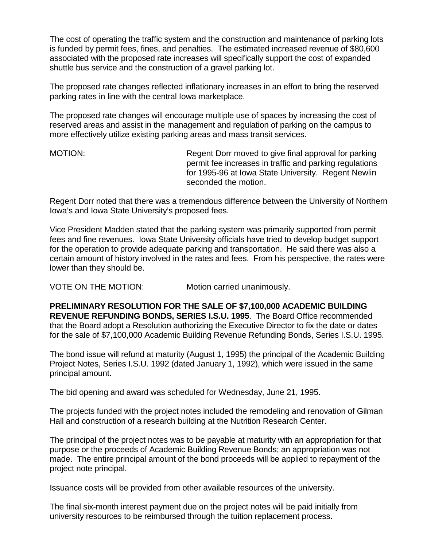The cost of operating the traffic system and the construction and maintenance of parking lots is funded by permit fees, fines, and penalties. The estimated increased revenue of \$80,600 associated with the proposed rate increases will specifically support the cost of expanded shuttle bus service and the construction of a gravel parking lot.

The proposed rate changes reflected inflationary increases in an effort to bring the reserved parking rates in line with the central Iowa marketplace.

The proposed rate changes will encourage multiple use of spaces by increasing the cost of reserved areas and assist in the management and regulation of parking on the campus to more effectively utilize existing parking areas and mass transit services.

MOTION: Regent Dorr moved to give final approval for parking permit fee increases in traffic and parking regulations for 1995-96 at Iowa State University. Regent Newlin seconded the motion.

Regent Dorr noted that there was a tremendous difference between the University of Northern Iowa's and Iowa State University's proposed fees.

Vice President Madden stated that the parking system was primarily supported from permit fees and fine revenues. Iowa State University officials have tried to develop budget support for the operation to provide adequate parking and transportation. He said there was also a certain amount of history involved in the rates and fees. From his perspective, the rates were lower than they should be.

VOTE ON THE MOTION: Motion carried unanimously.

**PRELIMINARY RESOLUTION FOR THE SALE OF \$7,100,000 ACADEMIC BUILDING REVENUE REFUNDING BONDS, SERIES I.S.U. 1995**. The Board Office recommended that the Board adopt a Resolution authorizing the Executive Director to fix the date or dates for the sale of \$7,100,000 Academic Building Revenue Refunding Bonds, Series I.S.U. 1995.

The bond issue will refund at maturity (August 1, 1995) the principal of the Academic Building Project Notes, Series I.S.U. 1992 (dated January 1, 1992), which were issued in the same principal amount.

The bid opening and award was scheduled for Wednesday, June 21, 1995.

The projects funded with the project notes included the remodeling and renovation of Gilman Hall and construction of a research building at the Nutrition Research Center.

The principal of the project notes was to be payable at maturity with an appropriation for that purpose or the proceeds of Academic Building Revenue Bonds; an appropriation was not made. The entire principal amount of the bond proceeds will be applied to repayment of the project note principal.

Issuance costs will be provided from other available resources of the university.

The final six-month interest payment due on the project notes will be paid initially from university resources to be reimbursed through the tuition replacement process.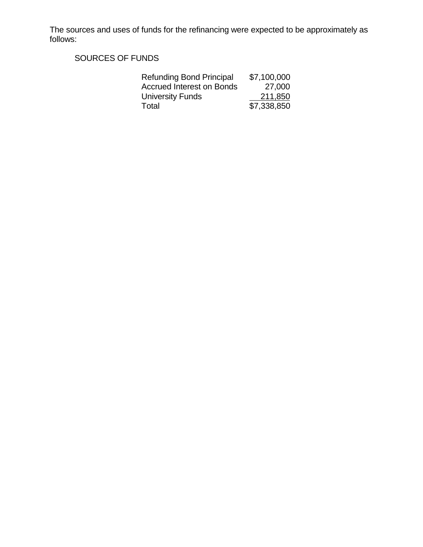The sources and uses of funds for the refinancing were expected to be approximately as follows:

SOURCES OF FUNDS

| <b>Refunding Bond Principal</b>  | \$7,100,000 |
|----------------------------------|-------------|
| <b>Accrued Interest on Bonds</b> | 27,000      |
| University Funds                 | 211,850     |
| Total                            | \$7,338,850 |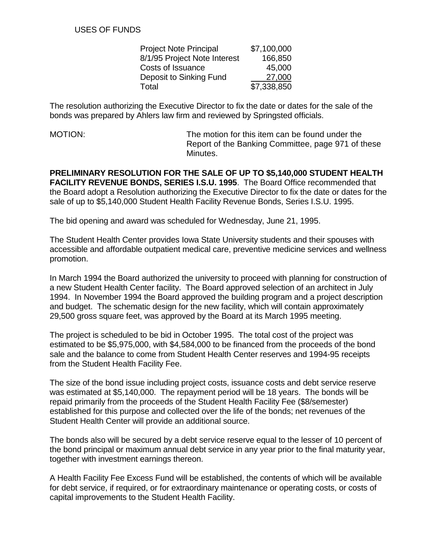| <b>Project Note Principal</b> | \$7,100,000 |
|-------------------------------|-------------|
| 8/1/95 Project Note Interest  | 166,850     |
| <b>Costs of Issuance</b>      | 45,000      |
| Deposit to Sinking Fund       | 27,000      |
| Total                         | \$7,338,850 |

The resolution authorizing the Executive Director to fix the date or dates for the sale of the bonds was prepared by Ahlers law firm and reviewed by Springsted officials.

MOTION: The motion for this item can be found under the Report of the Banking Committee, page 971 of these Minutes.

**PRELIMINARY RESOLUTION FOR THE SALE OF UP TO \$5,140,000 STUDENT HEALTH FACILITY REVENUE BONDS, SERIES I.S.U. 1995**. The Board Office recommended that the Board adopt a Resolution authorizing the Executive Director to fix the date or dates for the sale of up to \$5,140,000 Student Health Facility Revenue Bonds, Series I.S.U. 1995.

The bid opening and award was scheduled for Wednesday, June 21, 1995.

The Student Health Center provides Iowa State University students and their spouses with accessible and affordable outpatient medical care, preventive medicine services and wellness promotion.

In March 1994 the Board authorized the university to proceed with planning for construction of a new Student Health Center facility. The Board approved selection of an architect in July 1994. In November 1994 the Board approved the building program and a project description and budget. The schematic design for the new facility, which will contain approximately 29,500 gross square feet, was approved by the Board at its March 1995 meeting.

The project is scheduled to be bid in October 1995. The total cost of the project was estimated to be \$5,975,000, with \$4,584,000 to be financed from the proceeds of the bond sale and the balance to come from Student Health Center reserves and 1994-95 receipts from the Student Health Facility Fee.

The size of the bond issue including project costs, issuance costs and debt service reserve was estimated at \$5,140,000. The repayment period will be 18 years. The bonds will be repaid primarily from the proceeds of the Student Health Facility Fee (\$8/semester) established for this purpose and collected over the life of the bonds; net revenues of the Student Health Center will provide an additional source.

The bonds also will be secured by a debt service reserve equal to the lesser of 10 percent of the bond principal or maximum annual debt service in any year prior to the final maturity year, together with investment earnings thereon.

A Health Facility Fee Excess Fund will be established, the contents of which will be available for debt service, if required, or for extraordinary maintenance or operating costs, or costs of capital improvements to the Student Health Facility.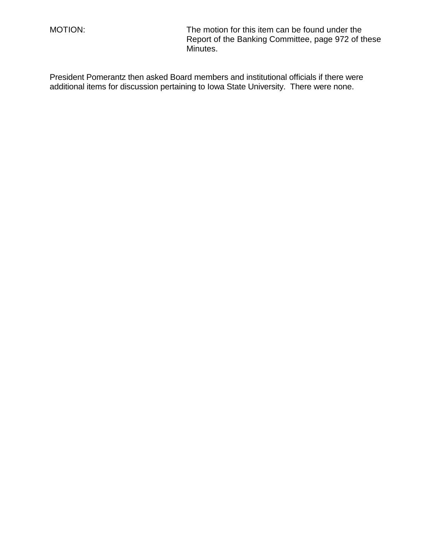MOTION: The motion for this item can be found under the Report of the Banking Committee, page 972 of these Minutes.

President Pomerantz then asked Board members and institutional officials if there were additional items for discussion pertaining to Iowa State University. There were none.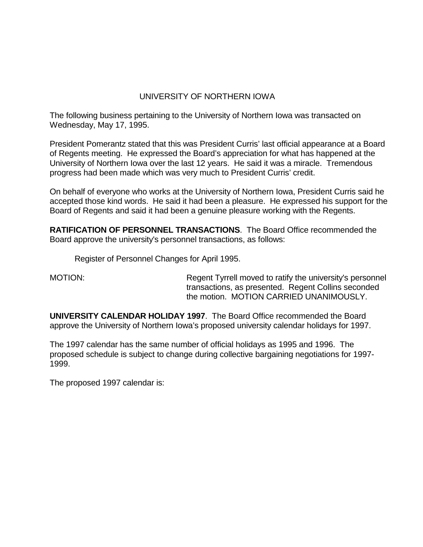# UNIVERSITY OF NORTHERN IOWA

The following business pertaining to the University of Northern Iowa was transacted on Wednesday, May 17, 1995.

President Pomerantz stated that this was President Curris' last official appearance at a Board of Regents meeting. He expressed the Board's appreciation for what has happened at the University of Northern Iowa over the last 12 years. He said it was a miracle. Tremendous progress had been made which was very much to President Curris' credit.

On behalf of everyone who works at the University of Northern Iowa, President Curris said he accepted those kind words. He said it had been a pleasure. He expressed his support for the Board of Regents and said it had been a genuine pleasure working with the Regents.

**RATIFICATION OF PERSONNEL TRANSACTIONS**. The Board Office recommended the Board approve the university's personnel transactions, as follows:

Register of Personnel Changes for April 1995.

MOTION: Regent Tyrrell moved to ratify the university's personnel transactions, as presented. Regent Collins seconded the motion. MOTION CARRIED UNANIMOUSLY.

**UNIVERSITY CALENDAR HOLIDAY 1997**. The Board Office recommended the Board approve the University of Northern Iowa's proposed university calendar holidays for 1997.

The 1997 calendar has the same number of official holidays as 1995 and 1996. The proposed schedule is subject to change during collective bargaining negotiations for 1997- 1999.

The proposed 1997 calendar is: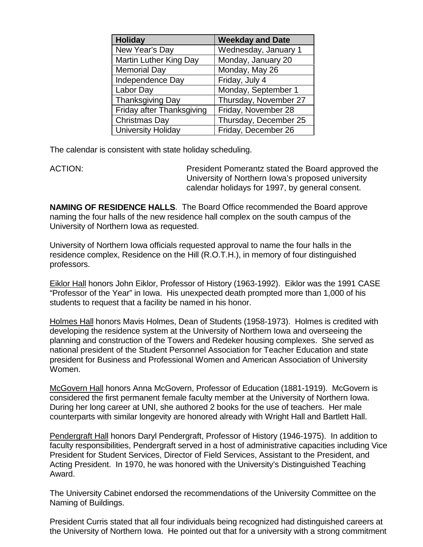| Holiday                       | <b>Weekday and Date</b> |
|-------------------------------|-------------------------|
| New Year's Day                | Wednesday, January 1    |
| <b>Martin Luther King Day</b> | Monday, January 20      |
| <b>Memorial Day</b>           | Monday, May 26          |
| Independence Day              | Friday, July 4          |
| Labor Day                     | Monday, September 1     |
| <b>Thanksgiving Day</b>       | Thursday, November 27   |
| Friday after Thanksgiving     | Friday, November 28     |
| Christmas Day                 | Thursday, December 25   |
| <b>University Holiday</b>     | Friday, December 26     |

The calendar is consistent with state holiday scheduling.

ACTION: President Pomerantz stated the Board approved the University of Northern Iowa's proposed university calendar holidays for 1997, by general consent.

**NAMING OF RESIDENCE HALLS**. The Board Office recommended the Board approve naming the four halls of the new residence hall complex on the south campus of the University of Northern Iowa as requested.

University of Northern Iowa officials requested approval to name the four halls in the residence complex, Residence on the Hill (R.O.T.H.), in memory of four distinguished professors.

Eiklor Hall honors John Eiklor, Professor of History (1963-1992). Eiklor was the 1991 CASE "Professor of the Year" in Iowa. His unexpected death prompted more than 1,000 of his students to request that a facility be named in his honor.

Holmes Hall honors Mavis Holmes, Dean of Students (1958-1973). Holmes is credited with developing the residence system at the University of Northern Iowa and overseeing the planning and construction of the Towers and Redeker housing complexes. She served as national president of the Student Personnel Association for Teacher Education and state president for Business and Professional Women and American Association of University Women.

McGovern Hall honors Anna McGovern, Professor of Education (1881-1919). McGovern is considered the first permanent female faculty member at the University of Northern Iowa. During her long career at UNI, she authored 2 books for the use of teachers. Her male counterparts with similar longevity are honored already with Wright Hall and Bartlett Hall.

Pendergraft Hall honors Daryl Pendergraft, Professor of History (1946-1975). In addition to faculty responsibilities, Pendergraft served in a host of administrative capacities including Vice President for Student Services, Director of Field Services, Assistant to the President, and Acting President. In 1970, he was honored with the University's Distinguished Teaching Award.

The University Cabinet endorsed the recommendations of the University Committee on the Naming of Buildings.

President Curris stated that all four individuals being recognized had distinguished careers at the University of Northern Iowa. He pointed out that for a university with a strong commitment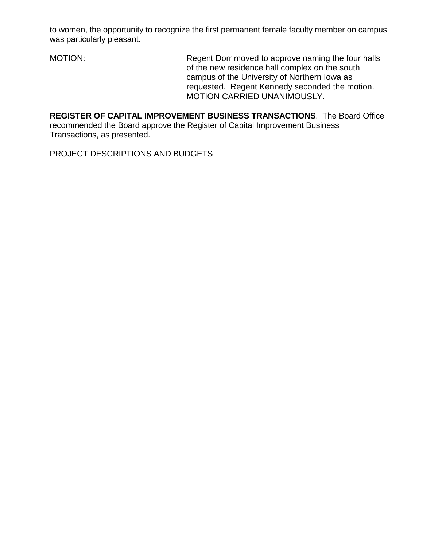to women, the opportunity to recognize the first permanent female faculty member on campus was particularly pleasant.

MOTION: Regent Dorr moved to approve naming the four halls of the new residence hall complex on the south campus of the University of Northern Iowa as requested. Regent Kennedy seconded the motion. MOTION CARRIED UNANIMOUSLY.

**REGISTER OF CAPITAL IMPROVEMENT BUSINESS TRANSACTIONS**. The Board Office recommended the Board approve the Register of Capital Improvement Business Transactions, as presented.

PROJECT DESCRIPTIONS AND BUDGETS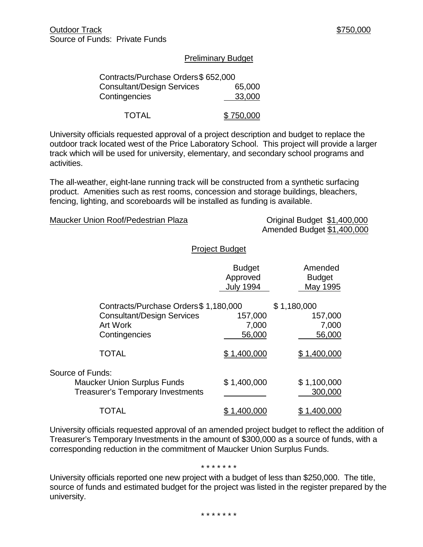#### Preliminary Budget

| Contracts/Purchase Orders\$ 652,000 |           |
|-------------------------------------|-----------|
| <b>Consultant/Design Services</b>   | 65,000    |
| Contingencies                       | 33,000    |
| <b>TOTAL</b>                        | \$750,000 |

University officials requested approval of a project description and budget to replace the outdoor track located west of the Price Laboratory School. This project will provide a larger track which will be used for university, elementary, and secondary school programs and activities.

The all-weather, eight-lane running track will be constructed from a synthetic surfacing product. Amenities such as rest rooms, concession and storage buildings, bleachers, fencing, lighting, and scoreboards will be installed as funding is available.

#### Maucker Union Roof/Pedestrian Plaza Criginal Budget \$1,400,000

Amended Budget \$1,400,000

#### Project Budget

|                                                                                                    | <b>Budget</b><br>Approved<br><b>July 1994</b> | Amended<br><b>Budget</b><br>May 1995 |
|----------------------------------------------------------------------------------------------------|-----------------------------------------------|--------------------------------------|
| Contracts/Purchase Orders \$1,180,000<br><b>Consultant/Design Services</b>                         | 157,000                                       | \$1,180,000<br>157,000               |
| <b>Art Work</b>                                                                                    | 7,000                                         | 7,000                                |
| Contingencies                                                                                      | 56,000                                        | 56,000                               |
| <b>TOTAL</b>                                                                                       | \$1,400,000                                   | 1,400,000                            |
| Source of Funds:<br><b>Maucker Union Surplus Funds</b><br><b>Treasurer's Temporary Investments</b> | \$1,400,000                                   | \$1,100,000<br>300,000               |
| TOTAL                                                                                              | ,400,000                                      | 1,400,000                            |

University officials requested approval of an amended project budget to reflect the addition of Treasurer's Temporary Investments in the amount of \$300,000 as a source of funds, with a corresponding reduction in the commitment of Maucker Union Surplus Funds.

#### \* \* \* \* \* \* \*

University officials reported one new project with a budget of less than \$250,000. The title, source of funds and estimated budget for the project was listed in the register prepared by the university.

\* \* \* \* \* \* \*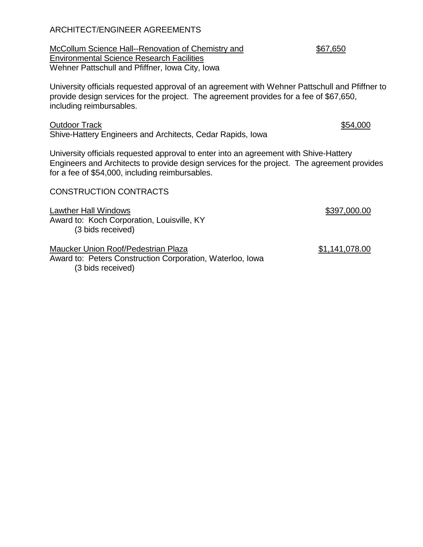| <b>Outdoor Track</b><br>Shive-Hattery Engineers and Architects, Cedar Rapids, Iowa                                                                                                                                                      | \$54,000     |
|-----------------------------------------------------------------------------------------------------------------------------------------------------------------------------------------------------------------------------------------|--------------|
| University officials requested approval to enter into an agreement with Shive-Hattery<br>Engineers and Architects to provide design services for the project. The agreement provides<br>for a fee of \$54,000, including reimbursables. |              |
| <b>CONSTRUCTION CONTRACTS</b>                                                                                                                                                                                                           |              |
| <b>Lawther Hall Windows</b><br>Award to: Koch Corporation, Louisville, KY<br>(3 bids received)                                                                                                                                          | \$397,000.00 |

Maucker Union Roof/Pedestrian Plaza \$1,141,078.00 Award to: Peters Construction Corporation, Waterloo, Iowa (3 bids received)

## ARCHITECT/ENGINEER AGREEMENTS

McCollum Science Hall--Renovation of Chemistry and \$67,650 Environmental Science Research Facilities Wehner Pattschull and Pfiffner, Iowa City, Iowa

University officials requested approval of an agreement with Wehner Pattschull and Pfiffner to provide design services for the project. The agreement provides for a fee of \$67,650, including reimbursables.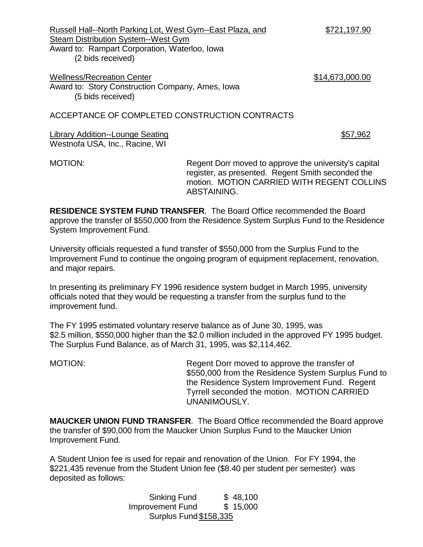Russell Hall--North Parking Lot, West Gym--East Plaza, and \$721,197.90 Steam Distribution System--West Gym Award to: Rampart Corporation, Waterloo, Iowa

(2 bids received)

Wellness/Recreation Center  $$14,673,000.00$ Award to: Story Construction Company, Ames, Iowa (5 bids received)

# ACCEPTANCE OF COMPLETED CONSTRUCTION CONTRACTS

Library Addition--Lounge Seating  $$57,962$ Westnofa USA, Inc., Racine, WI

MOTION: Regent Dorr moved to approve the university's capital register, as presented. Regent Smith seconded the motion. MOTION CARRIED WITH REGENT COLLINS ABSTAINING.

**RESIDENCE SYSTEM FUND TRANSFER**. The Board Office recommended the Board approve the transfer of \$550,000 from the Residence System Surplus Fund to the Residence System Improvement Fund.

University officials requested a fund transfer of \$550,000 from the Surplus Fund to the Improvement Fund to continue the ongoing program of equipment replacement, renovation, and major repairs.

In presenting its preliminary FY 1996 residence system budget in March 1995, university officials noted that they would be requesting a transfer from the surplus fund to the improvement fund.

The FY 1995 estimated voluntary reserve balance as of June 30, 1995, was \$2.5 million, \$550,000 higher than the \$2.0 million included in the approved FY 1995 budget. The Surplus Fund Balance, as of March 31, 1995, was \$2,114,462.

MOTION: Regent Dorr moved to approve the transfer of \$550,000 from the Residence System Surplus Fund to the Residence System Improvement Fund. Regent Tyrrell seconded the motion. MOTION CARRIED UNANIMOUSLY.

**MAUCKER UNION FUND TRANSFER**. The Board Office recommended the Board approve the transfer of \$90,000 from the Maucker Union Surplus Fund to the Maucker Union Improvement Fund.

A Student Union fee is used for repair and renovation of the Union. For FY 1994, the \$221,435 revenue from the Student Union fee (\$8.40 per student per semester) was deposited as follows:

> Sinking Fund \$48,100 Improvement Fund \$ 15,000 Surplus Fund \$158,335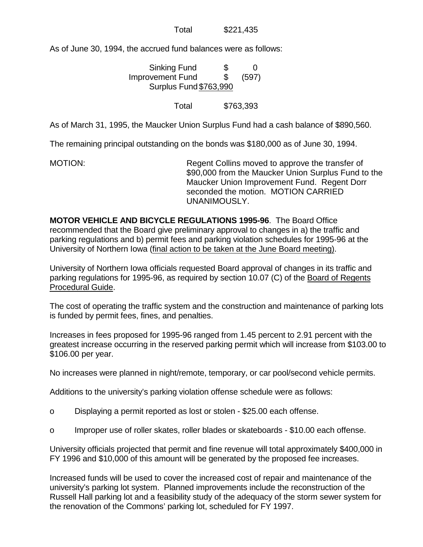Total \$221,435

As of June 30, 1994, the accrued fund balances were as follows:

| <b>Sinking Fund</b>    | \$            | $\mathbf{\Omega}$ |
|------------------------|---------------|-------------------|
| Improvement Fund       | $\mathcal{S}$ | (597)             |
| Surplus Fund \$763,990 |               |                   |

Total \$763,393

As of March 31, 1995, the Maucker Union Surplus Fund had a cash balance of \$890,560.

The remaining principal outstanding on the bonds was \$180,000 as of June 30, 1994.

MOTION: Regent Collins moved to approve the transfer of \$90,000 from the Maucker Union Surplus Fund to the Maucker Union Improvement Fund. Regent Dorr seconded the motion. MOTION CARRIED UNANIMOUSLY.

**MOTOR VEHICLE AND BICYCLE REGULATIONS 1995-96**. The Board Office recommended that the Board give preliminary approval to changes in a) the traffic and parking regulations and b) permit fees and parking violation schedules for 1995-96 at the University of Northern Iowa (final action to be taken at the June Board meeting).

University of Northern Iowa officials requested Board approval of changes in its traffic and parking regulations for 1995-96, as required by section 10.07 (C) of the Board of Regents Procedural Guide.

The cost of operating the traffic system and the construction and maintenance of parking lots is funded by permit fees, fines, and penalties.

Increases in fees proposed for 1995-96 ranged from 1.45 percent to 2.91 percent with the greatest increase occurring in the reserved parking permit which will increase from \$103.00 to \$106.00 per year.

No increases were planned in night/remote, temporary, or car pool/second vehicle permits.

Additions to the university's parking violation offense schedule were as follows:

- o Displaying a permit reported as lost or stolen \$25.00 each offense.
- o Improper use of roller skates, roller blades or skateboards \$10.00 each offense.

University officials projected that permit and fine revenue will total approximately \$400,000 in FY 1996 and \$10,000 of this amount will be generated by the proposed fee increases.

Increased funds will be used to cover the increased cost of repair and maintenance of the university's parking lot system. Planned improvements include the reconstruction of the Russell Hall parking lot and a feasibility study of the adequacy of the storm sewer system for the renovation of the Commons' parking lot, scheduled for FY 1997.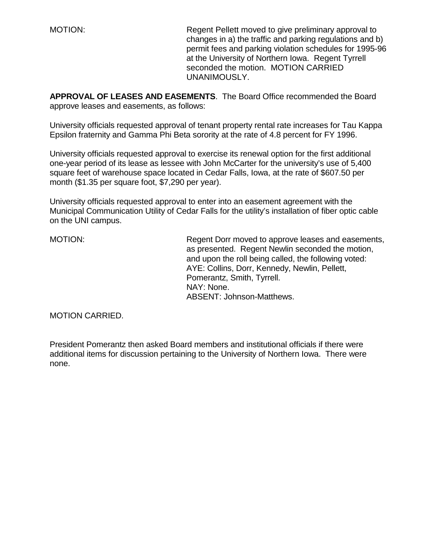MOTION: Regent Pellett moved to give preliminary approval to changes in a) the traffic and parking regulations and b) permit fees and parking violation schedules for 1995-96 at the University of Northern Iowa. Regent Tyrrell seconded the motion. MOTION CARRIED UNANIMOUSLY.

**APPROVAL OF LEASES AND EASEMENTS**. The Board Office recommended the Board approve leases and easements, as follows:

University officials requested approval of tenant property rental rate increases for Tau Kappa Epsilon fraternity and Gamma Phi Beta sorority at the rate of 4.8 percent for FY 1996.

University officials requested approval to exercise its renewal option for the first additional one-year period of its lease as lessee with John McCarter for the university's use of 5,400 square feet of warehouse space located in Cedar Falls, Iowa, at the rate of \$607.50 per month (\$1.35 per square foot, \$7,290 per year).

University officials requested approval to enter into an easement agreement with the Municipal Communication Utility of Cedar Falls for the utility's installation of fiber optic cable on the UNI campus.

MOTION: Regent Dorr moved to approve leases and easements, as presented. Regent Newlin seconded the motion, and upon the roll being called, the following voted: AYE: Collins, Dorr, Kennedy, Newlin, Pellett, Pomerantz, Smith, Tyrrell. NAY: None. ABSENT: Johnson-Matthews.

MOTION CARRIED.

President Pomerantz then asked Board members and institutional officials if there were additional items for discussion pertaining to the University of Northern Iowa. There were none.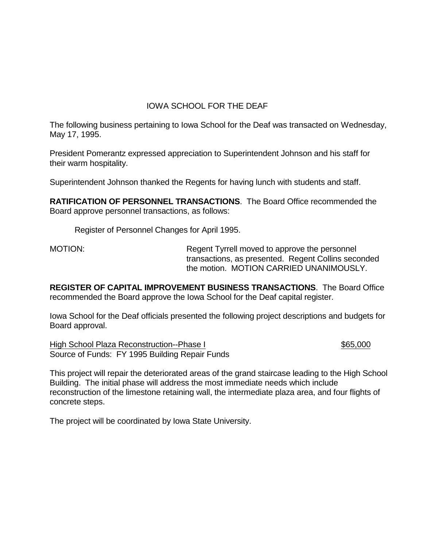# IOWA SCHOOL FOR THE DEAF

The following business pertaining to Iowa School for the Deaf was transacted on Wednesday, May 17, 1995.

President Pomerantz expressed appreciation to Superintendent Johnson and his staff for their warm hospitality.

Superintendent Johnson thanked the Regents for having lunch with students and staff.

**RATIFICATION OF PERSONNEL TRANSACTIONS**. The Board Office recommended the Board approve personnel transactions, as follows:

Register of Personnel Changes for April 1995.

MOTION: Regent Tyrrell moved to approve the personnel transactions, as presented. Regent Collins seconded the motion. MOTION CARRIED UNANIMOUSLY.

**REGISTER OF CAPITAL IMPROVEMENT BUSINESS TRANSACTIONS**. The Board Office recommended the Board approve the Iowa School for the Deaf capital register.

Iowa School for the Deaf officials presented the following project descriptions and budgets for Board approval.

High School Plaza Reconstruction--Phase I \$65,000 \$65,000 Source of Funds: FY 1995 Building Repair Funds

This project will repair the deteriorated areas of the grand staircase leading to the High School Building. The initial phase will address the most immediate needs which include reconstruction of the limestone retaining wall, the intermediate plaza area, and four flights of concrete steps.

The project will be coordinated by Iowa State University.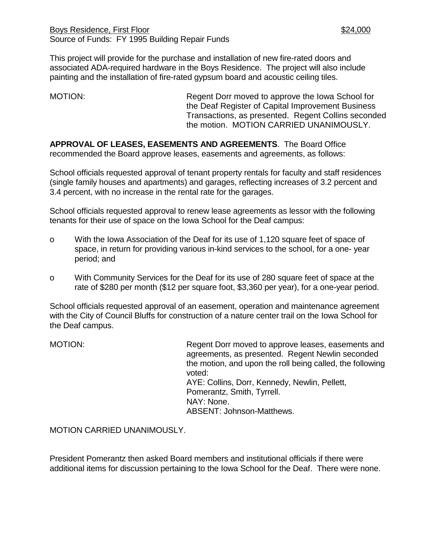This project will provide for the purchase and installation of new fire-rated doors and associated ADA-required hardware in the Boys Residence. The project will also include painting and the installation of fire-rated gypsum board and acoustic ceiling tiles.

MOTION: Regent Dorr moved to approve the Iowa School for the Deaf Register of Capital Improvement Business Transactions, as presented. Regent Collins seconded the motion. MOTION CARRIED UNANIMOUSLY.

**APPROVAL OF LEASES, EASEMENTS AND AGREEMENTS**. The Board Office recommended the Board approve leases, easements and agreements, as follows:

School officials requested approval of tenant property rentals for faculty and staff residences (single family houses and apartments) and garages, reflecting increases of 3.2 percent and 3.4 percent, with no increase in the rental rate for the garages.

School officials requested approval to renew lease agreements as lessor with the following tenants for their use of space on the Iowa School for the Deaf campus:

- o With the Iowa Association of the Deaf for its use of 1,120 square feet of space of space, in return for providing various in-kind services to the school, for a one- year period; and
- o With Community Services for the Deaf for its use of 280 square feet of space at the rate of \$280 per month (\$12 per square foot, \$3,360 per year), for a one-year period.

School officials requested approval of an easement, operation and maintenance agreement with the City of Council Bluffs for construction of a nature center trail on the Iowa School for the Deaf campus.

MOTION: Regent Dorr moved to approve leases, easements and agreements, as presented. Regent Newlin seconded the motion, and upon the roll being called, the following voted: AYE: Collins, Dorr, Kennedy, Newlin, Pellett, Pomerantz, Smith, Tyrrell. NAY: None. ABSENT: Johnson-Matthews.

MOTION CARRIED UNANIMOUSLY.

President Pomerantz then asked Board members and institutional officials if there were additional items for discussion pertaining to the Iowa School for the Deaf. There were none.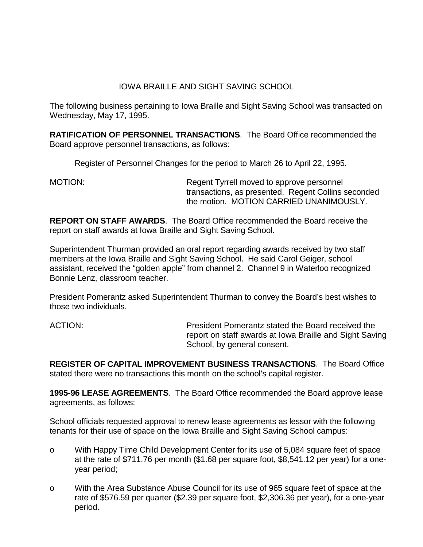## IOWA BRAILLE AND SIGHT SAVING SCHOOL

The following business pertaining to Iowa Braille and Sight Saving School was transacted on Wednesday, May 17, 1995.

**RATIFICATION OF PERSONNEL TRANSACTIONS**. The Board Office recommended the Board approve personnel transactions, as follows:

Register of Personnel Changes for the period to March 26 to April 22, 1995.

MOTION: Regent Tyrrell moved to approve personnel transactions, as presented. Regent Collins seconded the motion. MOTION CARRIED UNANIMOUSLY.

**REPORT ON STAFF AWARDS**. The Board Office recommended the Board receive the report on staff awards at Iowa Braille and Sight Saving School.

Superintendent Thurman provided an oral report regarding awards received by two staff members at the Iowa Braille and Sight Saving School. He said Carol Geiger, school assistant, received the "golden apple" from channel 2. Channel 9 in Waterloo recognized Bonnie Lenz, classroom teacher.

President Pomerantz asked Superintendent Thurman to convey the Board's best wishes to those two individuals.

ACTION: President Pomerantz stated the Board received the report on staff awards at Iowa Braille and Sight Saving School, by general consent.

**REGISTER OF CAPITAL IMPROVEMENT BUSINESS TRANSACTIONS**. The Board Office stated there were no transactions this month on the school's capital register.

**1995-96 LEASE AGREEMENTS**. The Board Office recommended the Board approve lease agreements, as follows:

School officials requested approval to renew lease agreements as lessor with the following tenants for their use of space on the Iowa Braille and Sight Saving School campus:

- o With Happy Time Child Development Center for its use of 5,084 square feet of space at the rate of \$711.76 per month (\$1.68 per square foot, \$8,541.12 per year) for a oneyear period;
- o With the Area Substance Abuse Council for its use of 965 square feet of space at the rate of \$576.59 per quarter (\$2.39 per square foot, \$2,306.36 per year), for a one-year period.